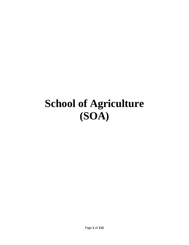# **School of Agriculture (SOA)**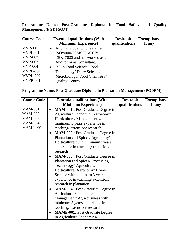**Programme Name: Post-Graduate Diploma in Food Safety and Quality Management (PGDFSQM)**

| <b>Course Code</b> | <b>Essential qualifications (With</b> | <b>Desirable</b> | <b>Exemptions,</b> |
|--------------------|---------------------------------------|------------------|--------------------|
|                    | <b>Minimum Experience</b> )           | qualifications   | If any             |
| <b>MVP-001</b>     | Any individual who is trained in      |                  |                    |
| <b>MVPI-001</b>    | ISO:9000/FSMS/HACCP/                  |                  |                    |
| $MVP-002$          | ISO:17025 and has worked as an        |                  |                    |
| <b>MVP-003</b>     | Auditor or as Consultant.             |                  |                    |
| <b>MVP-004</b>     | PG in Food Science/Food<br>$\bullet$  |                  |                    |
| MVPL-001           | Technology/ Dairy Science/            |                  |                    |
| <b>MVPL-002</b>    | Microbiology/Food Chemistry/          |                  |                    |
| <b>MVPP-001</b>    | <b>Quality Control.</b>               |                  |                    |

#### **Programme Name: Post Graduate Diploma in Plantation Management (PGDPM)**

| <b>Course Code</b> | <b>Essential qualifications (With</b>                 | <b>Desirable</b> | <b>Exemptions,</b> |
|--------------------|-------------------------------------------------------|------------------|--------------------|
|                    | <b>Minimum Experience</b> )                           | qualifications   | If any             |
| <b>MAM-001</b>     | <b>MAM-001 : Post Graduate Degree in</b><br>$\bullet$ |                  |                    |
| <b>MAM-002</b>     | Agriculture Economic/ Agronomy/                       |                  |                    |
| <b>MAM-003</b>     | Horticulture/ Management with                         |                  |                    |
| <b>MAM-004</b>     | minimum 3 years experience in                         |                  |                    |
| MAMP-001           | teaching/extension/research                           |                  |                    |
|                    | <b>MAM-002 : Post Graduate Degree in</b><br>$\bullet$ |                  |                    |
|                    | Plantation and Spices/ Agronomy/                      |                  |                    |
|                    | Horticulture/ with minimum3 years                     |                  |                    |
|                    | experience in teaching/extension/                     |                  |                    |
|                    | research                                              |                  |                    |
|                    | <b>MAM-003</b> : Post Graduate Degree in<br>$\bullet$ |                  |                    |
|                    | <b>Plantation and Spices/Processing</b>               |                  |                    |
|                    | Technology/ Agriculture/                              |                  |                    |
|                    | Horticulture/ Agronomy/ Home                          |                  |                    |
|                    | Science with minimum 3 years                          |                  |                    |
|                    | experience in teaching/extension/                     |                  |                    |
|                    | research in plantation                                |                  |                    |
|                    | MAM-004 : Post Graduate Degree in<br>$\bullet$        |                  |                    |
|                    | Agriculture Economics/                                |                  |                    |
|                    | Management/ Agri-business with                        |                  |                    |
|                    | minimum 3 years experience in                         |                  |                    |
|                    | teaching/extension/research                           |                  |                    |
|                    | <b>MAMP-001: Post Graduate Degree</b><br>$\bullet$    |                  |                    |
|                    | in Agriculture Economics/                             |                  |                    |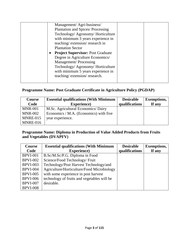| Management/Agri-business/                |  |
|------------------------------------------|--|
| <b>Plantation and Spices/Processing</b>  |  |
| Technology/ Agronomy/ Horticulture       |  |
| with minimum 3 years experience in       |  |
| teaching/extension/research in           |  |
| <b>Plantation Sector</b>                 |  |
| <b>Project Supervisor: Post Graduate</b> |  |
| Degree in Agriculture Economics/         |  |
| <b>Management/Processing</b>             |  |
| Technology/ Agronomy/ Horticulture       |  |
| with minimum 5 years experience in       |  |
| teaching/extension/research.             |  |
|                                          |  |

#### **Programme Name: Post Graduate Certificate in Agriculture Policy (PGDAP)**

| <b>Course</b><br>Code | <b>Essential qualifications (With Minimum</b><br><b>Experience</b> ) | <b>Desirable</b><br>qualifications | <b>Exemptions,</b><br>If any |
|-----------------------|----------------------------------------------------------------------|------------------------------------|------------------------------|
| <b>MNR-001</b>        | M.Sc. Agricultural Economics/Dairy                                   |                                    |                              |
| <b>MNR-002</b>        | Economics / M.A. (Economics) with five                               |                                    |                              |
| MNRE-015              | year experience.                                                     |                                    |                              |
| MNRE-016              |                                                                      |                                    |                              |

#### **Programme Name: Diploma in Production of Value Added Products from Fruits and Vegetables (DVAPFV)**

| <b>Course</b>   | <b>Essential qualifications (With Minimum</b> | <b>Desirable</b> | <b>Exemptions,</b> |
|-----------------|-----------------------------------------------|------------------|--------------------|
| Code            | <b>Experience</b> )                           | qualifications   | If any             |
| <b>BPVI-001</b> | B.Sc/M.Sc/P.G. Diploma in Food                |                  |                    |
| <b>BPVI-002</b> | Science/Food Technology/ Fruit                |                  |                    |
| <b>BPVI-003</b> | Technology/Post Harvest Technology/and        |                  |                    |
| <b>BPVI-004</b> | Agriculture/Horticulture/Food Microbiology    |                  |                    |
| <b>BPVI-005</b> | with some experience in post harvest          |                  |                    |
| <b>BPVI-006</b> | technology of fruits and vegetables will be   |                  |                    |
| <b>BPVI-007</b> | desirable.                                    |                  |                    |
| <b>BPVI-008</b> |                                               |                  |                    |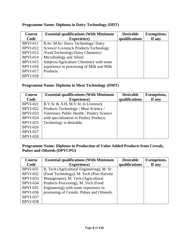| <b>Course</b><br>Code | <b>Essential qualifications (With Minimum</b><br><b>Experience</b> ) | <b>Desirable</b><br>qualifications | <b>Exemptions,</b><br>If any |
|-----------------------|----------------------------------------------------------------------|------------------------------------|------------------------------|
|                       |                                                                      |                                    |                              |
| <b>BPVI-011</b>       | B.Sc/ M.Sc/ Dairy Technology/ Dairy                                  |                                    |                              |
| <b>BPVI-012</b>       | Science/Livestock Products Technology                                |                                    |                              |
| <b>BPVI-013</b>       | /Food Technology/Dairy Chemistry/                                    |                                    |                              |
| <b>BPVI-014</b>       | Microbiology and Allied                                              |                                    |                              |
| <b>BPVI-015</b>       | Subjects/Agriculture Chemistry with some                             |                                    |                              |
| <b>BPVI-016</b>       | experience in processing of Milk and Milk                            |                                    |                              |
| <b>BPVI-017</b>       | Products.                                                            |                                    |                              |
| <b>BPVI-018</b>       |                                                                      |                                    |                              |

#### **Programme Name: Diploma in Dairy Technology (DDT)**

#### **Programme Name: Diploma in Meat Technology (DMT)**

| <b>Course</b>   | <b>Essential qualifications (With Minimum</b> | <b>Desirable</b> | <b>Exemptions,</b> |
|-----------------|-----------------------------------------------|------------------|--------------------|
| Code            | <b>Experience</b> )                           | qualifications   | If any             |
| <b>BPVI-021</b> | B.V.Sc & A.H, M.V.Sc in Livestock             |                  |                    |
| <b>BPVI-022</b> | Products Technology / Meat Science /          |                  |                    |
| <b>BPVI-023</b> | Veterinary Public Health / Poultry Science    |                  |                    |
| <b>BPVI-024</b> | with specialisation in Poultry Products       |                  |                    |
| <b>BPVI-025</b> | Technology is desirable.                      |                  |                    |
| <b>BPVI-026</b> |                                               |                  |                    |
| <b>BPVI-027</b> |                                               |                  |                    |
| <b>BPVI-028</b> |                                               |                  |                    |

#### **Programme Name: Diploma in Production of Value Added Products from Cereals, Pulses and Oilseeds (DPVCPO)**

| <b>Course</b>   | <b>Essential qualifications (With Minimum</b> | <b>Desirable</b> | <b>Exemptions,</b> |
|-----------------|-----------------------------------------------|------------------|--------------------|
| Code            | <b>Experience</b> )                           | qualifications   | If any             |
| <b>BPVI-031</b> | B. Tech (Agricultural Engineering), M. Sc     |                  |                    |
| <b>BPVI-032</b> | (Food Technology), M. Tech (Post Harvest)     |                  |                    |
| <b>BPVI-033</b> | Management), M. Tech (Agricultural            |                  |                    |
| <b>BPVI-034</b> | Products Processing), M. Tech (Food           |                  |                    |
| <b>BPVI 035</b> | Engineering) with some experience in          |                  |                    |
| <b>BPVI-036</b> | processing of Cereals, Pulses and Oilseeds.   |                  |                    |
| <b>BPVI-037</b> |                                               |                  |                    |
| <b>BPVI-038</b> |                                               |                  |                    |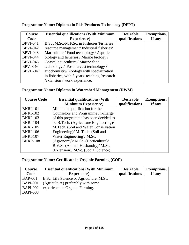| <b>Course</b>   | <b>Essential qualifications (With Minimum</b> | <b>Desirable</b> | <b>Exemptions,</b> |
|-----------------|-----------------------------------------------|------------------|--------------------|
| Code            | <b>Experience</b> )                           | qualifications   | If any             |
| <b>BPVI-041</b> | B.Sc./M.Sc./M.F.Sc. in Fisheries/Fisheries    |                  |                    |
| <b>BPVI-042</b> | resource management/Industrial fisheries/     |                  |                    |
| <b>BPVI-043</b> | Mariculture / Food technology / Aquatic       |                  |                    |
| <b>BPVI-044</b> | biology and fisheries / Marine biology /      |                  |                    |
| <b>BPVI-045</b> | Coastal aquaculture / Marine food             |                  |                    |
| <b>BPV</b> -046 | technology / Post harvest technology /        |                  |                    |
| <b>BPVL-047</b> | Biochemistry/Zoology with specialization      |                  |                    |
|                 | in fisheries, with 3 years teaching /research |                  |                    |
|                 | /extension / work experience.                 |                  |                    |

# **Programme Name: Diploma in Fish Products Technology (DFPT)**

#### **Programme Name: Diploma in Watershed Management (DWM)**

| <b>Course Code</b> | <b>Essential qualifications (With</b> | <b>Desirable</b> | <b>Exemptions,</b> |
|--------------------|---------------------------------------|------------------|--------------------|
|                    | <b>Minimum Experience</b> )           | qualifications   | If any             |
| <b>BNRI-101</b>    | Minimum qualification for the         |                  |                    |
| <b>BNRI-102</b>    | Counselors and Programme In-charge    |                  |                    |
| <b>BNRI-103</b>    | of this programme has been decided to |                  |                    |
| <b>BNRI-104</b>    | be B.Tech. (Agriculture Engineering)/ |                  |                    |
| <b>BNRI-105</b>    | M.Tech. (Soil and Water Conservation  |                  |                    |
| <b>BNRI-106</b>    | Engineering)/ M. Tech. (Soil and      |                  |                    |
| <b>BNRI-107</b>    | Water Engineering)/ M.Sc.             |                  |                    |
| <b>BNRP-108</b>    | (Agronomy)/ M.Sc. (Horticulture)/     |                  |                    |
|                    | B.V.Sc (Animal Husbandry)/ M.Sc.      |                  |                    |
|                    | (Extension)/ M.Sc. (Social Science).  |                  |                    |

#### **Programme Name: Certificate in Organic Farming (COF)**

| <b>Course</b>   | <b>Essential qualifications (With Minimum</b> | <b>Desirable</b> | <b>Exemptions,</b> |
|-----------------|-----------------------------------------------|------------------|--------------------|
| Code            | <b>Experience</b> )                           | qualifications   | If any             |
| <b>BAP-001</b>  | B.Sc. Life Science or Agriculture, M.Sc.      |                  |                    |
| <b>BAPI-001</b> | (Agriculture) preferably with some            |                  |                    |
| <b>BAPI-002</b> | experience in Organic Farming.                |                  |                    |
| <b>BAPI-003</b> |                                               |                  |                    |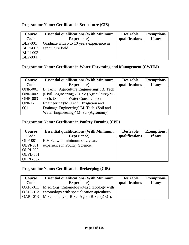#### **Programme Name: Certificate in Sericulture (CIS)**

| Course          | <b>Essential qualifications (With Minimum</b> | <b>Desirable</b> | <b>Exemptions,</b> |
|-----------------|-----------------------------------------------|------------------|--------------------|
| Code            | <b>Experience</b> )                           | qualifications   | If any             |
| <b>BLP-001</b>  | Graduate with 5 to 10 years experience in     |                  |                    |
| <b>BLPI-002</b> | sericulture field.                            |                  |                    |
| <b>BLPI-003</b> |                                               |                  |                    |
| <b>BLP-004</b>  |                                               |                  |                    |

#### **Programme Name: Certificate in Water Harvesting and Management (CWHM)**

| Course         | <b>Essential qualifications (With Minimum</b> | <b>Desirable</b> | <b>Exemptions,</b> |
|----------------|-----------------------------------------------|------------------|--------------------|
| Code           | <b>Experience</b> )                           | qualifications   | If any             |
| <b>ONR-001</b> | B. Tech. (Agriculture Engineering) /B. Tech   |                  |                    |
| <b>ONR-002</b> | (Civil Engineering) / B. Sc (Agriculture)/M.  |                  |                    |
| <b>ONR-003</b> | Tech. (Soil and Water Conservation            |                  |                    |
| ONRL-          | Engineering)/M. Tech. (Irrigation and         |                  |                    |
| 001            | Drainage Engineering)/M. Tech. (Soil and      |                  |                    |
|                | Water Engineering)/ M. Sc. (Agronomy).        |                  |                    |

#### **Programme Name: Certificate in Poultry Farming (CPF)**

| Course          | <b>Essential qualifications (With Minimum</b> | <b>Desirable</b> | <b>Exemptions,</b> |
|-----------------|-----------------------------------------------|------------------|--------------------|
| Code            | <b>Experience</b> )                           | qualifications   | If any             |
| <b>OLP-001</b>  | B.V.Sc. with minimum of 2 years               |                  |                    |
| <b>OLPI-001</b> | experience in Poultry Science.                |                  |                    |
| <b>OLPI-002</b> |                                               |                  |                    |
| <b>OLPL-001</b> |                                               |                  |                    |
| <b>OLPL-002</b> |                                               |                  |                    |

#### **Programme Name: Certificate in Beekeeping (CIB)**

| <b>Course</b> | <b>Essential qualifications (With Minimum</b>                      | <b>Desirable</b> | <b>Exemptions,</b> |
|---------------|--------------------------------------------------------------------|------------------|--------------------|
| Code          | <b>Experience</b> )                                                | qualifications   | If any             |
|               | $\vert$ OAPI-011 $\vert$ M.sc. (Ag) Entomology/M.sc. Zoology with  |                  |                    |
|               | OAPI-012   entomology with specialization apiculture/              |                  |                    |
|               | $\vert$ OAPI-013 $\vert$ M.Sc. botany or B.Sc. Ag. or B.Sc. (ZBC). |                  |                    |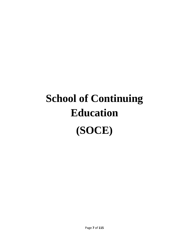# **School of Continuing Education (SOCE)**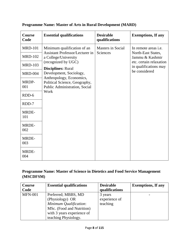| <b>Course</b><br>Code | <b>Essential qualifications</b>                                | <b>Desirable</b><br>qualifications | <b>Exemptions, If any</b>                        |
|-----------------------|----------------------------------------------------------------|------------------------------------|--------------------------------------------------|
| <b>MRD-101</b>        | Minimum qualification of an                                    | <b>Masters in Social</b>           | In remote areas <i>i.e.</i>                      |
| <b>MRD-102</b>        | <b>Assistant Professor/Lecturer in</b><br>a College/University | Sciences                           | North-East States,<br>Jammu & Kashmir            |
| <b>MRD-103</b>        | (recognized by UGC)<br><b>Disciplines: Rural</b>               |                                    | etc. certain relaxation<br>in qualifications may |
| <b>MRD-004</b>        | Development, Sociology,<br>Anthropology, Economics,            |                                    | be considered                                    |
| MRDP-<br>001          | Political Science, Geography,<br>Public Administration, Social |                                    |                                                  |
| RDD-6                 | Work                                                           |                                    |                                                  |
| RDD-7                 |                                                                |                                    |                                                  |
| MRDE-<br>101          |                                                                |                                    |                                                  |
| MRDE-<br>002          |                                                                |                                    |                                                  |
| <b>MRDE-</b><br>003   |                                                                |                                    |                                                  |
| <b>MRDE-</b><br>004   |                                                                |                                    |                                                  |

# **Programme Name: Master of Arts in Rural Development (MARD)**

### **Programme Name: Master of Science in Dietetics and Food Service Management (MSCDFSM)**

| <b>Course</b>  | <b>Essential qualifications</b> | <b>Desirable</b> | <b>Exemptions, If any</b> |
|----------------|---------------------------------|------------------|---------------------------|
| Code           |                                 | qualifications   |                           |
| <b>MFN-001</b> | Preferred; MBBS, MD             | 3 years          |                           |
|                | (Physiology) OR                 | experience of    |                           |
|                | Minimum Qualification:          | teaching         |                           |
|                | MSc. (Food and Nutrition)       |                  |                           |
|                | with 3 years experience of      |                  |                           |
|                | teaching Physiology.            |                  |                           |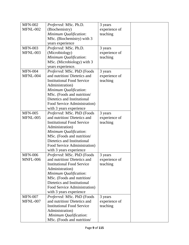| <b>MFN-002</b>  | Preferred: MSc. Ph.D.             | 3 years       |  |
|-----------------|-----------------------------------|---------------|--|
| <b>MFNL-002</b> | (Biochemistry)                    | experience of |  |
|                 | Minimum Qualification:            | teaching      |  |
|                 | MSc. (Biochemistry) with 3        |               |  |
|                 | years experience                  |               |  |
| <b>MFN-003</b>  | Preferred: MSc. Ph.D.             | 3 years       |  |
| MFNL-003        | (Microbiology)                    | experience of |  |
|                 | Minimum Qualification:            | teaching      |  |
|                 | MSc. (Microbiology) with 3        |               |  |
|                 | years experience.                 |               |  |
| <b>MFN-004</b>  | Preferred: MSc. PhD (Foods        | 3 years       |  |
| MFNL-004        | and nutrition/Dietetics and       | experience of |  |
|                 | <b>Institutional Food Service</b> | teaching      |  |
|                 | Administration)                   |               |  |
|                 | Minimum Qualification:            |               |  |
|                 | MSc. (Foods and nutrition/        |               |  |
|                 | Dietetics and Institutional       |               |  |
|                 | Food Service Administration)      |               |  |
|                 | with 3 years experience           |               |  |
| <b>MFN-005</b>  | Preferred: MSc. PhD (Foods        | 3 years       |  |
| <b>MFNL-005</b> | and nutrition/Dietetics and       | experience of |  |
|                 | <b>Institutional Food Service</b> | teaching      |  |
|                 | Administration)                   |               |  |
|                 | Minimum Qualification:            |               |  |
|                 | MSc. (Foods and nutrition/        |               |  |
|                 | Dietetics and Institutional       |               |  |
|                 | Food Service Administration)      |               |  |
|                 | with 3 years experience           |               |  |
| <b>MFN-006</b>  | Preferred: MSc. PhD (Foods        | 3 years       |  |
| MNFL-006        | and nutrition/Dietetics and       | experience of |  |
|                 | <b>Institutional Food Service</b> | teaching      |  |
|                 | Administration)                   |               |  |
|                 | Minimum Qualification:            |               |  |
|                 | MSc. (Foods and nutrition/        |               |  |
|                 | Dietetics and Institutional       |               |  |
|                 | Food Service Administration)      |               |  |
|                 | with 3 years experience           |               |  |
| <b>MFN-007</b>  | Preferred: MSc. PhD (Foods        | 3 years       |  |
| MFNL-007        | and nutrition/Dietetics and       | experience of |  |
|                 | <b>Institutional Food Service</b> | teaching      |  |
|                 | Administration)                   |               |  |
|                 | Minimum Qualification:            |               |  |
|                 | MSc. (Foods and nutrition/        |               |  |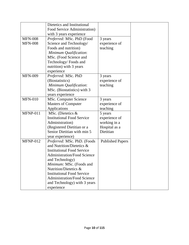|                | Dietetics and Institutional        |                         |
|----------------|------------------------------------|-------------------------|
|                | Food Service Administration)       |                         |
|                | with 3 years experience            |                         |
| <b>MFN-008</b> | Preferred: MSc. PhD (Food          | 3 years                 |
| <b>MFN-008</b> | Science and Technology/            | experience of           |
|                | Foods and nutrition)               | teaching                |
|                | Minimum Qualification:             |                         |
|                | MSc. (Food Science and             |                         |
|                | Technology/Foods and               |                         |
|                | nutrition) with 3 years            |                         |
|                | experience                         |                         |
| <b>MFN-009</b> | Preferred: MSc. PhD                | 3 years                 |
|                | (Biostatistics)                    | experience of           |
|                | Minimum Qualification:             | teaching                |
|                | MSc. (Biostatistics) with 3        |                         |
|                | years experience                   |                         |
| <b>MFN-010</b> | MSc. Computer Science              | 3 years                 |
|                | <b>Masters of Computer</b>         | experience of           |
|                | Applications                       | teaching                |
| MFNP-011       | MSc. (Dietetics &                  | 5 years                 |
|                | <b>Institutional Food Service</b>  | experience of           |
|                |                                    |                         |
|                | Administration)                    | working in a            |
|                | (Registered Dietitian or a         | Hospital as a           |
|                | Senior Dietitian with min 5        | Dietitian               |
|                | year experience)                   |                         |
| $MFNP-012$     | Preferred: MSc. PhD. (Foods        | <b>Published Papers</b> |
|                | and Nutrition/Dietetics &          |                         |
|                | <b>Institutional Food Service</b>  |                         |
|                | <b>Administration/Food Science</b> |                         |
|                | and Technology)                    |                         |
|                | Minimum: MSc. (Foods and           |                         |
|                | Nutrition/Dietetics &              |                         |
|                | <b>Institutional Food Service</b>  |                         |
|                | <b>Administration/Food Science</b> |                         |
|                | and Technology) with 3 years       |                         |
|                | experience                         |                         |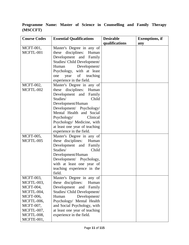**Programme Name: Master of Science in Counselling and Family Therapy (MSCCFT)**

| <b>Course Codes</b> | <b>Essential Qualifications</b> | <b>Desirable</b> | <b>Exemptions, if</b> |
|---------------------|---------------------------------|------------------|-----------------------|
|                     |                                 | qualifications   | any                   |
| $MCFT-001$ ,        | Master's Degree in any of       |                  |                       |
| MCFTL-001           | these disciplines:<br>Human     |                  |                       |
|                     | Development and Family          |                  |                       |
|                     | Studies/ Child Development/     |                  |                       |
|                     | Development/<br>Human           |                  |                       |
|                     | Psychology, with at least       |                  |                       |
|                     | of<br>teaching<br>one<br>year   |                  |                       |
|                     | experience in the field.        |                  |                       |
| <b>MCFT-002,</b>    | Master's Degree in any of       |                  |                       |
| MCFTL-002           | these disciplines: Human        |                  |                       |
|                     | Development and Family          |                  |                       |
|                     | Child<br>Studies/               |                  |                       |
|                     | Development/Human               |                  |                       |
|                     | Development/ Psychology/        |                  |                       |
|                     | Mental Health and Social        |                  |                       |
|                     | Psychology/<br>Clinical         |                  |                       |
|                     | Psychology/ Medicine, with      |                  |                       |
|                     | at least one year of teaching   |                  |                       |
|                     | experience in the field.        |                  |                       |
| <b>MCFT-005,</b>    | Master's Degree in any of       |                  |                       |
| MCFTL-005           | these disciplines:<br>Human     |                  |                       |
|                     | Development and Family          |                  |                       |
|                     | Studies/<br>Child               |                  |                       |
|                     | Development/Human               |                  |                       |
|                     | Development/ Psychology,        |                  |                       |
|                     | with at least one year of       |                  |                       |
|                     | teaching experience in the      |                  |                       |
|                     | field.                          |                  |                       |
| MCFT-003,           | Master's Degree in any of       |                  |                       |
| MCFTL-003,          | these disciplines:<br>Human     |                  |                       |
| <b>MCFT-004,</b>    | Development<br>and<br>Family    |                  |                       |
| MCFTL-004,          | Studies/ Child Development/     |                  |                       |
| <b>MCFT-006,</b>    | Development/<br>Human           |                  |                       |
| MCFTL-006,          | Psychology/ Mental Health       |                  |                       |
| MCFT-007,           | and Social Psychology, with     |                  |                       |
| MCFTL-007,          | at least one year of teaching   |                  |                       |
| MCFTL-008,          | experience in the field.        |                  |                       |
| MCFTE-001,          |                                 |                  |                       |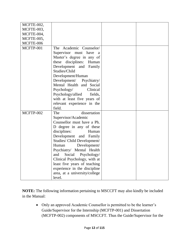| MCFTE-002, |                                |  |
|------------|--------------------------------|--|
| MCFTE-003, |                                |  |
| MCFTE-004, |                                |  |
| MCFTE-005, |                                |  |
| MCFTE-006  |                                |  |
| MCFTP-001  | The Academic Counselor/        |  |
|            | Supervisor must have a         |  |
|            | Master's degree in any of      |  |
|            | disciplines:<br>these<br>Human |  |
|            | Development<br>and<br>Family   |  |
|            | Studies/Child                  |  |
|            | Development/Human              |  |
|            | Development/ Psychiatry/       |  |
|            | Mental Health and Social       |  |
|            | Clinical<br>Psychology/        |  |
|            | Psychology/allied<br>fields,   |  |
|            | with at least five years of    |  |
|            | relevant experience in the     |  |
|            | field.                         |  |
| MCFTP-002  | dissertation<br>The            |  |
|            | Supervisor/Academic            |  |
|            | Counsellor must have a Ph.     |  |
|            | D degree in any of these       |  |
|            | disciplines:<br>Human          |  |
|            | Development<br>and Family      |  |
|            | Studies/ Child Development/    |  |
|            | Human<br>Development/          |  |
|            | Psychiatry/ Mental Health      |  |
|            | and<br>Social Psychology/      |  |
|            | Clinical Psychology, with at   |  |
|            | least five years of teaching   |  |
|            | experience in the discipline   |  |
|            | area, at a university/college  |  |
|            | level.                         |  |

**NOTE:** The following information pertaining to MSCCFT may also kindly be included in the Manual:

• Only an approved Academic Counsellor is permitted to be the learner's Guide/Supervisor for the Internship (MCFTP-001) and Dissertation (MCFTP-002) components of MSCCFT. Thus the Guide/Supervisor for the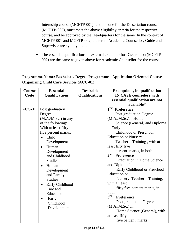Internship course (MCFTP-001), and the one for the Dissertation course (MCFTP-002), must meet the above eligibility criteria for the respective course, and be approved by the Headquarters for the same. In the context of MCFTP-001 and MCFTP-002, the terms Academic Counsellor, Guide and Supervisor are synonymous.

 The essential qualifications of external examiner for Dissertation (MCFTP-002) are the same as given above for Academic Counsellor for the course.

#### **Programme Name: Bachelor's Degree Programme - Application Oriented Course - Organizing Child Care Services (ACC-01)**

| Course   | <b>Essential</b>             | <b>Desirable</b>      | <b>Exemptions, in qualification</b>    |
|----------|------------------------------|-----------------------|----------------------------------------|
| Code     | <b>Qualifications</b>        | <b>Qualifications</b> | <b>IN CASE counselors with</b>         |
|          |                              |                       | essential qualification are not        |
|          |                              |                       | available*                             |
| $ACC-01$ | Post graduation              |                       | $\overline{1}^{\text{rst}}$ Preference |
|          | Degree                       |                       | Post graduation Degree                 |
|          | $(M.A./M.Sc.)$ in any        |                       | (M.A./M.Sc.)in Home                    |
|          | of the following:            |                       | Science (General) and Diploma          |
|          | With at least fifty          |                       | in Early                               |
|          | five percent marks.          |                       | Childhood or Preschool                 |
|          | Child<br>$\bullet$           |                       | <b>Education or Nursery</b>            |
|          | Development                  |                       | Teacher's Training, with at            |
|          | Human<br>$\bullet$           |                       | least fifty five                       |
|          | Development                  |                       | percent marks, in both                 |
|          | and Childhood                |                       | 2 <sup>nd</sup><br><b>Preference</b>   |
|          | <b>Studies</b>               |                       | <b>Graduation in Home Science</b>      |
|          | Human<br>$\bullet$           |                       | and Diploma in                         |
|          | Development                  |                       | Early Childhood or Preschool           |
|          | and Family                   |                       | <b>Education</b> or                    |
|          | <b>Studies</b>               |                       | Nursery Teacher's Training,            |
|          | Early Childhood<br>$\bullet$ |                       | with at least                          |
|          | Care and                     |                       | fifty five percent marks, in           |
|          | Education                    |                       | both                                   |
|          | Early<br>$\bullet$           |                       | $3^{\rm rd}$<br>Preference             |
|          | Childhood                    |                       | Post graduation Degree                 |
|          | Development                  |                       | $(M.A.M.Sc.)$ in                       |
|          |                              |                       | Home Science (General), with           |
|          |                              |                       | at least fifty                         |
|          |                              |                       | five percent marks                     |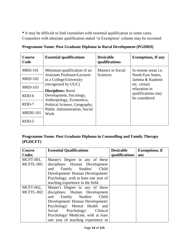**\*** It may be difficult to find counselors with essential qualification in some cases. Counselors with alternate qualification stated 'in Exemption' column may be recruited.

| <b>Course</b><br>Code | <b>Essential qualifications</b>                                | <b>Desirable</b><br>qualifications | <b>Exemptions, If any</b>             |
|-----------------------|----------------------------------------------------------------|------------------------------------|---------------------------------------|
| <b>MRD-101</b>        | Minimum qualification of an                                    | Masters in Social                  | In remote areas <i>i.e.</i>           |
| <b>MRD-102</b>        | <b>Assistant Professor/Lecturer</b><br>in a College/University | Sciences                           | North-East States,<br>Jammu & Kashmir |
| <b>MRD-103</b>        | (recognized by UGC)<br><b>Disciplines:</b> Rural               |                                    | etc. certain<br>relaxation in         |
| RDD-6                 | Development, Sociology,<br>Anthropology, Economics,            |                                    | qualifications may<br>be considered   |
| RDD-7                 | Political Science, Geography,                                  |                                    |                                       |
| <b>MRDE-101</b>       | <b>Public Administration, Social</b><br>Work                   |                                    |                                       |
| RDD-5                 |                                                                |                                    |                                       |

|  |  |  | Programme Name: Post Graduate Diploma in Rural Development (PGDRD) |  |
|--|--|--|--------------------------------------------------------------------|--|
|--|--|--|--------------------------------------------------------------------|--|

#### **Programme Name: Post Graduate Diploma in Counselling and Family Therapy (PGDCFT)**

| <b>Course</b>    | <b>Essential Qualifications</b>       | <b>Desirable</b> | <b>Exemptions, if</b> |
|------------------|---------------------------------------|------------------|-----------------------|
| Codes            |                                       | qualifications   | any                   |
| $MCFT-001$ ,     | Master's Degree in any of these       |                  |                       |
| MCFTL-001        | disciplines: Human Development        |                  |                       |
|                  | and Family Studies/ Child             |                  |                       |
|                  | Development/ Human Development/       |                  |                       |
|                  | Psychology, with at least one year of |                  |                       |
|                  | teaching experience in the field.     |                  |                       |
| <b>MCFT-002,</b> | Master's Degree in any of these       |                  |                       |
| MCFTL-002        | disciplines: Human Development        |                  |                       |
|                  | and Family Studies/ Child             |                  |                       |
|                  | Development/ Human Development/       |                  |                       |
|                  | Psychology/ Mental Health and         |                  |                       |
|                  | Social Psychology/ Clinical           |                  |                       |
|                  | Psychology/ Medicine, with at least   |                  |                       |
|                  | one year of teaching experience in    |                  |                       |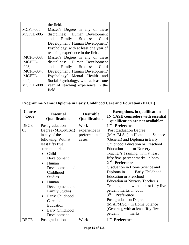|                  | the field.                            |  |
|------------------|---------------------------------------|--|
| <b>MCFT-005,</b> | Master's Degree in any of these       |  |
| MCFTL-005        | disciplines: Human Development        |  |
|                  | and Family Studies Child              |  |
|                  | Development/ Human Development/       |  |
|                  | Psychology, with at least one year of |  |
|                  | teaching experience in the field.     |  |
| MCFT-003,        | Master's Degree in any of these       |  |
| MCFTL-           | disciplines: Human Development        |  |
| 003,             | and Family Studies/ Child             |  |
| <b>MCFT-004,</b> | Development/ Human Development/       |  |
| MCFTL-           | Psychology/ Mental Health and         |  |
| 004,             | Social Psychology, with at least one  |  |
| MCFTL-008        | year of teaching experience in the    |  |
|                  | field.                                |  |

# **Programme Name: Diploma in Early Childhood Care and Education (DECE)**

| Course<br>Code | <b>Essential</b><br><b>Qualifications</b>                                                                                                                                                                                                                                                                                                              | <b>Desirable</b><br><b>Qualifications</b>           | <b>Exemptions, in qualification</b><br><b>IN CASE counselors with essential</b><br>qualification are not available*                                                                                                                                                                                                                                                                                                                                                                                                                                                                                                                                                                         |  |
|----------------|--------------------------------------------------------------------------------------------------------------------------------------------------------------------------------------------------------------------------------------------------------------------------------------------------------------------------------------------------------|-----------------------------------------------------|---------------------------------------------------------------------------------------------------------------------------------------------------------------------------------------------------------------------------------------------------------------------------------------------------------------------------------------------------------------------------------------------------------------------------------------------------------------------------------------------------------------------------------------------------------------------------------------------------------------------------------------------------------------------------------------------|--|
| DECE-<br>01    | Post graduation<br>Degree (M.A./M.Sc.)<br>in any of the<br>following: With at<br>least fifty five<br>percent marks.<br>Child<br>Development<br>Human<br>$\bullet$<br>Development and<br>Childhood<br><b>Studies</b><br>Human<br>Development and<br><b>Family Studies</b><br>Early Childhood<br>Care and<br>Education<br>Early Childhood<br>Development | Work<br>experience is<br>preferred in all<br>cases. | 1 <sup>rst</sup><br><b>Preference</b><br>Post graduation Degree<br>$(M.A.M.Sc.)$ in Home<br>Science<br>(General) and Diploma in Early<br><b>Childhood Education or Preschool</b><br>Education<br>or Nursery<br>Teacher's Training, with at least<br>fifty five percent marks, in both<br>2 <sup>nd</sup> Preference<br>Graduation in Home Science and<br>Diploma in<br>Early Childhood<br><b>Education or Preschool</b><br>Education or Nursery Teacher's<br>Training,<br>with at least fifty five.<br>percent marks, in both<br>3 <sup>rd</sup><br><b>Preference</b><br>Post graduation Degree<br>(M.A./M.Sc.) in Home Science<br>(General), with at least fifty five<br>marks.<br>percent |  |
| DECE-          | Post graduation                                                                                                                                                                                                                                                                                                                                        | Work                                                | 1 <sup>rst</sup> Preference                                                                                                                                                                                                                                                                                                                                                                                                                                                                                                                                                                                                                                                                 |  |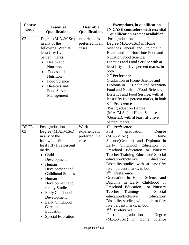| <b>Essential</b><br><b>Qualifications</b>                                                                                                                                                                                                                                                                                                                 | <b>Desirable</b><br><b>Qualifications</b>           | <b>Exemptions, in qualification</b><br><b>IN CASE counselors with essential</b><br>qualification are not available*                                                                                                                                                                                                                                                                                                                                                                                                                                                                                                                                                                                                               |  |  |
|-----------------------------------------------------------------------------------------------------------------------------------------------------------------------------------------------------------------------------------------------------------------------------------------------------------------------------------------------------------|-----------------------------------------------------|-----------------------------------------------------------------------------------------------------------------------------------------------------------------------------------------------------------------------------------------------------------------------------------------------------------------------------------------------------------------------------------------------------------------------------------------------------------------------------------------------------------------------------------------------------------------------------------------------------------------------------------------------------------------------------------------------------------------------------------|--|--|
| Degree (M.A./M.Sc.)<br>in any of the<br>following: With at<br>least fifty five<br>percent marks.<br>Health and<br>Nutrition<br>Foods and<br>Nutrition<br>Food Science<br>Dietetics and<br>Food Service<br>Management                                                                                                                                      | experience is<br>preferred in all<br>cases          | Post graduation<br>Degree(M.A./M.Sc.) in Home<br>Science (General) and Diploma in<br>Health and<br>Nutrition/Food and<br>Nutrition/Food Science/<br>Dietetics and Food Service with at<br>least fifty<br>five percent marks, in<br>both<br>2 <sup>nd</sup> Preference<br>Graduation in Home Science and<br>Diploma in<br>Health and Nutrition/<br>Food and Nutrition/Food Science/<br>Dietetics and Food Service, with at<br>least fifty five percent marks, in both<br>3 <sup>rd</sup> Preference<br>Post graduation Degree<br>(M.A./M.Sc.) in Home Science<br>(General), with at least fifty five<br>percent marks.                                                                                                             |  |  |
| Post graduation<br>Degree (M.A./M.Sc.)<br>in any of the<br>following: With at<br>least fifty five percent<br>marks.<br>Child<br>Development<br>Human<br>Development and<br><b>Childhood Studies</b><br>Human<br>$\bullet$<br>Development and<br>family Studies<br>Early Childhood<br>$\bullet$<br>Development<br>Early Childhood<br>Care and<br>Education | Work<br>experience is<br>preferred in all<br>cases. | 1 <sup>rst</sup> Preference<br>graduation<br>Degree<br>Post<br>(M.A.M.Sc.)<br>Home<br>in<br>Science(General) and Diploma in<br>Early Childhood Education<br><b>or</b><br>Preschool Education<br>Nursery<br><sub>or</sub><br>Teacher Training Education/ Special<br>education/Inclusive<br>Education/<br>Disability studies, with at least fifty<br>five percent marks, in both<br>2 <sup>nd</sup> Preference<br>Graduation in Home Science and<br>Diploma in Early Childhood or<br>Preschool Education<br>or Nursery<br>Teacher Training/<br>Special<br>education/Inclusive<br>Education/<br>Disability studies, with at least fifty<br>five percent marks, in both<br>3 <sup>rd</sup> Preference<br>graduation<br>Post<br>Degree |  |  |
|                                                                                                                                                                                                                                                                                                                                                           | <b>Special Education</b>                            |                                                                                                                                                                                                                                                                                                                                                                                                                                                                                                                                                                                                                                                                                                                                   |  |  |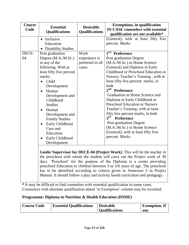| Course<br>Code | <b>Essential</b><br><b>Qualifications</b>                                   | <b>Desirable</b><br><b>Qualifications</b> | <b>Exemptions, in qualification</b><br><b>IN CASE counselors with essential</b><br>qualification are not available*                                                                                                                                                                                                                                                                           |
|----------------|-----------------------------------------------------------------------------|-------------------------------------------|-----------------------------------------------------------------------------------------------------------------------------------------------------------------------------------------------------------------------------------------------------------------------------------------------------------------------------------------------------------------------------------------------|
|                | • Inclusive                                                                 |                                           | (General), with at least fifty five                                                                                                                                                                                                                                                                                                                                                           |
|                | Education                                                                   |                                           | percent Marks                                                                                                                                                                                                                                                                                                                                                                                 |
|                | <b>Disability Studies</b>                                                   |                                           |                                                                                                                                                                                                                                                                                                                                                                                               |
| DECE-          | Post graduation                                                             | Work                                      | 1 <sup>rst</sup> Preference                                                                                                                                                                                                                                                                                                                                                                   |
| 04             | Degree (M.A./M.Sc.)                                                         | experience is                             | Post graduation Degree                                                                                                                                                                                                                                                                                                                                                                        |
|                | in any of the                                                               | preferred in all                          | (M.A./M.Sc.) in Home Science                                                                                                                                                                                                                                                                                                                                                                  |
|                | following: With at                                                          | cases.                                    | (General) and Diploma in Early                                                                                                                                                                                                                                                                                                                                                                |
|                | least fifty five percent                                                    |                                           | Childhood or Preschool Education or                                                                                                                                                                                                                                                                                                                                                           |
|                | marks.                                                                      |                                           | Nursery Teacher's Training, with at                                                                                                                                                                                                                                                                                                                                                           |
|                | Child<br>$\bullet$                                                          |                                           | least fifty five percent marks, in                                                                                                                                                                                                                                                                                                                                                            |
|                | Development                                                                 |                                           | both                                                                                                                                                                                                                                                                                                                                                                                          |
|                | Human<br>$\bullet$                                                          |                                           | 2 <sup>nd</sup><br>Preference                                                                                                                                                                                                                                                                                                                                                                 |
|                | Development and                                                             |                                           | Graduation in Home Science and                                                                                                                                                                                                                                                                                                                                                                |
|                | Childhood                                                                   |                                           | Diploma in Early Childhood or                                                                                                                                                                                                                                                                                                                                                                 |
|                | <b>Studies</b>                                                              |                                           | Preschool Education or Nursery                                                                                                                                                                                                                                                                                                                                                                |
|                | Human<br>$\bullet$                                                          |                                           | Teacher's Training, with at least                                                                                                                                                                                                                                                                                                                                                             |
|                | Development and                                                             |                                           | fifty five percent marks, in both                                                                                                                                                                                                                                                                                                                                                             |
|                | <b>Family Studies</b>                                                       |                                           | 3 <sup>rd</sup><br><b>Preference</b>                                                                                                                                                                                                                                                                                                                                                          |
|                | Early Childhood                                                             |                                           | Post graduation Degree                                                                                                                                                                                                                                                                                                                                                                        |
|                | Care and                                                                    |                                           | (M.A./M.Sc.) in Home Science                                                                                                                                                                                                                                                                                                                                                                  |
|                | Education                                                                   |                                           | (General), with at least fifty five                                                                                                                                                                                                                                                                                                                                                           |
|                | Early Childhood                                                             |                                           | percent Marks                                                                                                                                                                                                                                                                                                                                                                                 |
|                | Development                                                                 |                                           |                                                                                                                                                                                                                                                                                                                                                                                               |
|                |                                                                             |                                           | Guide/ Supervisor for DECE-04 (Project Work): This will be the teacher in<br>the preschool with whom the student will carry out the Project work of 30<br>days. 'Preschool' for the purpose of the Diploma is a centre providing<br>preschool Education to children between 3 to 5/6 years of age. The preschool<br>has to be identified according to criteria given in Annexure 5 in Project |
|                | Manual. It should follow a play and activity based curriculum and pedagogy. |                                           |                                                                                                                                                                                                                                                                                                                                                                                               |

**\*** It may be difficult to find counselors with essential qualification in some cases. Counselors with alternate qualification stated 'in Exemption' column may be recruited.

#### **Programme: Diploma in Nutrition & Health Education (DNHE)**

| <b>Course Code</b> | <b>Essential Qualifications</b> | <b>Desirable</b>      | <b>Exemption, If</b> |
|--------------------|---------------------------------|-----------------------|----------------------|
|                    |                                 | <b>Qualifications</b> | anv                  |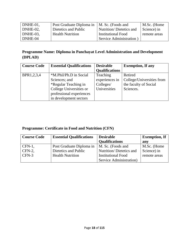| DNHE-01, | Post Graduate Diploma in | $\vert$ M. Sc. (Foods and | M.Sc. (Home  |
|----------|--------------------------|---------------------------|--------------|
| DNHE-02. | Dietetics and Public     | Nutrition/ Dietetics and  | Science) in  |
| DNHE-03. | <b>Health Nutrition</b>  | Institutional Food        | remote areas |
| DNHE-04  |                          | Service Administration)   |              |

### **Programme Name: Diploma in Panchayat Level Administration and Development (DPLAD)**

| <b>Course Code</b> | <b>Essential Qualifications</b> | <b>Desirable</b>      | <b>Exemption, If any</b>  |
|--------------------|---------------------------------|-----------------------|---------------------------|
|                    |                                 | <b>Qualifications</b> |                           |
| BPR1,2,3,4         | *M.Phil/Ph.D in Social          | Teaching              | Retired                   |
|                    | Sciences; and                   | experiences in        | College/Universities from |
|                    | *Regular Teaching in            | Colleges/             | the faculty of Social     |
|                    | College Universities or         | Universities          | Sciences.                 |
|                    | professional experiences        |                       |                           |
|                    | in development sectors          |                       |                           |

# **Programme: Certificate in Food and Nutrition (CFN)**

| <b>Course Code</b> | <b>Essential Qualifications</b> | <b>Desirable</b>          | <b>Exemption</b> , If |
|--------------------|---------------------------------|---------------------------|-----------------------|
|                    |                                 | <b>Qualifications</b>     | any                   |
| $\mathsf{CFN-1}$ . | Post Graduate Diploma in        | M. Sc. (Foods and         | M.Sc. (Home           |
| $CFN-2$ ,          | Dietetics and Public            | Nutrition/Dietetics and   | Science) in           |
| $CFN-3$            | <b>Health Nutrition</b>         | <b>Institutional Food</b> | remote areas          |
|                    |                                 | Service Administration)   |                       |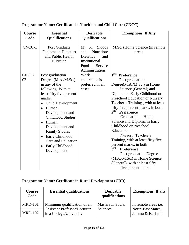| Course | <b>Essential</b>             | <b>Desirable</b>        | <b>Exemptions, If Any</b>             |
|--------|------------------------------|-------------------------|---------------------------------------|
| Code   | <b>Qualifications</b>        | <b>Qualifications</b>   |                                       |
|        |                              |                         |                                       |
| CNCC-1 | <b>Post Graduate</b>         | (Foods)<br>M. Sc.       | M.Sc. (Home Science) in remote        |
|        | Diploma in Dietetics         | Nutrition/<br>and       | areas                                 |
|        | and Public Health            | <b>Dietetics</b><br>and |                                       |
|        | Nutrition                    | Institutional           |                                       |
|        |                              | Food<br>Service         |                                       |
|        |                              | Administration          |                                       |
| CNCC-  | Post graduation              | Work                    | $1^{\text{rst}}$<br><b>Preference</b> |
| 02     | Degree (M.A./M.Sc.)          | experience is           | Post graduation                       |
|        | in any of the                | preferred in all        | Degree(M.A./M.Sc.) in Home            |
|        | following: With at           | cases.                  | Science (General) and                 |
|        | least fifty five percent     |                         | Diploma in Early Childhood or         |
|        | marks.                       |                         | Preschool Education or Nursery        |
|        | Child Development            |                         | Teacher's Training, with at least     |
|        | Human<br>$\bullet$           |                         | fifty five percent marks, in both     |
|        | Development and              |                         | 2 <sup>nd</sup><br>Preference         |
|        | <b>Childhood Studies</b>     |                         | <b>Graduation in Home</b>             |
|        | Human                        |                         | Science and Diploma in Early          |
|        | Development and              |                         | Childhood or Preschool                |
|        | <b>Family Studies</b>        |                         | <b>Education</b> or                   |
|        | Early Childhood<br>$\bullet$ |                         | Nursery Teacher's                     |
|        | Care and Education           |                         | Training, with at least fifty five    |
|        | Early Childhood<br>$\bullet$ |                         | percent marks, in both                |
|        | Development                  |                         | 3 <sup>rd</sup><br><b>Preference</b>  |
|        |                              |                         | Post graduation Degree                |
|        |                              |                         | (M.A./M.Sc.) in Home Science          |
|        |                              |                         | (General), with at least fifty        |
|        |                              |                         | five percent marks                    |

# **Programme Name: Certificate in Nutrition and Child Care (CNCC)**

# **Programme Name: Certificate in Rural Development (CRD)**

| Course<br>Code | <b>Essential qualifications</b>                                | <b>Desirable</b><br>qualifications | <b>Exemptions, If any</b>             |
|----------------|----------------------------------------------------------------|------------------------------------|---------------------------------------|
| <b>MRD-101</b> | Minimum qualification of an                                    | <b>Masters in Social</b>           | In remote areas <i>i.e.</i>           |
| $MRD-102$      | <b>Assistant Professor/Lecturer</b><br>in a College/University | Sciences                           | North-East States,<br>Jammu & Kashmir |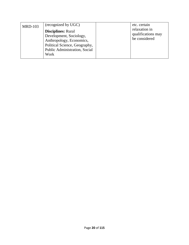| <b>MRD-103</b> | (recognized by UGC)                                                                                                                                               | etc. certain                                         |
|----------------|-------------------------------------------------------------------------------------------------------------------------------------------------------------------|------------------------------------------------------|
|                | <b>Disciplines: Rural</b><br>Development, Sociology,<br>Anthropology, Economics,<br>Political Science, Geography,<br><b>Public Administration, Social</b><br>Work | relaxation in<br>qualifications may<br>be considered |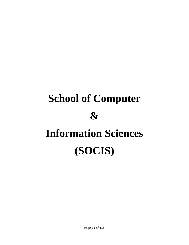# **School of Computer & Information Sciences (SOCIS)**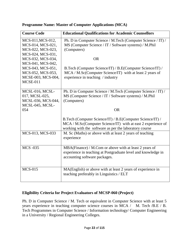| <b>Course Code</b>                                                                                                   | <b>Educational Qualifications for Academic Counsellors</b>                                                                                                                          |
|----------------------------------------------------------------------------------------------------------------------|-------------------------------------------------------------------------------------------------------------------------------------------------------------------------------------|
| MCS-011, MCS-012,<br>MCS-014, MCS-021,<br>MCS-022, MCS-023,<br>MCS-024, MCS-031,                                     | Ph. D in Computer Science / M.Tech (Computer Science / IT) /<br>MS (Computer Science / IT / Software systems) / M.Phil<br>(Computers)<br><b>OR</b>                                  |
| MCS-032, MCS-034,<br>MCS-041, MCS-042,<br>MCS-043, MCS-051,<br>MCS-052, MCS-053,<br>MCSE-003, MCS-004,<br>$MCSE-011$ | B.Tech (Computer Science/IT) / B.E(Computer Science/IT) /<br>MCA / M.Sc(Computer Science/IT) with at least 2 years of<br>experience in teaching / industry                          |
| MCSL-016, MCSL-<br>017, MCSL-025,<br>MCSL-036, MCS-044,<br>MCSL-045, MCSL-<br>054                                    | Ph. D in Computer Science / M.Tech (Computer Science / IT) /<br>MS (Computer Science / IT / Software systems) / M.Phil<br>(Computers)<br><b>OR</b>                                  |
|                                                                                                                      | B.Tech (Computer Science/IT) / B.E(Computer Science/IT) /<br>MCA / M.Sc(Computer Science/IT) with at east 2 experience of<br>working with the software as per the laboratory course |
| MCS-013, MCS-033                                                                                                     | M. Sc (Maths) or above with at least 2 years of teaching<br>experience                                                                                                              |
| <b>MCS -035</b>                                                                                                      | MBA(Finance) / M.Com or above with at least 2 years of<br>experience in teaching at Postgraduate level and knowledge in<br>accounting software packages.                            |
| <b>MCS-015</b>                                                                                                       | MA(English) or above with at least 2 years of experience in<br>teaching preferably in Linguistics / ELT                                                                             |

#### **Programme Name: Master of Computer Applications (MCA)**

#### **Eligibility Criteria for Project Evaluators of MCSP-060 (Project)**

Ph. D in Computer Science / M. Tech or equivalent in Computer Science with at least 5 years experience in teaching computer science courses in MCA / M. Tech /B.E / B. Tech Programmes in Computer Science / Information technology/ Computer Engineering in a University / Regional Engineering Colleges.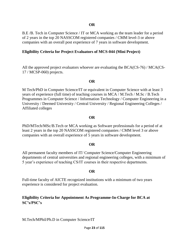B.E /B. Tech in Computer Science / IT or MCA working as the team leader for a period of 2 years in the top 20 NASSCOM registered companies / CMM level-3 or above companies with an overall post experience of 7 years in software development.

#### **Eligibility Criteria for Project Evaluators of MCS-044 (Mini Project)**

All the approved project evaluators whoever are evaluating the BCA(CS-76) / MCA(CS-17 / MCSP-060) projects.

#### **OR**

M Tech/PhD in Computer Science/IT or equivalent in Computer Science with at least 3 years of experience (full time) of teaching courses in MCA / M.Tech / M.Sc / B.Tech Programmes in Computer Science / Information Technology / Computer Engineering in a University / Deemed University / Central University / Regional Engineering Colleges / Affiliated colleges

#### **OR**

PhD/MTech/MSc/B.Tech or MCA working as Software professionals for a period of at least 2 years in the top 20 NASSCOM registered companies / CMM level 3 or above companies with an overall experience of 5 years in software development.

#### **OR**

All permanent faculty members of IT/ Computer Science/Computer Engineering departments of central universities and regional engineering colleges, with a minimum of 5 year's experience of teaching CS/IT courses in their respective departments.

#### **OR**

Full-time faculty of AICTE recognized institutions with a minimum of two years experience is considered for project evaluation.

#### **Eligibility Criteria for Appointment As Programme-In-Charge for BCA at SC's/PSC's**

M.Tech/MPhil/Ph.D in Computer Science/IT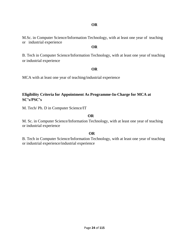#### **OR**

M.Sc. in Computer Science/Information Technology, with at least one year of teaching or industrial experience

#### **OR**

B. Tech in Computer Science/Information Technology, with at least one year of teaching or industrial experience

#### **OR**

MCA with at least one year of teaching/industrial experience

#### **Eligibility Criteria for Appointment As Programme-In-Charge for MCA at SC's/PSC's**

M. Tech/ Ph. D in Computer Science/IT

#### **OR**

M. Sc. in Computer Science/Information Technology, with at least one year of teaching or industrial experience

#### **OR**

B. Tech in Computer Science/Information Technology, with at least one year of teaching or industrial experience/industrial experience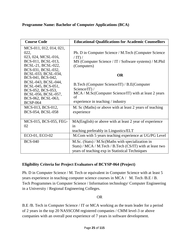#### **Programme Name: Bachelor of Computer Applications (BCA)**

| <b>Course Code</b>                                                                                                             | <b>Educational Qualifications for Academic Counsellors</b>                                                                                                         |
|--------------------------------------------------------------------------------------------------------------------------------|--------------------------------------------------------------------------------------------------------------------------------------------------------------------|
| MCS-011, 012, 014, 021,<br>022,<br>023, 024, MCSL-016,<br>BCS-011, BCSL-013,<br>BCSL-21, BCSL-022,<br>BCS-031, BCSL-032,       | Ph. D in Computer Science / M.Tech (Computer Science)<br>$/$ IT) $/$<br>MS (Computer Science / IT / Software systems) / M.Phil<br>(Computers)                      |
| BCSL-033, BCSL-034,<br>BCS-041, BCS-042,                                                                                       | <b>OR</b>                                                                                                                                                          |
| BCSL-043, BCSL-044,<br>BCSL-045, BCS-051,<br>BCS-052, BCS-053,<br>BCSL-056, BCSL-057,<br>BCS-062, BCSL-063,<br><b>BCSP-064</b> | B.Tech (Computer Science/IT) / B.E(Computer<br>Science/IT $)/$<br>MCA / M.Sc(Computer Science/IT) with at least 2 years<br>of<br>experience in teaching / industry |
| MCS-013, BCS-012,<br>BCS-054, BCSL-058                                                                                         | M. Sc (Maths) or above with at least 2 years of teaching<br>experience                                                                                             |
| MCS-015, BCS-055, FEG-<br>02                                                                                                   | MA(English) or above with at least 2 year of experience<br>1n<br>teaching preferably in Lingustics/ELT                                                             |
| ECO-01, ECO-02                                                                                                                 | M.Com with 5 years teaching experience at UG/PG Level                                                                                                              |
| <b>BCS-040</b>                                                                                                                 | M.Sc. (Stats) / M.Sc(Maths with specialization in<br>Stats) / MCA / M.Tech / B.Tech (CS/IT) with at least two<br>years of teaching exp in Statistical Techniques   |

#### **Eligibility Criteria for Project Evaluators of BCYSP-064 (Project)**

Ph. D in Computer Science / M. Tech or equivalent in Computer Science with at least 5 years experience in teaching computer science courses in MCA / M. Tech /B.E / B. Tech Programmes in Computer Science / Information technology/ Computer Engineering in a University / Regional Engineering Colleges.

OR

B.E /B. Tech in Computer Science / IT or MCA working as the team leader for a period of 2 years in the top 20 NASSCOM registered companies / CMM level-3 or above companies with an overall post experience of 7 years in software development.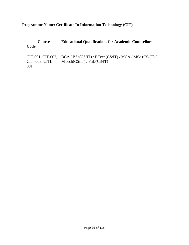**Programme Name: Certificate In Information Technology (CIT)**

| <b>Course</b><br>Code | <b>Educational Qualifications for Academic Counsellors</b>           |
|-----------------------|----------------------------------------------------------------------|
| CIT-003, CITL-        | CIT-001, CIT-002, $ BCA/ BSc(CS/IT)/ BTech(CS/IT)/ MCA/ MSc(CS/IT)/$ |
| 001                   | MTechn(CS/IT) / PhD(CS/IT)                                           |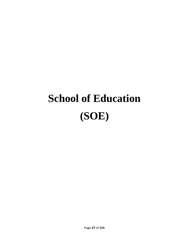# **School of Education (SOE)**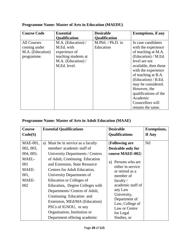| <b>Course Code</b> | <b>Essential</b>     | <b>Desirable</b>     | <b>Exemptions, if any</b> |
|--------------------|----------------------|----------------------|---------------------------|
|                    | <b>Qualification</b> | <b>Qualification</b> |                           |
| <b>All Courses</b> | M.A. (Education) /   | M.Phil. / Ph.D. in   | In case candidates        |
| coming under       | M.Ed. with           | Education            | with the experience       |
| M.A. (Education)   | experience of        |                      | of teaching at M.A.       |
| programme.         | teaching students at |                      | (Education) / M.Ed.       |
|                    | M.A. (Education) /   |                      | level are not             |
|                    | M.Ed. level.         |                      | available, then those     |
|                    |                      |                      | with the experience       |
|                    |                      |                      | of teaching at B.A.       |
|                    |                      |                      | (Education) / B.Ed.       |
|                    |                      |                      | may be considered.        |
|                    |                      |                      | However, the              |
|                    |                      |                      | qualifications of the     |
|                    |                      |                      | Academic                  |
|                    |                      |                      | Councellors will          |
|                    |                      |                      | remain the same.          |

# **Programme Name: Master of Arts in Education (MAEDU)**

#### **Programme Name: Master of Arts in Adult Education (MAAE)**

| <b>Essential Qualifications</b>                                                                                                                                                                                                                                                                                                                                                                                                                           | <b>Desirable</b>                                                                                                                                                                                                                                                              | <b>Exemptions,</b> |
|-----------------------------------------------------------------------------------------------------------------------------------------------------------------------------------------------------------------------------------------------------------------------------------------------------------------------------------------------------------------------------------------------------------------------------------------------------------|-------------------------------------------------------------------------------------------------------------------------------------------------------------------------------------------------------------------------------------------------------------------------------|--------------------|
|                                                                                                                                                                                                                                                                                                                                                                                                                                                           | <b>Qualifications</b>                                                                                                                                                                                                                                                         | If Any             |
| a) Must be in service as a faculty<br>member/academic staff of<br>University Departments / Centres<br>of Adult, Continuing Education<br>and Extension, State Resource<br>Centres for Adult Education,<br>University Departments of<br>Education or Colleges of<br>Education, Degree Colleges with<br>Departments/ Centres of Adult,<br>Continuing Education and<br>Extension, MEd/MA (Education)<br>PSCs of IGNOU, or any<br>Organisation, Institution or | (Following are<br><b>Desirable only for</b><br>course MAEE-002)<br>Persons who are<br>a)<br>either in service<br>or retired as a<br>member of<br>faculty $/$<br>academic staff of<br>any Law<br>University,<br>Department of<br>Law, College of<br>Law or Centre<br>for Legal | <b>Nil</b>         |
|                                                                                                                                                                                                                                                                                                                                                                                                                                                           | Department offering academic                                                                                                                                                                                                                                                  | Studies, or        |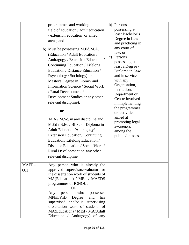|              | programmes and working in the<br>field of education / adult education<br>/ extension education or allied<br>areas; and<br>b) Must be possessing M.Ed/M.A.<br>(Education / Adult Education /<br>Andragogy / Extension Education /<br>Continuing Education / Lifelong<br>Education / Distance Education /<br>Psychology / Sociology) or<br>Master's Degree in Library and<br><b>Information Science / Social Work</b><br>/ Rural Development /<br>Development Studies or any other<br>relevant discipline);<br><b>or</b><br>$M.A / M.Sc.$ in any discipline and<br>M.Ed / B.Ed / BliSc or Diploma in<br><b>Adult Education/Andragogy/</b><br><b>Extension Education/Continuing</b><br>Education/Lifelong Education /<br>Distance Education / Social Work /<br>Rural Development or any other<br>relevant discipline. | b) Persons<br>possessing at<br>least Bachelor's<br>Degree in Law<br>and practicing in<br>any court of<br>law, or<br>Persons<br>$\mathbf{c})$<br>possessing at<br>least a Degree /<br>Diploma in Law<br>and in service<br>with any<br>Organisation,<br>Institution,<br>Department or<br>Centre involved<br>in implementing<br>the programmes<br>or activities<br>aimed at<br>promoting legal<br>awareness<br>among the<br>public / masses. |  |
|--------------|--------------------------------------------------------------------------------------------------------------------------------------------------------------------------------------------------------------------------------------------------------------------------------------------------------------------------------------------------------------------------------------------------------------------------------------------------------------------------------------------------------------------------------------------------------------------------------------------------------------------------------------------------------------------------------------------------------------------------------------------------------------------------------------------------------------------|-------------------------------------------------------------------------------------------------------------------------------------------------------------------------------------------------------------------------------------------------------------------------------------------------------------------------------------------------------------------------------------------------------------------------------------------|--|
| MAEP-<br>001 | Any person who is already the<br>approved supervisor/evaluator for<br>the dissertation work of students of<br>MA(Education) / MEd / MAEDS<br>programmes of IGNOU.<br><b>OR</b><br>Any person<br>who<br>possesses<br>MPhil/PhD<br>Degree<br>and<br>has<br>supervised and/or is supervising<br>dissertation work of students of<br>MA(Education) / MEd / MA(Adult<br>Education / Andragogy) of any                                                                                                                                                                                                                                                                                                                                                                                                                   |                                                                                                                                                                                                                                                                                                                                                                                                                                           |  |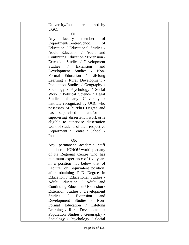| University/Institute recognized by               |  |
|--------------------------------------------------|--|
| UGC.                                             |  |
| <b>OR</b>                                        |  |
| faculty<br>Any<br>member<br>of                   |  |
| Department/Centre/School<br>of                   |  |
| Education / Educational Studies /                |  |
| Adult Education / Adult and                      |  |
| Continuing Education / Extension /               |  |
| Extension Studies / Development                  |  |
| Studies / Extension<br>and                       |  |
| Development Studies /<br>Non-                    |  |
| Formal Education / Lifelong                      |  |
| Learning / Rural Development /                   |  |
| Population Studies / Geography /                 |  |
| Sociology / Psychology / Social                  |  |
| Work / Political Science / Legal                 |  |
| Studies of any University /                      |  |
| Institute recognized by UGC who                  |  |
| possesses MPhil/PhD Degree and                   |  |
| supervised<br>and/or<br>has<br>$\frac{1}{1}$     |  |
| supervising dissertation work or is              |  |
| eligible to supervise dissertation               |  |
| work of students of their respective             |  |
| Department / Centre / School /                   |  |
| Institute.                                       |  |
| <b>OR</b>                                        |  |
| Any permanent academic staff                     |  |
| member of IGNOU working at any                   |  |
| of its Regional Centre who has                   |  |
| minimum experience of five years                 |  |
| in a position not below that of                  |  |
| Lecturer or equivalent position,                 |  |
| after obtaining PhD Degree in                    |  |
| Education / Educational Studies /                |  |
| Adult Education / Adult and                      |  |
| Continuing Education / Extension /               |  |
| Extension Studies / Development                  |  |
| <b>Studies</b><br>Extension<br>$\sqrt{2}$<br>and |  |
| Development<br>Studies<br>Non-<br>$\sqrt{2}$     |  |
| Formal Education<br>Lifelong<br>$\sqrt{2}$       |  |
| Learning / Rural Development /                   |  |
| Population Studies / Geography /                 |  |
| Sociology / Psychology / Social                  |  |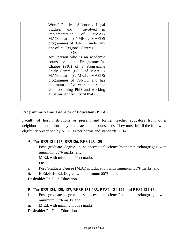| Work/ Political Science / Legal   |  |
|-----------------------------------|--|
|                                   |  |
| Studies, and involved in          |  |
| implementation of MAAE/           |  |
| MA(Education) / MEd / MAEDS       |  |
| programmes of IGNOU under any     |  |
| one of its Regional Centres.      |  |
| <b>OR</b>                         |  |
| Any person who is an academic     |  |
| counsellor at or a Programme In-  |  |
| Charge (PIC) of a Programme       |  |
| Study Centre (PSC) of MAAE /      |  |
| MA(Education) / MEd / MAEDS       |  |
| programmes of IGNOU and has       |  |
| minimum of five years experience  |  |
| after obtaining PhD and working   |  |
| as permanent faculty of that PSC. |  |
|                                   |  |

#### **Programme Name: Bachelor of Education (B.Ed.)**

Faculty of host institutions or present and former teacher educators from other neighboring institutions may be the academic counsellors. They must fulfill the following eligibility prescribed by NCTE as per norms and standards, 2014.

#### **A. For BES 121-123, BES126, BES 128-129**

- i. Post graduate degree in science/social-science/mathematics/languages with minimum 55% marks; and
- ii. M.Ed. with minimum 55% marks **Or**
- i. Post Graduate Degree (M.A.) in Education with minimum 55% marks; and
- ii. B.Ed./B.El.Ed. Degree with minimum 55% marks

**Desirable:** Ph.D. in Education

#### **B. For BES 124, 125, 127, BESE 131-135, BESL 121-122 and BESL131-134**

- i. Post graduate degree in science/social-science/mathematics/languages with minimum 55% marks and
- ii. M.Ed. with minimum 55% marks

**Desirable:** Ph.D. in Education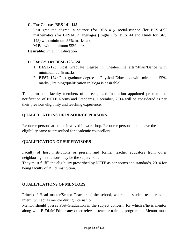#### **C. For Courses BES 141-145**

Post graduate degree in science (for BES141)/ social-science (for BES142)/ mathematics (for BES143)/ languages (English for BES144 and Hindi for BES 145) with minimum 55% marks and

M.Ed. with minimum 55% marks

**Desirable:** Ph.D. in Education

#### **D. For Courses BESL 123-124**

- 1. **BESL-123:** Post Graduate Degree in Theater/Fine arts/Music/Dance with minimum 55 % marks
- 2. **BESL-124:** Post graduate degree in Physical Education with minimum 55% marks (Training/qualification in Yoga is desirable)

The permanent faculty members of a recognized Institution appointed prior to the notification of NCTE Norms and Standards, December, 2014 will be considered as per their previous eligibility and teaching experience.

#### **QUALIFICATIONS OF RESOURCE PERSONS**

Resource persons are to be involved in workshop. Resource person should have the eligibility same as prescribed for academic counsellors.

#### **QUALIFICATION OF SUPERVISORS**

Faculty of host institutions or present and former teacher educators from other neighboring institutions may be the supervisors.

They must fulfill the eligibility prescribed by NCTE as per norms and standards, 2014 for being faculty of B.Ed. institution.

#### **QUALIFICATIONS OF MENTORS**

Principal/ Head master/Senior Teacher of the school, where the student-teacher is an intern, will act as mentor during internship.

Mentor should posses Post-Graduation in the subject concern, for which s/he is mentor along with B.Ed./M.Ed. or any other relevant teacher training programme. Mentor must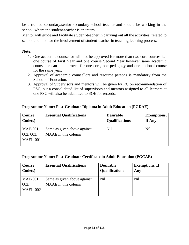be a trained secondary/senior secondary school teacher and should be working in the school, where the student-teacher is an intern.

Mentor will guide and facilitate student-teacher in carrying out all the activities, related to school and monitor the involvement of student-teacher in teaching learning process.

#### **Note:**

- 1. One academic counsellor will not be approved for more than two core courses i.e. one course of First Year and one course Second Year however same academic counsellor can be approved for one core, one pedagogy and one optional course for the same year.
- 2. Approval of academic counsellors and resource persons is mandatory from the School of Education.
- 3. Approval of Supervisors and mentors will be given by RC on recommendation of PSC, but a consolidated list of supervisors and mentors assigned to all learners at one PSC will also be submitted to SOE for records.

#### **Programme Name: Post-Graduate Diploma in Adult Education (PGDAE)**

| <b>Course</b><br>Code(s) | <b>Essential Qualifications</b> | <b>Desirable</b><br><b>Qualifications</b> | <b>Exemptions,</b><br>If Any |
|--------------------------|---------------------------------|-------------------------------------------|------------------------------|
| $MAE-001$ ,              | Same as given above against     | <b>Nil</b>                                | <b>Nil</b>                   |
| 002, 003,                | MAAE in this column             |                                           |                              |
| MAEL-001                 |                                 |                                           |                              |
|                          |                                 |                                           |                              |

#### **Programme Name: Post-Graduate Certificate in Adult Education (PGCAE)**

| Course<br>Code(s) | <b>Essential Qualifications</b> | <b>Desirable</b><br><b>Qualifications</b> | <b>Exemptions, If</b><br>Any |
|-------------------|---------------------------------|-------------------------------------------|------------------------------|
| MAE-001,          | Same as given above against     | Nil                                       | Nil                          |
| 002,              | MAAE in this column             |                                           |                              |
| MAEL-002          |                                 |                                           |                              |
|                   |                                 |                                           |                              |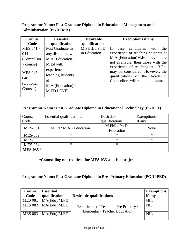#### **Programme Name: Post Graduate Diploma in Educational Management and Administration (PGDEMA)**

| Course            | <b>Essential</b>                  | <b>Desirable</b>                 | <b>Exemptions if any</b>                                              |
|-------------------|-----------------------------------|----------------------------------|-----------------------------------------------------------------------|
| Code<br>MES 041 - | qualification<br>Post Graduate in | qualifications<br>M.PHIL / Ph.D. | candidates<br>with<br>the.<br>In<br>case                              |
| 044               | any discipline with               | in Education.                    | experience of teaching students at                                    |
| (Compulsor        | M.A.(Education)/                  |                                  | M.A.(Education)M.Ed. level are                                        |
| y course)         | M.Ed with                         |                                  | not available, then those with the<br>experience of teaching at B.Ed. |
| MES 045 to        | experience of                     |                                  | may be considered. However, the                                       |
| 048               | teaching students                 |                                  | qualifications of the Academic                                        |
| (Optional)        | at                                |                                  | Counsellors will remain the same.                                     |
| Courses)          | M.A.(Education)/                  |                                  |                                                                       |
|                   | M.ED LEVEL.                       |                                  |                                                                       |

#### **Programme Name: Post Graduate Diploma in Educational Technology (PGDET)**

| Course          | <b>Essential qualifications</b> | Desirable      | Exemptions, |
|-----------------|---------------------------------|----------------|-------------|
| Code            |                                 | qualifications | If any      |
| <b>MES-031</b>  | M.Ed./ M.A. (Education)         | M.Phil./ Ph.D. | None        |
|                 |                                 | Education      |             |
| <b>MES-032</b>  | ,,                              | ,,             | ,,          |
| <b>MES-033</b>  | ,,                              | ,,             | ,,          |
| <b>MES-034</b>  | ,,                              | ,,             | ,,          |
| <b>MES-035*</b> | -                               |                | -           |

**\*Counselling not required for MES-035 as it is a project**

**Programme Name: Post Graduate Diploma in Pre- Primary Education (PGDPPED)**

| Course         | <b>Essential</b> |                                      | <b>Exemptions</b> |
|----------------|------------------|--------------------------------------|-------------------|
| Code           | qualification    | <b>Desirable qualifications</b>      | if any            |
| <b>MES 081</b> | MA(Edu)/MED      |                                      | <b>NIL</b>        |
| <b>MES 082</b> | MA(Edu)/M ED     | Experience of Teaching Pre Primary / | <b>NIL</b>        |
|                |                  | <b>Elementary Teacher Education</b>  |                   |
| <b>MES 083</b> | MA(Edu)/MED      |                                      | <b>NIL</b>        |
|                |                  |                                      |                   |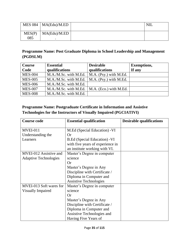|               | MES 084   $MA(Edu)/M.ED$ | <b>NIL</b> |
|---------------|--------------------------|------------|
| MES(P)<br>085 | MA(Edu)/MED              |            |

#### **Programme Name: Post Graduate Diploma in School Leadership and Management (PGDSLM)**

| <b>Course</b>  | <b>Essential</b>                                 | <b>Desirable</b>       | <b>Exemptions,</b> |
|----------------|--------------------------------------------------|------------------------|--------------------|
| Code           | qualifications                                   | qualifications         | If any             |
| <b>MES-004</b> | M.A./M.Sc. with M.Ed.                            | M.A. (Psy.) with M.Ed. |                    |
| <b>MES-005</b> | $M.A./M.Sc.$ with M.Ed.   M.A. (Psy.) with M.Ed. |                        |                    |
| <b>MES-006</b> | M.A./M.Sc. with M.Ed.                            |                        |                    |
| <b>MES-007</b> | M.A./M.Sc. with M.Ed.   M.A. (Eco.) with M.Ed.   |                        |                    |
| <b>MES-008</b> | M.A./M.Sc. with M.Ed.                            |                        |                    |

#### **Programme Name: Postgraduate Certificate in Information and Assistive Technologies for the Instructors of Visually Impaired (PGCIATIVI)**

| <b>Course code</b>           | <b>Essential qualification</b>   | <b>Desirable qualifications</b> |
|------------------------------|----------------------------------|---------------------------------|
| MVEI-011                     | M.Ed (Special Education) - VI    |                                 |
| Understanding the            | Or                               |                                 |
| Learners                     | B.Ed (Special Education) - VI    |                                 |
|                              | with five years of experience in |                                 |
|                              | an institute working with VI.    |                                 |
| MVEI-012 Assistive and       | Master's Degree in computer      |                                 |
| <b>Adaptive Technologies</b> | science                          |                                 |
|                              | <b>Or</b>                        |                                 |
|                              | Master's Degree in Any           |                                 |
|                              | Discipline with Certificate /    |                                 |
|                              | Diploma in Computer and          |                                 |
|                              | <b>Assistive Technologies</b>    |                                 |
| MVEI-013 Soft wares for      | Master's Degree in computer      |                                 |
| <b>Visually Impaired</b>     | science                          |                                 |
|                              | Or                               |                                 |
|                              | Master's Degree in Any           |                                 |
|                              | Discipline with Certificate /    |                                 |
|                              | Diploma in Computer and          |                                 |
|                              | Assistive Technologies and       |                                 |
|                              | Having Five Years of             |                                 |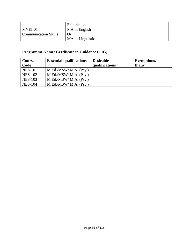|                             | Experience.      |  |
|-----------------------------|------------------|--|
| $MVEI-014$                  | MA in English    |  |
| <b>Communication Skills</b> | Or               |  |
|                             | MA in Linguistic |  |

# **Programme Name: Certificate in Guidance (CIG)**

| <b>Course</b><br>Code | <b>Essential qualifications</b> | <b>Desirable</b><br>qualifications | <b>Exemptions,</b><br>If any |
|-----------------------|---------------------------------|------------------------------------|------------------------------|
| <b>NES-101</b>        | M.Ed./MSW/ M.A. (Psy.)          |                                    |                              |
| <b>NES-102</b>        | M.Ed./MSW/ M.A. (Psy.)          |                                    |                              |
| <b>NES-103</b>        | M.Ed. / MSW/ M.A. (Psv.)        |                                    |                              |
| <b>NES-104</b>        | M.Ed./MSW/ M.A. (Psy.)          |                                    |                              |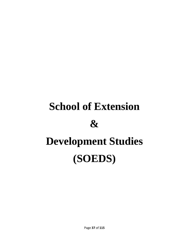# **School of Extension & Development Studies (SOEDS)**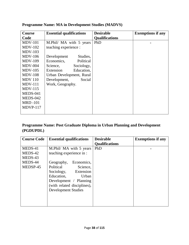| <b>Course</b>  | <b>Essential qualifications</b> | <b>Desirable</b>      | <b>Exemptions if any</b> |
|----------------|---------------------------------|-----------------------|--------------------------|
| Code           |                                 | <b>Qualifications</b> |                          |
| $MDV-101$      | M.Phil/ MA with 5 years         | PhD                   |                          |
| $MDV-102$      | teaching experience :           |                       |                          |
| $MDV-103$      |                                 |                       |                          |
| <b>MDV-106</b> | Studies,<br>Development         |                       |                          |
| $MDV-109$      | Economics,<br>Political         |                       |                          |
| $MDV-004$      | Sociology,<br>Science,          |                       |                          |
| $MDV-105$      | Education,<br>Extension         |                       |                          |
| $MDV-108$      | Urban Development, Rural        |                       |                          |
| <b>MDV</b> 110 | Development,<br>Social          |                       |                          |
| $MDV-111$      | Work, Geography.                |                       |                          |
| $MDV-115$      |                                 |                       |                          |
| MEDS-041       |                                 |                       |                          |
| MEDS-042       |                                 |                       |                          |
| <b>MRD-101</b> |                                 |                       |                          |
| $MDVP-117$     |                                 |                       |                          |
|                |                                 |                       |                          |

### **Programme Name: MA in Development Studies (MADVS)**

### **Programme Name: Post Graduate Diploma in Urban Planning and Development (PGDUPDL)**

| <b>Course Code</b> | <b>Essential qualifications</b> | <b>Desirable</b>      | <b>Exemptions if any</b> |
|--------------------|---------------------------------|-----------------------|--------------------------|
|                    |                                 | <b>Qualifications</b> |                          |
| MEDS-41            | M.Phil/ MA with 5 years         | PhD                   |                          |
| MEDS-42            | teaching experience in :        |                       |                          |
| MEDS-43            |                                 |                       |                          |
| MEDS-44            | Economics,<br>Geography,        |                       |                          |
| MEDSP-45           | Political<br>Science,           |                       |                          |
|                    | Sociology, Extension            |                       |                          |
|                    | Education,<br>Urban             |                       |                          |
|                    | Development / Planning          |                       |                          |
|                    | (with related disciplines),     |                       |                          |
|                    | <b>Development Studies</b>      |                       |                          |
|                    |                                 |                       |                          |
|                    |                                 |                       |                          |
|                    |                                 |                       |                          |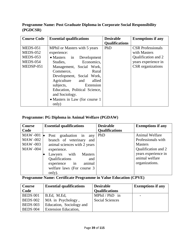### **Programme Name: Post Graduate Diploma in Corporate Social Responsibility (PGDCSR)**

| <b>Course Code</b> | <b>Essential qualifications</b> | <b>Desirable</b>      | <b>Exemptions if any</b> |
|--------------------|---------------------------------|-----------------------|--------------------------|
|                    |                                 | <b>Qualifications</b> |                          |
| $MEDS-051$         | MPhil or Masters with 5 years   | PhD                   | <b>CSR</b> Professionals |
| $MEDS-052$         | experience:                     |                       | with Masters             |
| <b>MEDS-053</b>    | • Masters in Development        |                       | Qualification and 2      |
| <b>MEDS-054</b>    | Economics,<br>Studies,          |                       | years experience in      |
| MEDSP-051          | Management, Social Work,        |                       | CSR organizations        |
|                    | Commerce,<br>Rural              |                       |                          |
|                    | Development, Social Work,       |                       |                          |
|                    | allied<br>Agriculture and       |                       |                          |
|                    | subjects,<br>Extension          |                       |                          |
|                    | Education, Political Science,   |                       |                          |
|                    | and Sociology.                  |                       |                          |
|                    | • Masters in Law (for course 1  |                       |                          |
|                    | only)                           |                       |                          |

### **Programme: PG Diploma in Animal Welfare (PGDAW)**

| <b>Course</b>   | <b>Essential qualifications</b> | <b>Desirable</b>      | <b>Exemptions if any</b> |
|-----------------|---------------------------------|-----------------------|--------------------------|
| Code            |                                 | <b>Oualifications</b> |                          |
| <b>MAW-001</b>  | Post graduation in<br>any       | PhD                   | Animal Welfare           |
| MAW -002        | branch of veterinary and        |                       | Professionals with       |
| <b>MAW-003</b>  | animal sciences with 2 years    |                       | <b>Masters</b>           |
| <b>MAW -004</b> | experience.                     |                       | Qualification and 2      |
|                 | Lawyers with<br><b>Masters</b>  |                       | years experience in      |
|                 | Qualifications<br>and           |                       | animal welfare           |
|                 | experience in<br>animal         |                       | organizations.           |
|                 | welfare laws (For course 3      |                       |                          |
|                 | only).                          |                       |                          |

**Programme Name: Certificate Programme in Value Education (CPVE)**

| <b>Course</b>   | <b>Essential qualifications</b> | <b>Desirable</b>       | <b>Exemptions if any</b> |
|-----------------|---------------------------------|------------------------|--------------------------|
| Code            |                                 | <b>Qualifications</b>  |                          |
| <b>BEDS 001</b> | B.Ed, M.Ed,                     | MPhil / $PhD$ in       | $\overline{\phantom{0}}$ |
| <b>BEDS 002</b> | MA in Psychology,               | <b>Social Sciences</b> |                          |
| <b>BEDS 003</b> | Education, Sociology and        |                        |                          |
| <b>BEDS 004</b> | <b>Extension Education,</b>     |                        |                          |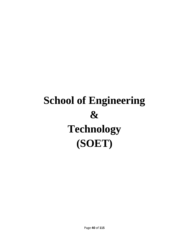## **School of Engineering & Technology (SOET)**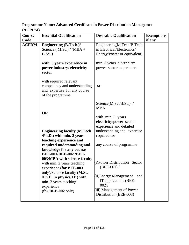### **Programme Name: Advanced Certificate in Power Distribution Managemet (ACPDM)**

| Course       | <b>Essential Qualification</b>                         | <b>Desirable Qualification</b>  | <b>Exemptions</b> |
|--------------|--------------------------------------------------------|---------------------------------|-------------------|
| Code         |                                                        |                                 | if any            |
| <b>ACPDM</b> | <b>Engineering (B.Tech.)/</b>                          | Engineering(M.Tech/B.Tech       |                   |
|              | Science (M.Sc.) / (MBA +                               | in Electrical/Electronics/      |                   |
|              | $B.Sc.$ )                                              | Energy/Power or equivalent)     |                   |
|              |                                                        |                                 |                   |
|              | with 3 years experience in                             | min. 3 years electricity/       |                   |
|              | power industry/electricity                             | power sector experience         |                   |
|              | sector                                                 |                                 |                   |
|              |                                                        |                                 |                   |
|              | with required relevant<br>competency and understanding | <b>or</b>                       |                   |
|              | and expertise for any course                           |                                 |                   |
|              | of the programme                                       |                                 |                   |
|              |                                                        |                                 |                   |
|              |                                                        | $Science(M.Sc./B.Sc.)$ /        |                   |
|              |                                                        | <b>MBA</b>                      |                   |
|              | $\underline{\mathbf{OR}}$                              |                                 |                   |
|              |                                                        | with min. 5 years               |                   |
|              |                                                        | electricity/power sector        |                   |
|              |                                                        | experience and detailed         |                   |
|              | <b>Engineering faculty (M.Tech</b>                     | understanding and expertise     |                   |
|              | /Ph.D.) with min. 2 years                              | required for                    |                   |
|              | teaching experience and                                |                                 |                   |
|              | required understanding and                             | any course of programme         |                   |
|              | knowledge for any course                               |                                 |                   |
|              | <b>BEE-001/BEE-002 /BEE-</b>                           |                                 |                   |
|              | 003/MBA with science faculty                           | $(i)$ Power Distribution Sector |                   |
|              | with min. 2 years teaching<br>experience (for BEE-003  | $(BEE-001) /$                   |                   |
|              | only)/Science faculty ( <b>M.Sc.</b>                   |                                 |                   |
|              | <b>/Ph.D. in physics/IT</b> ) with                     | (ii) Energy Management<br>and   |                   |
|              | min. 2 years teaching                                  | IT applications (BEE-           |                   |
|              | experience                                             | $002$ )/                        |                   |
|              | $(for$ BEE-002 only)                                   | (iii) Management of Power       |                   |
|              |                                                        | Distribution (BEE-003)          |                   |
|              |                                                        |                                 |                   |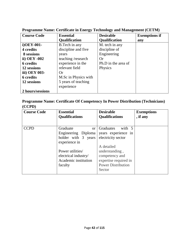| <b>Course Code</b> | <b>Essential</b>     | <b>Desirable</b>     | <b>Exemptions if</b> |
|--------------------|----------------------|----------------------|----------------------|
|                    | <b>Qualification</b> | <b>Qualification</b> | any                  |
| i)OEY-001-         | B. Tech in any       | M. tech in any       |                      |
| 4 credits          | discipline and five  | discipline of        |                      |
| 8 sessions         | years                | Engineering          |                      |
| ii) OEY -002       | teaching /research   | Or                   |                      |
| <b>6</b> credits   | experience in the    | Ph.D in the area of  |                      |
| 12 sessions        | relevant field       | Physics              |                      |
| iii) OEY 003-      | <b>Or</b>            |                      |                      |
| <b>6</b> credits   | M.Sc in Physics with |                      |                      |
| 12 sessions        | 5 years of teaching  |                      |                      |
|                    | experience           |                      |                      |
| 2 hours/sessions   |                      |                      |                      |

### **Programme Name: Certificate in Energy Technology and Management (CETM)**

### **Programme Name: Certificate Of Competency In Power Distribution (Technicians) (CCPD)**

| <b>Course Code</b> | <b>Essential</b><br><b>Desirable</b><br><b>Qualifications</b><br><b>Qualifications</b>                                                                       |                                                                                                                                                                                    | <b>Exemptions</b><br>, if any |
|--------------------|--------------------------------------------------------------------------------------------------------------------------------------------------------------|------------------------------------------------------------------------------------------------------------------------------------------------------------------------------------|-------------------------------|
| <b>CCPD</b>        | Graduate<br>or<br>Engineering Diploma<br>holder with 3 years<br>experience in<br>Power utilities/<br>electrical industry/<br>Academic institution<br>faculty | Graduates<br>with 5<br>years experience in<br>electricity sector<br>A detailed<br>understanding,<br>competency and<br>expertise required in<br><b>Power Distribution</b><br>Sector |                               |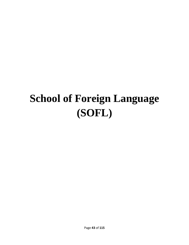### **School of Foreign Language (SOFL)**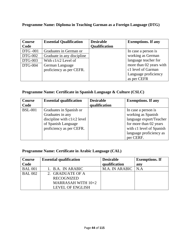### **Programme Name: Diploma in Teaching Garman as a Foreign Language (DTG)**

| Course          | <b>Essential Qualification</b> | <b>Desirable</b>     | <b>Exemptions. If any</b> |
|-----------------|--------------------------------|----------------------|---------------------------|
| Code            |                                | <b>Qualification</b> |                           |
| <b>DTG</b> -001 | Graduates in German or         |                      | In case a person is       |
| <b>DTG-002</b>  | Graduate in any discipline     |                      | working as German         |
| <b>DTG-003</b>  | With $c1/c2$ Level of          |                      | language teacher for      |
| <b>DTG-004</b>  | German Language                |                      | more than 02 years with   |
|                 | proficiency as per CEFR.       |                      | c1 level of Garman        |
|                 |                                |                      | Language proficiency      |
|                 |                                |                      | as per CEFR               |

### **Programme Name: Certificate in Spanish Language & Culture (CSLC)**

| <b>Course</b>  | <b>Essential qualification</b> | <b>Desirable</b> | <b>Exemptions.</b> If any |
|----------------|--------------------------------|------------------|---------------------------|
| Code           |                                | qualification    |                           |
| <b>BSL-001</b> | Graduates in Spanish or        |                  | In case a person is       |
|                | Graduates in any               |                  | working as Spanish        |
|                | discipline with $c1/c2$ level  |                  | language export/Teacher   |
|                | of Spanish Language            |                  | for more than 02 years    |
|                | proficiency as per CEFR.       |                  | with c1 level of Spanish  |
|                |                                |                  | language proficiency as   |
|                |                                |                  | per CERF.                 |

### **Programme Name: Certificate in Arabic Language (CAL)**

| Course         | <b>Essential qualification</b> | <b>Desirable</b> | <b>Exemptions. If</b> |
|----------------|--------------------------------|------------------|-----------------------|
| Code           |                                | qualification    | any                   |
| <b>BAL 001</b> | 1. B.A. IN ARABIC              | M.A. IN ARABIC   | N.A                   |
| <b>BAL 002</b> | 2. GRADUATE OF A               |                  |                       |
|                | <b>RECOGNIZED</b>              |                  |                       |
|                | MARRASAH WITH $10+2$           |                  |                       |
|                | <b>LEVEL OF ENGLISH</b>        |                  |                       |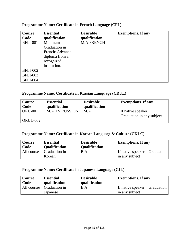| Course          | <b>Essential</b> | <b>Desirable</b>  | <b>Exemptions. If any</b> |
|-----------------|------------------|-------------------|---------------------------|
| Code            | qualification    | qualification     |                           |
| <b>BFLi-001</b> | Minimum          | <b>M.A FRENCH</b> |                           |
|                 | Graduation in    |                   |                           |
|                 | French/Advance   |                   |                           |
|                 | diploma from a   |                   |                           |
|                 | recognized       |                   |                           |
|                 | institution.     |                   |                           |
| <b>BFLI-002</b> |                  |                   |                           |
| <b>BFLI-003</b> |                  |                   |                           |
| <b>BFLI-004</b> |                  |                   |                           |

### **Programme Name: Certificate in French Language (CFL)**

### **Programme Name: Certificate in Russian Language (CRUL)**

| Course<br>Code | <b>Essential</b><br>qualification | <b>Desirable</b><br>qualification | <b>Exemptions. If any</b> |
|----------------|-----------------------------------|-----------------------------------|---------------------------|
| <b>ORU-001</b> | <b>M.A IN RUSSION</b>             | M.A                               | If native speaker.        |
|                |                                   |                                   | Graduation in any subject |
| $ORUL-002$     |                                   |                                   |                           |

### **Programme Name: Certificate in Korean Language & Culture (CKLC)**

| Course | <b>Essential</b>                      | <b>Desirable</b>     | <b>Exemptions. If any</b>                       |
|--------|---------------------------------------|----------------------|-------------------------------------------------|
| Code   | <b>Qualification</b>                  | <b>Qualification</b> |                                                 |
|        | All courses   Graduation in<br>Korean | B.A                  | If native speaker. Graduation<br>in any subject |

### **Programme Name: Certificate in Japanese Language (CJL)**

| Course | <b>Essential</b>                        | <b>Desirable</b> | <b>Exemptions. If any</b>                       |
|--------|-----------------------------------------|------------------|-------------------------------------------------|
| Code   | qualification                           | qualification    |                                                 |
|        | All courses   Graduation in<br>Japanese | B.A              | If native speaker. Graduation<br>in any subject |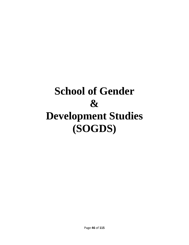### **School of Gender & Development Studies (SOGDS)**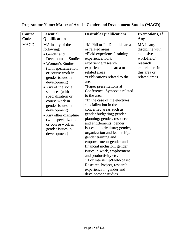| <b>Course</b> | <b>Essential</b>                                                                                                                                                                                                                                                                                                                                                                                                  | <b>Desirable Qualifications</b>                                                                                                                                                                                                                                                                                                                                                                                                                                                                                                                                                                                                                                                                                                                                                                     | <b>Exemptions, If</b>                                                                                                  |
|---------------|-------------------------------------------------------------------------------------------------------------------------------------------------------------------------------------------------------------------------------------------------------------------------------------------------------------------------------------------------------------------------------------------------------------------|-----------------------------------------------------------------------------------------------------------------------------------------------------------------------------------------------------------------------------------------------------------------------------------------------------------------------------------------------------------------------------------------------------------------------------------------------------------------------------------------------------------------------------------------------------------------------------------------------------------------------------------------------------------------------------------------------------------------------------------------------------------------------------------------------------|------------------------------------------------------------------------------------------------------------------------|
| Code          | Qualifications                                                                                                                                                                                                                                                                                                                                                                                                    |                                                                                                                                                                                                                                                                                                                                                                                                                                                                                                                                                                                                                                                                                                                                                                                                     | Any                                                                                                                    |
| <b>MAGD</b>   | MA in any of the<br>following:<br>• Gender and<br><b>Development Studies</b><br>• Women's Studies<br>(with specialization<br>or course work in<br>gender issues in<br>development)<br>• Any of the social<br>sciences (with<br>specialization or<br>course work in<br>gender issues in<br>development)<br>• Any other discipline<br>(with specialization<br>or course work in<br>gender issues in<br>development) | *M.Phil or Ph.D. in this area<br>or related areas<br>*Field experience/ training<br>experience/work<br>experience/research<br>experience in this area or<br>related areas<br>*Publications related to the<br>area<br>*Paper presentations at<br>Conference, Symposia related<br>to the area<br>*In the case of the electives,<br>specialization in the<br>concerned areas such as<br>gender budgeting; gender<br>planning; gender, resources<br>and entitlements; gender<br>issues in agriculture; gender,<br>organization and leadership;<br>gender training and<br>empowerment; gender and<br>financial inclusion; gender<br>issues in work, employment<br>and productivity etc.<br>* For Internship/Field-based<br>Research Project, research<br>experience in gender and<br>development studies | MA in any<br>discipline with<br>extensive<br>work/field/<br>research<br>experience in<br>this area or<br>related areas |

### **Programme Name: Master of Arts in Gender and Development Studies (MAGD)**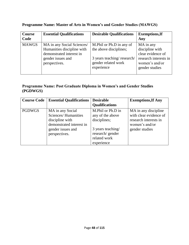| <b>Course</b><br>Code | <b>Essential Qualifications</b>                                | <b>Desirable Qualifications</b>                                 | <b>Exemptions, If</b><br>Any                                                   |
|-----------------------|----------------------------------------------------------------|-----------------------------------------------------------------|--------------------------------------------------------------------------------|
| <b>MAWGS</b>          | MA in any Social Sciences/<br>Humanities discipline with       | M. Phil or Ph. D in any of<br>the above disciplines;            | MA in any<br>discipline with                                                   |
|                       | demonstrated interest in<br>gender issues and<br>perspectives. | 3 years teaching/research/<br>gender related work<br>experience | clear evidence of<br>research interests in<br>women's and/or<br>gender studies |

### **Programme Name: Master of Arts in Women's and Gender Studies (MAWGS)**

### **Programme Name: Post Graduate Diploma in Women's and Gender Studies (PGDWGS)**

| <b>Course Code</b> | <b>Essential Qualifications</b>                                                                                              | <b>Desirable</b><br><b>Qualifications</b>                                                                                   | <b>Exemptions, If Any</b>                                                                                   |
|--------------------|------------------------------------------------------------------------------------------------------------------------------|-----------------------------------------------------------------------------------------------------------------------------|-------------------------------------------------------------------------------------------------------------|
| <b>PGDWGS</b>      | MA in any Social<br>Sciences/Humanities<br>discipline with<br>demonstrated interest in<br>gender issues and<br>perspectives. | M.Phil or Ph.D in<br>any of the above<br>disciplines;<br>3 years teaching/<br>research/gender<br>related work<br>experience | MA in any discipline<br>with clear evidence of<br>research interests in<br>women's and/or<br>gender studies |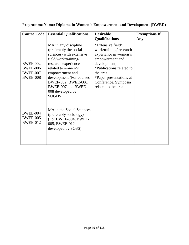| <b>Course Code</b>                                                       | <b>Essential Qualifications</b>                                                                                                                                                                                                                                           | <b>Desirable</b><br><b>Qualifications</b>                                                                                                                                                                                 | <b>Exemptions, If</b><br>Any |
|--------------------------------------------------------------------------|---------------------------------------------------------------------------------------------------------------------------------------------------------------------------------------------------------------------------------------------------------------------------|---------------------------------------------------------------------------------------------------------------------------------------------------------------------------------------------------------------------------|------------------------------|
| <b>BWEF-002</b><br><b>BWEE-006</b><br><b>BWEE-007</b><br><b>BWEE-008</b> | MA in any discipline<br>(preferably the social<br>sciences) with extensive<br>field/work/training/<br>research experience<br>related to women's<br>empowerment and<br>development (For courses<br>BWEF-002, BWEE-006,<br>BWEE-007 and BWEE-<br>008 developed by<br>SOGDS) | *Extensive field/<br>work/training/research<br>experience in women's<br>empowerment and<br>development;<br>*Publications related to<br>the area<br>*Paper presentations at<br>Conference, Symposia<br>related to the area |                              |
| <b>BWEE-004</b><br><b>BWEE-005</b><br><b>BWEE-012</b>                    | MA in the Social Sciences<br>(preferably sociology)<br>(For BWEE-004, BWEE-<br>005, BWEE-012<br>developed by SOSS)                                                                                                                                                        |                                                                                                                                                                                                                           |                              |

### **Programme Name: Diploma in Women's Empowerment and Development (DWED)**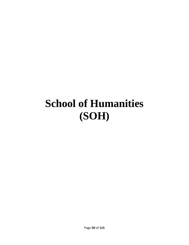### **School of Humanities (SOH)**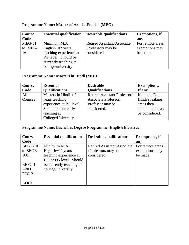| <b>Course</b> | <b>Essential qualification</b> | <b>Desirable qualifications</b>    | <b>Exemptions</b> , if |
|---------------|--------------------------------|------------------------------------|------------------------|
| Code          |                                |                                    | any                    |
| $MEG-01$      | Minimum M.A                    | <b>Retired Assistant/Associate</b> | For remote areas       |
| to MEG-       | English $+02$ years            | /Professors may be                 | exemptions may         |
| 16            | teaching experience at         | considered                         | be made.               |
|               | PG level. Should be            |                                    |                        |
|               | currently teaching at          |                                    |                        |
|               | college/university             |                                    |                        |

### **Programme Name: Master of Arts in English (MEG)**

### **Programme Name: Masters in Hindi (MHD)**

| Course  | <b>Essential</b>        | <b>Desirable</b>             | <b>Exemptions,</b> |
|---------|-------------------------|------------------------------|--------------------|
| Code    | <b>Qualifications</b>   | <b>Qualifications</b>        | If any             |
| All     | Masters in Hindi $+2$   | Retired Assistant Professor/ | If remote/Non      |
| Courses | years teaching          | Associate Professor/         | Hindi speaking     |
|         | experience at PG level. | Professor may be             | areas then         |
|         | Should be currently     | considered.                  | exemptions may     |
|         | teaching at             |                              | be considered.     |
|         | College/University.     |                              |                    |

### **Programme Name: Bachelors Degree Programme- English Electives**

| <b>Course</b>   | <b>Essential qualification</b> | <b>Desirable qualifications</b> | <b>Exemptions, if</b> |
|-----------------|--------------------------------|---------------------------------|-----------------------|
| Code            |                                |                                 | any                   |
| <b>BEGE-101</b> | Minimum M.A.                   | Retired Assistant/Associate     | For remote areas      |
| to BEGE-        | English+02 years               | /Professors may be              | exemptions may        |
| 108.            | teaching experience at         | considered                      | be made.              |
|                 | UG or PG level. Should         |                                 |                       |
| <b>BEFG1</b>    | be currently teaching at       |                                 |                       |
| <b>AND</b>      | college/university             |                                 |                       |
| $FEG-2$         |                                |                                 |                       |
|                 |                                |                                 |                       |
| AOCs            |                                |                                 |                       |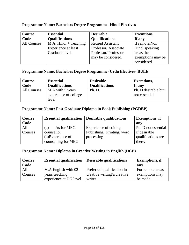| Course      | <b>Essential</b>        | <b>Desirable</b>         | <b>Exemtions,</b> |
|-------------|-------------------------|--------------------------|-------------------|
| Code        | <b>Qualifications</b>   | <b>Qualifications</b>    | If any            |
| All Courses | $M.A.$ Hindi + Teaching | <b>Retired Assistant</b> | If remote/Non     |
|             | Experience at least     | Professor/Associate      | Hindi speaking    |
|             | Graduate level.         | Professor/Professor      | areas then        |
|             |                         | may be considered.       | exemptions may be |
|             |                         |                          | considered.       |

### **Programme Name: Bachelors Degree Programme- Hindi Electives**

#### **Programme Name: Bachelors Degree Programme- Urdu Electives- BULE**

| Course<br>Code | <b>Essential</b><br><b>Qualifications</b> | <b>Desirable</b><br><b>Qualifications</b> | <b>Exemtions,</b><br>If any |
|----------------|-------------------------------------------|-------------------------------------------|-----------------------------|
| All Courses    | M.A with 5 years                          | Ph. D.                                    | Ph. D desirable but         |
|                | experience of college                     |                                           | not essential               |
|                | level                                     |                                           |                             |

### **Programme Name: Post Graduate Diploma in Book Publishing (PGDBP)**

| <b>Course</b> |                     | <b>Essential qualification   Desirable qualifications</b> | <b>Exemptions</b> , if |
|---------------|---------------------|-----------------------------------------------------------|------------------------|
| Code          |                     |                                                           | anv                    |
| All           | As for MEG<br>(a)   | Experience of editing,                                    | Ph. D not essential    |
| Courses       | counsellor          | Publishing, Printing, word                                | if desirable           |
|               | (b)Experience of    | processing                                                | qualifications are     |
|               | counselling for MEG |                                                           | there.                 |

### **Programme Name: Diploma in Creative Writing in English (DCE)**

| <b>Course</b> | <b>Essential qualification</b> | Desirable qualifications    | <b>Exemptions, if</b> |
|---------------|--------------------------------|-----------------------------|-----------------------|
| Code          |                                |                             | any                   |
| All           | M.A English with 02            | Preferred qualification in  | For remote areas      |
| Courses       | years teaching                 | creative writing/a creative | exemptions may        |
|               | experience at UG level.        | writer                      | be made.              |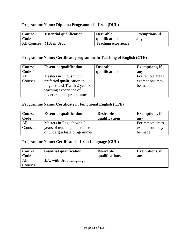### **Programme Name: Diploma Programme in Urdu (DUL)**

| <b>Course</b> | <b>Essential qualification</b> | <b>Desirable</b>    | <b>Exemptions, if</b> |
|---------------|--------------------------------|---------------------|-----------------------|
| Code          |                                | qualifications      | anv                   |
|               | All Courses   M.A in Urdu      | Teaching experience |                       |

#### **Programme Name: Certificate programme in Teaching of English (CTE)**

| <b>Course</b> | <b>Essential qualification</b> | <b>Desirable</b> | <b>Exemptions</b> , if |
|---------------|--------------------------------|------------------|------------------------|
| Code          |                                | qualifications   | any                    |
| All           | Masters in English with        |                  | For remote areas       |
| Courses       | preferred qualification in     |                  | exemptions may         |
|               | linguistic/ELT with 2 years of |                  | be made.               |
|               | teaching experience of         |                  |                        |
|               | undergraduate programmes       |                  |                        |

### **Programme Name: Certificate in Functional English (CFE)**

| Course  | <b>Essential qualification</b> | <b>Desirable</b> | <b>Exemptions, if</b> |
|---------|--------------------------------|------------------|-----------------------|
| Code    |                                | qualifications   | any                   |
| All     | Masters in English with 2      |                  | For remote areas      |
| Courses | years of teaching experience   |                  | exemptions may        |
|         | of undergraduate programmes    |                  | be made.              |

### **Programme Name: Certificate in Urdu Language (CUL)**

| Course<br>Code | <b>Essential qualification</b> | <b>Desirable</b><br>qualifications | <b>Exemptions</b> , if<br>any |
|----------------|--------------------------------|------------------------------------|-------------------------------|
| All            | B.A. with Urdu Language        |                                    |                               |
| Courses        |                                |                                    |                               |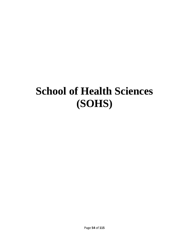### **School of Health Sciences (SOHS)**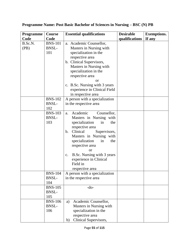| <b>Programme</b> | <b>Course</b>                         | <b>Essential qualifications</b>                                                                                                                                                                                                                                                                                                     | <b>Desirable</b> | <b>Exemptions.</b> |
|------------------|---------------------------------------|-------------------------------------------------------------------------------------------------------------------------------------------------------------------------------------------------------------------------------------------------------------------------------------------------------------------------------------|------------------|--------------------|
| Code             | Code                                  |                                                                                                                                                                                                                                                                                                                                     | qualifications   | If any             |
| B.Sc.N.<br>(PB)  | <b>BNS-101</b><br><b>BNSL-</b><br>101 | a. Academic Counsellor,<br>Masters in Nursing with<br>specialization in the<br>respective area<br>b. Clinical Supervisors,<br>Masters in Nursing with<br>specialization in the<br>respective area<br>or<br>c. B.Sc. Nursing with 3 years<br>experience in Clinical Field                                                            |                  |                    |
|                  | <b>BNS-102</b><br><b>BNSL-</b><br>102 | in respective area<br>A person with a specialization<br>in the respective area                                                                                                                                                                                                                                                      |                  |                    |
|                  | <b>BNS-103</b><br><b>BNSL-</b><br>103 | Academic<br>Counsellor,<br>a.<br>Masters in Nursing with<br>specialization<br>in<br>the<br>respective area<br>Clinical<br>Supervisors,<br>b.<br>Masters in Nursing with<br>specialization<br>the<br>in<br>respective area<br><b>or</b><br>B.Sc. Nursing with 3 years<br>c.<br>experience in Clinical<br>Field in<br>respective area |                  |                    |
|                  | <b>BNS-104</b><br><b>BNSL-</b><br>104 | A person with a specialization<br>in the respective area                                                                                                                                                                                                                                                                            |                  |                    |
|                  | <b>BNS-105</b><br><b>BNSL-</b><br>105 | $-do-$                                                                                                                                                                                                                                                                                                                              |                  |                    |
|                  | <b>BNS-106</b><br><b>BNSL-</b><br>106 | Academic Counsellor,<br>a)<br>Masters in Nursing with<br>specialization in the<br>respective area<br>Clinical Supervisors,<br>b)                                                                                                                                                                                                    |                  |                    |

### **Programme Name: Post Basic Bachelor of Sciences in Nursing – BSC (N) PB**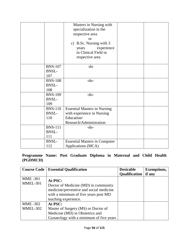|                                       | Masters in Nursing with<br>specialization in the<br>respective area<br>$\alpha$<br>c) B.Sc. Nursing with 3<br>experience<br>years<br>in Clinical Field in<br>respective area |  |
|---------------------------------------|------------------------------------------------------------------------------------------------------------------------------------------------------------------------------|--|
| <b>BNS-107</b><br><b>BNSL-</b><br>107 | -do                                                                                                                                                                          |  |
| <b>BNS-108</b><br><b>BNSL-</b><br>108 | $-do-$                                                                                                                                                                       |  |
| <b>BNS-109</b><br><b>BNSL-</b><br>109 | $-do-$                                                                                                                                                                       |  |
| <b>BNS-110</b><br><b>BNSL-</b><br>110 | <b>Essential Masters in Nursing</b><br>with experience in Nursing<br>Education/<br>Research/Administration                                                                   |  |
| <b>BNS-111</b><br><b>BNSL-</b><br>111 | $-do-$                                                                                                                                                                       |  |
| <b>BNSL-</b><br>112                   | <b>Essential Masters in Computer</b><br>Applications (MCA)                                                                                                                   |  |

**Programme Name: Post Graduate Diploma in Maternal and Child Health (PGDMCH)**

| <b>Course Code</b> | <b>Essential Qualification</b>                                                                                                                  | <b>Desirable</b>     | <b>Exemptions,</b> |
|--------------------|-------------------------------------------------------------------------------------------------------------------------------------------------|----------------------|--------------------|
|                    |                                                                                                                                                 | <b>Qualification</b> | if any             |
| <b>MME-301</b>     | At PSC:                                                                                                                                         |                      |                    |
| MMEL-301           | Doctor of Medicine (MD) in community<br>medicine/preventive and social medicine<br>with a minimum of five years post MD<br>teaching experience. |                      |                    |
| <b>MME-302</b>     | At PSC:                                                                                                                                         |                      |                    |
| MMEL-302           | Master of Surgery (MS) or Doctor of                                                                                                             |                      |                    |
|                    | Medicine (MD) in Obstetrics and                                                                                                                 |                      |                    |
|                    | Gynaeclogy with a minimum of five years                                                                                                         |                      |                    |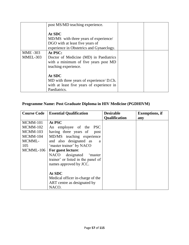|                 | post MS/MD teaching experience.                                                                                                |  |
|-----------------|--------------------------------------------------------------------------------------------------------------------------------|--|
|                 | At SDC<br>MD/MS with three years of experience/<br>DGO with at least five years of<br>experience in Obstetrics and Gynaeclogy. |  |
| <b>MME</b> -303 | At PSC:                                                                                                                        |  |
| MMEL-303        | Doctor of Medicine (MD) in Paediatrics<br>with a minimum of five years post MD<br>teaching experience.                         |  |
|                 | At SDC                                                                                                                         |  |
|                 | MD with three years of experience/ D.Ch.                                                                                       |  |
|                 | with at least five years of experience in                                                                                      |  |
|                 | Paediatrics.                                                                                                                   |  |

### **Programme Name: Post Graduate Diploma in HIV Medicine (PGDHIVM)**

| <b>Course Code</b> | <b>Essential Qualification</b>     | <b>Desirable</b>     | <b>Exemptions, if</b> |
|--------------------|------------------------------------|----------------------|-----------------------|
|                    |                                    | <b>Qualification</b> | any                   |
| MCMM-101           | At PSC                             |                      |                       |
| $MCMM-102$         | An employee of the PSC             |                      |                       |
| MCMM-103           | having three years of post         |                      |                       |
| <b>MCMM-104</b>    | MD/MS teaching experience          |                      |                       |
| MCMML-             | and also designated as<br>a        |                      |                       |
| 105                | 'master trainer' by NACO           |                      |                       |
| MCMML-106          | For guest lecture:                 |                      |                       |
|                    | NACO designated 'master            |                      |                       |
|                    | trainer' or listed in the panel of |                      |                       |
|                    | names approved by JCC.             |                      |                       |
|                    |                                    |                      |                       |
|                    | At SDC                             |                      |                       |
|                    | Medical officer in-charge of the   |                      |                       |
|                    | ART centre as designated by        |                      |                       |
|                    | NACO.                              |                      |                       |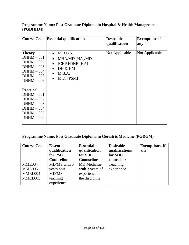### **Programme Name: Post Graduate Diploma in Hospital & Health Management (PGDHHM)**

|                                                                                                                                                                                                                                   | <b>Course Code Essential qualifications</b>                                                                                                                     | <b>Desirable</b><br>qualification | <b>Exemptions if</b><br>any |
|-----------------------------------------------------------------------------------------------------------------------------------------------------------------------------------------------------------------------------------|-----------------------------------------------------------------------------------------------------------------------------------------------------------------|-----------------------------------|-----------------------------|
| <b>Theory</b><br>$DHHM - 001$<br>$DHHM - 002$<br>$DHHM - 003$<br>$DHHM - 004$<br>$DHHM - 005$<br>$DHHM - 006$<br><b>Practical</b><br>$DHHM - 001$<br>$DHHM - 002$<br>$DHHM - 003$<br>$DHHM - 004$<br>$DHHM - 005$<br>$DHHM - 006$ | M.B.B.S.<br>$\bullet$<br>MHA/MD [HA]/MD<br>$\bullet$<br>[CHA]/DNB [HA]<br>$\bullet$<br>DH & HM<br>$\bullet$<br>M.B.A.<br>$\bullet$<br>$M.D.$ [PSM]<br>$\bullet$ | Not Applicable                    | Not Applicable              |

### **Programme Name: Post Graduate Diploma in Geriatric Medicine (PGDGM)**

| <b>Course Code</b> | <b>Essential</b> | <b>Essential</b>   | <b>Desirable</b> | <b>Exemptions, If</b> |
|--------------------|------------------|--------------------|------------------|-----------------------|
|                    | qualification    | qualification      | qualifications   | any                   |
|                    | for PSC          | for SDC            | for SDC          |                       |
|                    | Counsellor       | Counsellor         | counsellor       |                       |
| MME004             | MD/MS with 5     | <b>MD</b> Medicine | Teaching         |                       |
| MME005             | years post       | with 3 years of    | experience       |                       |
| MMEL004            | MD/MS            | experience in      |                  |                       |
| MMEL005            | teaching         | the discipline.    |                  |                       |
|                    | experience       |                    |                  |                       |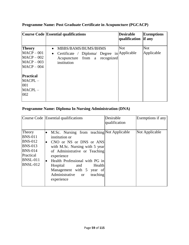|                                                                                                                                   | Course Code Essential qualifications                                                                                                         | <b>Desirable</b><br>qualification | <b>Exemptions</b><br><b>if</b> any |
|-----------------------------------------------------------------------------------------------------------------------------------|----------------------------------------------------------------------------------------------------------------------------------------------|-----------------------------------|------------------------------------|
| <b>Theory</b><br>$MACP-001$<br>$MACP-002$<br>$MACP-003$<br>$MACP-004$<br><b>Practical</b><br>$MACPL -$<br>001<br>$MACPL -$<br>002 | MBBS/BAMS/BUMS/BHMS<br>$\bullet$<br>Certificate / Diploma/ Degree in Applicable<br>$\bullet$<br>Acupuncture from a recognized<br>institution | <b>Not</b>                        | <b>Not</b><br>Applicable           |

### **Programme Name: Post Graduate Certificate in Acupuncture (PGCACP)**

### **Programme Name: Diploma In Nursing Administration (DNA)**

|                                                                                                                                   | Course Code Essential qualifications                                                                                                                                                                                                                                                                                                                                 | Desirable<br>qualification | Exemptions if any |
|-----------------------------------------------------------------------------------------------------------------------------------|----------------------------------------------------------------------------------------------------------------------------------------------------------------------------------------------------------------------------------------------------------------------------------------------------------------------------------------------------------------------|----------------------------|-------------------|
| Theory<br><b>BNS-011</b><br><b>BNS-012</b><br><b>BNS-013</b><br><b>BNS-014</b><br>Practical<br><b>BNSL-011</b><br><b>BNSL-012</b> | M.Sc. Nursing from teaching Not Applicable<br>$\bullet$<br>institution or<br>CNO or NS or DNS or ANS<br>$\bullet$<br>with M.Sc. Nursing with 5 year<br>of Administrative or Teaching<br>experience<br>Health Professional with PG in<br>$\bullet$<br>Health<br>Hospital<br>and<br>Management with 5 year of<br>Administrative<br>teaching<br><b>or</b><br>experience |                            | Not Applicable    |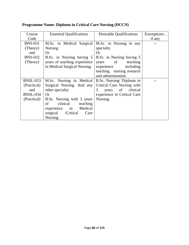| Course          | <b>Essential Qualifications</b> | <b>Desirable Qualifications</b> | Exemptions, |
|-----------------|---------------------------------|---------------------------------|-------------|
| Code            |                                 |                                 | if any      |
| <b>BNS-031</b>  | M.Sc. in Medical Surgical       | M.Sc. in Nursing in any         |             |
| (Theory)        | <b>Nursing</b>                  | specialty                       |             |
| and             | Or                              | Or                              |             |
| <b>BNS-032</b>  | B.Sc. in Nursing having 5       | B.Sc. in Nursing having 5       |             |
| (Theory)        | years of teaching experience    | of teaching<br>years            |             |
|                 | in Medical Surgical Nursing.    | experience including            |             |
|                 |                                 | teaching nursing research       |             |
|                 |                                 | and administration              |             |
| <b>BNSL-033</b> | M.Sc. Nursing in Medical        | B.Sc. Nursing/Diploma in        |             |
| (Practical)     | Surgical Nursing. And any       | Critical Care Nursing with      |             |
| and             | other specialty                 | of clinical<br>3<br>years       |             |
| <b>BNSL-034</b> | <b>Or</b>                       | experience in Critical Care     |             |
| (Practical)     | B.Sc. Nursing with 3 years      | Nursing.                        |             |
|                 | clinical<br>of<br>teaching      |                                 |             |
|                 | experience in Medical           |                                 |             |
|                 | surgical /Critical<br>Care      |                                 |             |
|                 | Nursing.                        |                                 |             |

### **Programme Name: Diploma in Critical Care Nursing (DCCN)**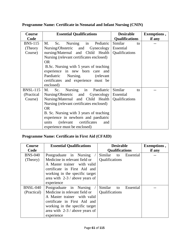| <b>Course</b>   | <b>Essential Qualifications</b>                  | <b>Desirable</b>      | Exemptions, |
|-----------------|--------------------------------------------------|-----------------------|-------------|
| Code            |                                                  | <b>Qualifications</b> | if any      |
| <b>BNS-115</b>  | Nursing in Pediatric<br>M.<br>Sc.                | Similar<br>to         |             |
| (Theory)        | Nursing/Obstetric and Gynecology                 | Essential             |             |
| Course)         | nursing/Maternal and Child Health                | Qualifications        |             |
|                 | Nursing (relevant certificates enclosed)         |                       |             |
|                 | <b>OR</b>                                        |                       |             |
|                 | B.Sc. Nursing with 5 years of teaching           |                       |             |
|                 | experience in new born care and                  |                       |             |
|                 | Paediatric Nursing. (relevant                    |                       |             |
|                 | certificates and experience must be              |                       |             |
|                 | enclosed)                                        |                       |             |
| <b>BNSL-115</b> | Sc. Nursing in Paediatric<br>M.                  | Similar<br>to         |             |
| (Practical)     | Nursing/Obstetric and Gynecology   Essential     |                       |             |
| Course)         | Nursing/Maternal and Child Health Qualifications |                       |             |
|                 | Nursing (relevant certificates enclosed)         |                       |             |
|                 | OR.                                              |                       |             |
|                 | B. Sc. Nursing with 3 years of teaching          |                       |             |
|                 | experience in newborn and paediatric             |                       |             |
|                 | (relevant certificates)<br>units<br>and          |                       |             |
|                 | experience must be enclosed)                     |                       |             |

### **Programme Name: Certificate in Neonatal and Infant Nursing (CNIN)**

### **Programme Name: Certificate in First Aid (CFAID)**

| Course          | <b>Essential Qualifications</b> | <b>Desirable</b>      | <b>Exemptions</b> , |
|-----------------|---------------------------------|-----------------------|---------------------|
| Code            |                                 | <b>Qualifications</b> | if any              |
| <b>BNS-040</b>  | Postgraduate in Nursing         | Similar<br>to         | Essential           |
| (Theory)        | Medicine in relevant field or   | Qualifications        |                     |
|                 | A Master trainer with valid     |                       |                     |
|                 | certificate in First Aid and    |                       |                     |
|                 | working in the specific target  |                       |                     |
|                 | area with $2-3/$ above years of |                       |                     |
|                 | experience                      |                       |                     |
| <b>BNSL-040</b> | Postgraduate in Nursing         | Similar<br>to         | Essential           |
| (Practical)     | Medicine in relevant field or   | <b>Qualifications</b> |                     |
|                 | A Master trainer with valid     |                       |                     |
|                 | certificate in First Aid and    |                       |                     |
|                 | working in the specific target  |                       |                     |
|                 | area with $2-3/$ above years of |                       |                     |
|                 | experience                      |                       |                     |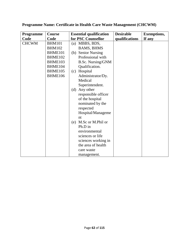| <b>Programme</b> | <b>Course</b> | <b>Essential qualification</b> | <b>Desirable</b> | <b>Exemptions,</b> |
|------------------|---------------|--------------------------------|------------------|--------------------|
| Code             | Code          | for PSC Counsellor             | qualifications   | If any             |
| <b>CHCWM</b>     | <b>BHM101</b> | MBBS, BDS,<br>(a)              |                  |                    |
|                  | <b>BHM102</b> | <b>BAMS, BHMS</b>              |                  |                    |
|                  | BHME101       | (b) Senior Nursing             |                  |                    |
|                  | BHME102       | Professional with              |                  |                    |
|                  | BHME103       | <b>B.Sc. Nursing/GNM</b>       |                  |                    |
|                  | BHME104       | Qualification.                 |                  |                    |
|                  | BHME105       | Hospital<br>(c)                |                  |                    |
|                  | BHME106       | Administrator/Dy.              |                  |                    |
|                  |               | Medical                        |                  |                    |
|                  |               | Superintendent.                |                  |                    |
|                  |               | (d) Any other                  |                  |                    |
|                  |               | responsible officer            |                  |                    |
|                  |               | of the hospital                |                  |                    |
|                  |               | nominated by the               |                  |                    |
|                  |               | respected                      |                  |                    |
|                  |               | Hospital/Manageme              |                  |                    |
|                  |               | nt                             |                  |                    |
|                  |               | M.Sc or M.Phil or<br>(e)       |                  |                    |
|                  |               | Ph.D in                        |                  |                    |
|                  |               | environmental                  |                  |                    |
|                  |               | sciences or life               |                  |                    |
|                  |               | sciences working in            |                  |                    |
|                  |               | the area of health             |                  |                    |
|                  |               | care waste                     |                  |                    |
|                  |               | management.                    |                  |                    |

**Programme Name: Certificate in Health Care Waste Management (CHCWM)**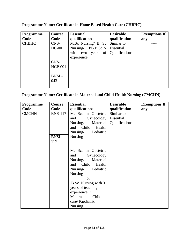| <b>Programme</b> | Course         | <b>Essential</b>                     | <b>Desirable</b> | <b>Exemptions If</b> |
|------------------|----------------|--------------------------------------|------------------|----------------------|
| Code             | Code           | qualifications                       | qualification    | any                  |
| <b>CHBHC</b>     | CNS-           | M.Sc Nursing/ B. Sc                  | Similar to       |                      |
|                  | HC-001         | Nursing/ PB.B.Sc.N                   | Essential        |                      |
|                  |                | with two<br>of <sup>1</sup><br>years | Qualifications   |                      |
|                  |                | experience.                          |                  |                      |
|                  | CNS-           |                                      |                  |                      |
|                  | <b>HCP-001</b> |                                      |                  |                      |
|                  |                |                                      |                  |                      |
|                  | <b>BNSL-</b>   |                                      |                  |                      |
|                  | 043            |                                      |                  |                      |
|                  |                |                                      |                  |                      |

**Programme Name: Certificate in Home Based Health Care (CHBHC)** 

### **Programme Name: Certificate in Maternal and Child Health Nursing (CMCHN)**

| <b>Programme</b> | <b>Course</b>  | <b>Essential</b>       | <b>Desirable</b> | <b>Exemptions If</b> |
|------------------|----------------|------------------------|------------------|----------------------|
| Code             | Code           | qualifications         | qualification    | any                  |
| <b>CMCHN</b>     | <b>BNS-117</b> | M. Sc. in Obstetric    | Similar to       |                      |
|                  |                | Gynecology<br>and      | Essential        |                      |
|                  |                | Nursing/<br>Maternal   | Qualifications   |                      |
|                  |                | Child<br>Health<br>and |                  |                      |
|                  |                | Pediatric<br>Nursing/  |                  |                      |
|                  | BNSL-          | <b>Nursing</b>         |                  |                      |
|                  | 117            |                        |                  |                      |
|                  |                |                        |                  |                      |
|                  |                | M. Sc. in Obstetric    |                  |                      |
|                  |                | Gynecology<br>and      |                  |                      |
|                  |                | Nursing/<br>Maternal   |                  |                      |
|                  |                | Child<br>Health<br>and |                  |                      |
|                  |                | Nursing/<br>Pediatric  |                  |                      |
|                  |                | <b>Nursing</b>         |                  |                      |
|                  |                | or                     |                  |                      |
|                  |                | B.Sc. Nursing with 3   |                  |                      |
|                  |                | years of teaching      |                  |                      |
|                  |                | experience in          |                  |                      |
|                  |                | Maternal and Child     |                  |                      |
|                  |                | care/Paediatric        |                  |                      |
|                  |                | Nursing.               |                  |                      |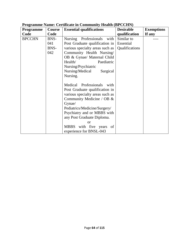| <b>Programme</b> | Course | <b>Essential qualifications</b> | <b>Desirable</b> | <b>Exemptions</b> |
|------------------|--------|---------------------------------|------------------|-------------------|
| Code             | Code   |                                 | qualification    | If any            |
| <b>BPCCHN</b>    | BNS-   | Nursing Professionals<br>with   | Similar to       |                   |
|                  | 041    | Post Graduate qualification in  | Essential        |                   |
|                  | BNS-   | various specialty areas such as | Qualifications   |                   |
|                  | 042    | Community Health Nursing/       |                  |                   |
|                  |        | OB & Gynae/ Maternal Child      |                  |                   |
|                  |        | Health/<br>Paediatric           |                  |                   |
|                  |        | Nursing/Psychiatric             |                  |                   |
|                  |        | Nursing/Medical<br>Surgical     |                  |                   |
|                  |        | Nursing.                        |                  |                   |
|                  |        |                                 |                  |                   |
|                  |        | Medical Professionals with      |                  |                   |
|                  |        | Post Graduate qualification in  |                  |                   |
|                  |        | various specialty areas such as |                  |                   |
|                  |        | Community Medicine / OB &       |                  |                   |
|                  |        | Gynae/                          |                  |                   |
|                  |        | Pediatrics/Medicine/Surgery/    |                  |                   |
|                  |        | Psychiatry and or MBBS with     |                  |                   |
|                  |        | any Post Graduate Diploma.      |                  |                   |
|                  |        | Ωr                              |                  |                   |
|                  |        | MBBS with five years<br>of      |                  |                   |
|                  |        | experience for BNSL-043         |                  |                   |

### **Programme Name: Certificate in Community Health (BPCCHN)**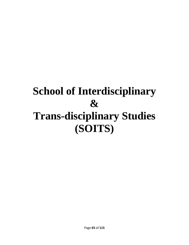### **School of Interdisciplinary & Trans-disciplinary Studies (SOITS)**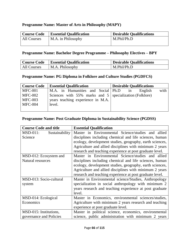### **Programme Name: Master of Arts in Philosophy (MAPY)**

| <b>Course Code</b> | <b>Essential Qualification</b> | <b>Desirable Qualifications</b> |
|--------------------|--------------------------------|---------------------------------|
| All Courses        | M.A. in Philosophy             | M.Phil/Ph.D                     |
|                    |                                |                                 |

#### **Programme Name: Bachelor Degree Programme – Philosophy Electives – BPY**

| Course Code | <b>Essential Qualification</b> | <b>Desirable Qualifications</b> |
|-------------|--------------------------------|---------------------------------|
| All Courses | M.A. Philosophy                | M.Phil/Ph.D                     |

### **Programme Name: PG Diploma in Folklore and Culture Studies (PGDFCS)**

| <b>Course Code</b> | <b>Essential Qualification</b>                            | <b>Desirable Qualifications</b> |
|--------------------|-----------------------------------------------------------|---------------------------------|
| $MFC-001$          | M.A. in Humanities and Social Ph.D                        | with<br>English<br>in           |
| <b>MFC-002</b>     | Sciences with 55% marks and 5   specialization (Folklore) |                                 |
| <b>MFC-003</b>     | years teaching experience in M.A.                         |                                 |
| $MFC-004$          | level.                                                    |                                 |
|                    |                                                           |                                 |

### **Programme Name: Post Graduate Diploma in Sustainability Science (PGDSS)**

| <b>Course Code and title</b>  | <b>Essential Qualification</b>                           |  |
|-------------------------------|----------------------------------------------------------|--|
| $MSD-011$ :<br>Sustainability | Master in Environmental Science/studies and allied       |  |
| Science                       | disciplines including chemical and life sciences, human  |  |
|                               | ecology, development studies, geography, earth sciences, |  |
|                               | Agriculture and allied disciplines with minimum 2 years  |  |
|                               | research and teaching experience at post graduate level. |  |
| MSD-012: Ecosystem and        | Master in Environmental Science/studies and allied       |  |
| <b>Natural resources</b>      | disciplines including chemical and life sciences, human  |  |
|                               | ecology, development studies, geography, earth sciences, |  |
|                               | Agriculture and allied disciplines with minimum 2 years  |  |
|                               | research and teaching experience at post graduate level. |  |
| MSD-013: Socio-cultural       | Master in Environmental science/Studies, Anthropology    |  |
| system                        | specialization in social anthropology with minimum 2     |  |
|                               | years research and teaching experience at post graduate  |  |
|                               | level.                                                   |  |
| MSD-014: Ecological           | Master in Economics, environmental sciences/studies,     |  |
| Economics                     | Agriculture with minimum 2 years research and teaching   |  |
|                               | experience at post graduate level.                       |  |
| MSD-015: Institutions,        | Master in political science, economics, environmental    |  |
| governance and Policies       | science, public administration with minimum 2 years      |  |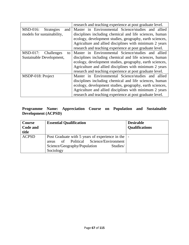|                                         | research and teaching experience at post graduate level. |  |  |
|-----------------------------------------|----------------------------------------------------------|--|--|
| $MSD-016$ :<br><b>Strategies</b><br>and | Master in Environmental Science/studies and allied       |  |  |
| models for sustainability,              | disciplines including chemical and life sciences, human  |  |  |
|                                         | ecology, development studies, geography, earth sciences, |  |  |
|                                         | Agriculture and allied disciplines with minimum 2 years  |  |  |
|                                         | research and teaching experience at post graduate level. |  |  |
| $MSD-017:$<br>Challenges<br>to          | Master in Environmental Science/studies and allied       |  |  |
| Sustainable Development,                | disciplines including chemical and life sciences, human  |  |  |
|                                         | ecology, development studies, geography, earth sciences, |  |  |
|                                         | Agriculture and allied disciplines with minimum 2 years  |  |  |
|                                         | research and teaching experience at post graduate level. |  |  |
| MSDP-018: Project                       | Master in Environmental Science/studies and allied       |  |  |
|                                         | disciplines including chemical and life sciences, human  |  |  |
|                                         | ecology, development studies, geography, earth sciences, |  |  |
|                                         | Agriculture and allied disciplines with minimum 2 years  |  |  |
|                                         | research and teaching experience at post graduate level. |  |  |

### **Programme Name: Appreciation Course on Population and Sustainable Development (ACPSD)**

| Course<br>Code and<br>title | <b>Essential Qualification</b>                                                                                                                            | <b>Desirable</b><br><b>Qualifications</b> |
|-----------------------------|-----------------------------------------------------------------------------------------------------------------------------------------------------------|-------------------------------------------|
| <b>ACPSD</b>                | Post Graduate with 5 years of experience in the   -<br>of Political Science/Environment<br>areas<br>Science/Geography/Population<br>Studies/<br>Sociology |                                           |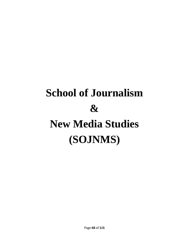# **School of Journalism & New Media Studies (SOJNMS)**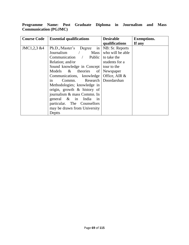### **Programme Name: Post Graduate Diploma in Journalism and Mass Communication (PGJMC)**

| <b>Course Code</b> | <b>Essential qualifications</b>   | <b>Desirable</b> | <b>Exemptions.</b> |
|--------------------|-----------------------------------|------------------|--------------------|
|                    |                                   | qualifications   | If any             |
| JMC1,2,3 &4        | Ph.D.,/Master's<br>Degree<br>in   | NB: Sr. Reports  |                    |
|                    | Journalism<br>$\angle$ Mass       | who will be able |                    |
|                    | Communication / Public            | to take the      |                    |
|                    | Relation; and/or                  | students for a   |                    |
|                    | Sound knowledge in Concept        | tour to the      |                    |
|                    | Models & theories of              | Newspaper        |                    |
|                    | Communications, knowledge         | Office, AIR &    |                    |
|                    | Commi. Research Doordarshan<br>in |                  |                    |
|                    | Methodologies; knowledge in       |                  |                    |
|                    | origin, growth $\&$ history of    |                  |                    |
|                    | journalism & mass Commn. In       |                  |                    |
|                    | general $\&$ in India<br>1n       |                  |                    |
|                    | particular. The Counsellors       |                  |                    |
|                    | may be drawn from University      |                  |                    |
|                    | Deptts                            |                  |                    |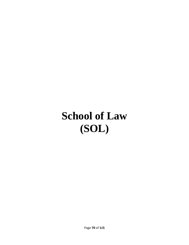### **School of Law (SOL)**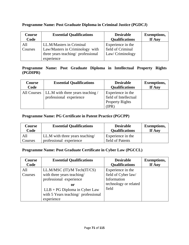| <b>Course</b><br>Code | <b>Essential Qualifications</b>    | <b>Desirable</b><br><b>Qualifications</b> | <b>Exemptions,</b><br>If Any |
|-----------------------|------------------------------------|-------------------------------------------|------------------------------|
| All                   | LL.M/Masters in Criminal           | Experience in the                         |                              |
| Courses               | Law/Masters in Criminology with    | field of Criminal                         |                              |
|                       | three years teaching/ professional | Law/Criminology                           |                              |
|                       | experience                         |                                           |                              |

### **Programme Name: Post Graduate Diploma in Criminal Justice (PGDCJ)**

#### **Programme Name: Post Graduate Diploma in Intellectual Property Rights (PGDIPR)**

| <b>Course</b> | <b>Essential Qualifications</b>                             | <b>Desirable</b>                                                              | <b>Exemptions,</b> |
|---------------|-------------------------------------------------------------|-------------------------------------------------------------------------------|--------------------|
| Code          |                                                             | <b>Qualifications</b>                                                         | If Any             |
| All Courses   | LL.M with three years teaching /<br>professional experience | Experience in the<br>field of Intellectual<br><b>Property Rights</b><br>(IPR) |                    |

### **Programme Name: PG Certificate in Patent Practice (PGCPP)**

| Course  | <b>Essential Qualifications</b> | <b>Desirable</b>      | <b>Exemptions,</b> |
|---------|---------------------------------|-----------------------|--------------------|
| Code    |                                 | <b>Qualifications</b> | If Any             |
| All     | LL.M with three years teaching/ | Experience in the     |                    |
| Courses | professional experience         | field of Patents      |                    |

### **Programme Name: Post Graduate Certificate in Cyber Law (PGCCL)**

| Course         | <b>Essential Qualifications</b>                                                                                                                                                    | <b>Desirable</b>                                                                          | <b>Exemptions,</b> |
|----------------|------------------------------------------------------------------------------------------------------------------------------------------------------------------------------------|-------------------------------------------------------------------------------------------|--------------------|
| Code           |                                                                                                                                                                                    | <b>Qualifications</b>                                                                     | If Any             |
| All<br>Courses | LL.M/MSC (IT)/M Tech(IT/CS)<br>with three years teaching/<br>professional experience<br>0r<br>$LLB + PG$ Diploma in Cyber Law<br>with 5 Years teaching/ professional<br>experience | Experience in the<br>field of Cyber law/<br>Information<br>technology or related<br>field |                    |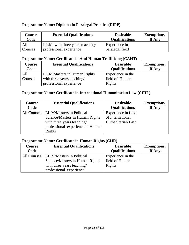### **Programme Name: Diploma in Paralegal Practice (DIPP)**

| Course  | <b>Essential Qualifications</b> | <b>Desirable</b>      | <b>Exemptions,</b> |
|---------|---------------------------------|-----------------------|--------------------|
| Code    |                                 | <b>Qualifications</b> | If Any             |
| All     | LL.M with three years teaching/ | Experience in         |                    |
| Courses | professional experience         | paralegal field       |                    |

### **Programme Name: Certificate in Anti Human Trafficking (CAHT)**

| Course<br>Code | <b>Essential Qualifications</b> | <b>Desirable</b><br><b>Qualifications</b> | <b>Exemptions,</b><br>If Any |
|----------------|---------------------------------|-------------------------------------------|------------------------------|
| All            | LL.M/Masters in Human Rights    | Experience in the                         |                              |
| Courses        | with three years teaching/      | field of Human                            |                              |
|                | professional experience         | Rights                                    |                              |

### **Programme Name: Certificate in International Humanitarian Law (CIHL)**

| <b>Course</b> | <b>Essential Qualifications</b>                                                                                                          | <b>Desirable</b>                                            | <b>Exemptions,</b> |
|---------------|------------------------------------------------------------------------------------------------------------------------------------------|-------------------------------------------------------------|--------------------|
| Code          |                                                                                                                                          | <b>Qualifications</b>                                       | If Any             |
| All Courses   | LL.M/Masters in Political<br>Science/Masters in Human Rights<br>with three years teaching/<br>professional experience in Human<br>Rights | Experience in field<br>of International<br>Humanitarian Law |                    |

### **Programme Name: Certificate in Human Rights (CHR)**

| <b>Course</b><br>Code | <b>Essential Qualifications</b>                                                            | <b>Desirable</b><br><b>Qualifications</b>     | <b>Exemptions,</b><br>If Any |
|-----------------------|--------------------------------------------------------------------------------------------|-----------------------------------------------|------------------------------|
| All Courses           | LL.M/Masters in Political<br>Science/Masters in Human Rights<br>with three years teaching/ | Experience in the<br>field of Human<br>Rights |                              |
|                       | professional experience                                                                    |                                               |                              |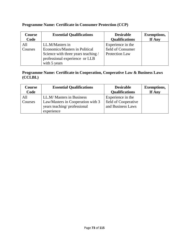| <b>Course</b>  | <b>Essential Qualifications</b>                                                                                                            | <b>Desirable</b>                                                | <b>Exemptions,</b> |
|----------------|--------------------------------------------------------------------------------------------------------------------------------------------|-----------------------------------------------------------------|--------------------|
| Code           |                                                                                                                                            | <b>Qualifications</b>                                           | If Any             |
| All<br>Courses | LL.M/Masters in<br>Economics/Masters in Political<br>Science with three years teaching /<br>professional experience or LLB<br>with 5 years | Experience in the<br>field of Consumer<br><b>Protection Law</b> |                    |

# **Programme Name: Certificate in Consumer Protection (CCP)**

### **Programme Name: Certificate in Cooperation, Cooperative Law & Business Laws (CCLBL)**

| <b>Course</b>  | <b>Essential Qualifications</b>                                                                             | <b>Desirable</b>                                               | <b>Exemptions,</b> |
|----------------|-------------------------------------------------------------------------------------------------------------|----------------------------------------------------------------|--------------------|
| Code           |                                                                                                             | <b>Qualifications</b>                                          | If Any             |
| All<br>Courses | LL.M/ Masters in Business<br>Law/Masters in Cooperation with 3<br>years teaching/professional<br>experience | Experience in the<br>field of Cooperative<br>and Business Laws |                    |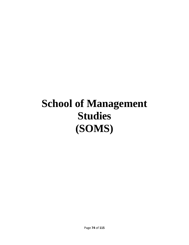# **School of Management Studies (SOMS)**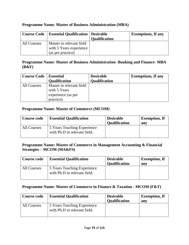| Course Code | <b>Essential Qualification</b> | Desirable<br><b>Qualification</b> | <b>Exemptions, If any</b> |
|-------------|--------------------------------|-----------------------------------|---------------------------|
| All Courses | Master in relevant field       |                                   |                           |
|             | with 5 Years experience        |                                   |                           |
|             | (as per practice)              |                                   |                           |

### **Programme Name: Master of Business Administration (MBA)**

#### **Programme Name: Master of Business Administration -Banking and Finance- MBA (B&F)**

| <b>Course Code</b> | <b>Essential</b><br><b>Qualification</b> | <b>Desirable</b><br><b>Qualification</b> | <b>Exemptions, If any</b> |
|--------------------|------------------------------------------|------------------------------------------|---------------------------|
| All Courses        | Master in relevant field<br>with 5 Years |                                          |                           |
|                    | experience (as per<br>practice)          |                                          |                           |

### **Programme Name: Master of Commerce (MCOM)**

| <b>Course code</b> | <b>Essential Qualification</b>                              | <b>Desirable</b><br><b>Qualification</b> | <b>Exemption, If</b><br>any |
|--------------------|-------------------------------------------------------------|------------------------------------------|-----------------------------|
| All Courses        | 5 Years Teaching Experience<br>with Ph.D in relevant field. |                                          |                             |

### **Programme Name: Master of Commerce in Management Accounting & Financial Strategies – MCOM (MA&FS)**

| <b>Course code</b> | <b>Essential Qualification</b>                              | <b>Desirable</b><br><b>Qualification</b> | <b>Exemption, If</b><br>any |
|--------------------|-------------------------------------------------------------|------------------------------------------|-----------------------------|
| All Courses        | 5 Years Teaching Experience<br>with Ph.D in relevant field. |                                          |                             |

### **Programme Name: Master of Commerce in Finance & Taxation - MCOM (F&T)**

| <b>Course code</b> | <b>Essential Qualification</b>                              | <b>Desirable</b><br><b>Qualification</b> | <b>Exemption, If</b><br>any |
|--------------------|-------------------------------------------------------------|------------------------------------------|-----------------------------|
| All Courses        | 5 Years Teaching Experience<br>with Ph.D in relevant field. |                                          |                             |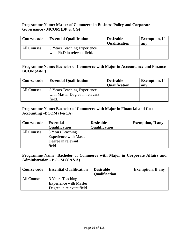## **Programme Name: Master of Commerce in Business Policy and Corporate Governance - MCOM (BP & CG)**

| <b>Course code</b> | <b>Essential Qualification</b>                              | <b>Desirable</b><br><b>Qualification</b> | <b>Exemption, If</b><br>any |
|--------------------|-------------------------------------------------------------|------------------------------------------|-----------------------------|
| All Courses        | 5 Years Teaching Experience<br>with Ph.D in relevant field. |                                          |                             |

### **Programme Name: Bachelor of Commerce with Major in Accountancy and Finance BCOM(A&F)**

| <b>Course code</b> | <b>Essential Qualification</b>                                | <b>Desirable</b><br><b>Qualification</b> | <b>Exemption, If</b><br>anv |
|--------------------|---------------------------------------------------------------|------------------------------------------|-----------------------------|
| All Courses        | 3 Years Teaching Experience<br>with Master Degree in relevant |                                          |                             |
|                    | field.                                                        |                                          |                             |

### **Programme Name: Bachelor of Commerce with Major in Financial and Cost Accounting –BCOM (F&CA)**

| <b>Course code</b> | <b>Essential</b>              | <b>Desirable</b>     | <b>Exemption, If any</b> |
|--------------------|-------------------------------|----------------------|--------------------------|
|                    | <b>Qualification</b>          | <b>Qualification</b> |                          |
| All Courses        | 3 Years Teaching              |                      |                          |
|                    | <b>Experience with Master</b> |                      |                          |
|                    | Degree in relevant            |                      |                          |
|                    | field.                        |                      |                          |

## **Programme Name: Bachelor of Commerce with Major in Corporate Affairs and Administration - BCOM (CA&A)**

| <b>Course code</b> | <b>Essential Qualification</b> | <b>Desirable</b><br><b>Qualification</b> | <b>Exemption, If any</b> |
|--------------------|--------------------------------|------------------------------------------|--------------------------|
| All Courses        | 3 Years Teaching               |                                          |                          |
|                    | <b>Experience with Master</b>  |                                          |                          |
|                    | Degree in relevant field.      |                                          |                          |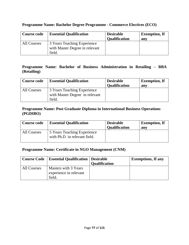### **Programme Name: Bachelor Degree Programme - Commerce Electives (ECO)**

| <b>Course code</b> | <b>Essential Qualification</b>                                          | <b>Desirable</b><br><b>Qualification</b> | <b>Exemption, If</b><br>any |
|--------------------|-------------------------------------------------------------------------|------------------------------------------|-----------------------------|
| All Courses        | 3 Years Teaching Experience<br>with Master Degree in relevant<br>field. |                                          |                             |

## **Programme Name: Bachelor of Business Administration in Retailing – BBA (Retailing)**

| <b>Course code</b> | <b>Essential Qualification</b> | <b>Desirable</b><br><b>Qualification</b> | <b>Exemption, If</b><br>any |
|--------------------|--------------------------------|------------------------------------------|-----------------------------|
| All Courses        | 3 Years Teaching Experience    |                                          |                             |
|                    | with Master Degree in relevant |                                          |                             |
|                    | field.                         |                                          |                             |

### **Programme Name: Post Graduate Diploma in International Business Operations (PGDIBO)**

| <b>Course code</b> | <b>Essential Qualification</b>                              | <b>Desirable</b><br><b>Qualification</b> | <b>Exemption, If</b><br>anv |
|--------------------|-------------------------------------------------------------|------------------------------------------|-----------------------------|
| All Courses        | 5 Years Teaching Experience<br>with Ph.D in relevant field. |                                          |                             |

### **Programme Name: Certificate in NGO Management (CNM)**

|             | <b>Course Code</b>   Essential Qualification   Desirable |                      | <b>Exemptions, If any</b> |
|-------------|----------------------------------------------------------|----------------------|---------------------------|
|             |                                                          | <b>Qualification</b> |                           |
| All Courses | Masters with 3 Years                                     |                      |                           |
|             | experience in relevant                                   |                      |                           |
|             | field.                                                   |                      |                           |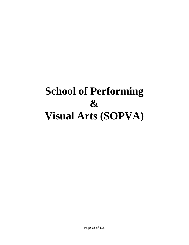# **School of Performing & Visual Arts (SOPVA)**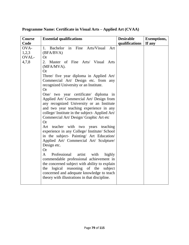| Course | <b>Essential qualifications</b>                          | <b>Desirable</b> | <b>Exemptions,</b> |
|--------|----------------------------------------------------------|------------------|--------------------|
| Code   |                                                          | qualifications   | If any             |
| OVA-   | in Fine Arts/Visual<br>Bachelor<br>1.<br>Art             |                  |                    |
| 1,2,3  | (BFA/BVA)                                                |                  |                    |
| OVAL-  | <b>Or</b>                                                |                  |                    |
| 4,7,8  | Master of Fine Arts/ Visual Arts<br>2.                   |                  |                    |
|        | (MFA/MVA).                                               |                  |                    |
|        | <b>Or</b>                                                |                  |                    |
|        | Three/ five year diploma in Applied Art/                 |                  |                    |
|        | Commercial Art/ Design etc. from any                     |                  |                    |
|        | recognized University or an Institute.                   |                  |                    |
|        | <b>Or</b>                                                |                  |                    |
|        | One/ two year certificate/ diploma in                    |                  |                    |
|        | Applied Art/ Commercial Art/ Design from                 |                  |                    |
|        | any recognized University or an Institute                |                  |                    |
|        | and two year teaching experience in any                  |                  |                    |
|        | college/ Institute in the subject-Applied Art/           |                  |                    |
|        | Commercial Art/Design/Graphic Art etc                    |                  |                    |
|        | Or                                                       |                  |                    |
|        | Art teacher with two years teaching                      |                  |                    |
|        | experience in any College/ Institute/ School             |                  |                    |
|        | in the subject- Painting/ Art Education/                 |                  |                    |
|        | Applied Art/ Commercial Art/ Sculpture/                  |                  |                    |
|        | Design etc.                                              |                  |                    |
|        | <b>Or</b>                                                |                  |                    |
|        | $\mathbf{A}$<br>Professional<br>artist<br>with<br>highly |                  |                    |
|        | commendable professional achievement in                  |                  |                    |
|        | the concerned subject with ability to explain            |                  |                    |
|        | logical reasoning of the<br>the<br>subject               |                  |                    |
|        | concerned and adequate knowledge to teach                |                  |                    |
|        | theory with illustrations in that discipline.            |                  |                    |
|        |                                                          |                  |                    |

# **Programme Name: Certificate in Visual Arts – Applied Art (CVAA)**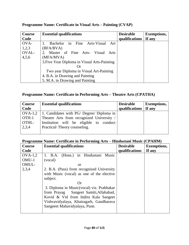| Course | <b>Essential qualifications</b>                | <b>Desirable</b> | <b>Exemptions,</b> |
|--------|------------------------------------------------|------------------|--------------------|
| Code   |                                                | qualifications   | If any             |
| OVA-   | Bachelor in Fine<br>Arts-Visual<br>- Art<br>1. |                  |                    |
| 1,2,3  | (BFA/BVA)                                      |                  |                    |
| OVAL-  | 2. Master of Fine Arts- Visual<br>Arts         |                  |                    |
| 4,5,6  | (MFA/MVA)                                      |                  |                    |
|        | 3. Five Year Diploma in Visual Arts-Painting   |                  |                    |
|        |                                                |                  |                    |
|        | Two year Diploma in Visual Art-Painting        |                  |                    |
|        | 4. B.A. in Drawing and Painting                |                  |                    |
|        | 5. M.A. in Drawing and Painting                |                  |                    |

## **Programme Name: Certificate in Visual Arts – Painting (CVAP)**

## **Programme Name: Certificate in Performing Arts – Theatre Arts (CPATHA)**

| Course                    | <b>Essential qualifications</b>           | <b>Desirable</b>        | Exemptions, |
|---------------------------|-------------------------------------------|-------------------------|-------------|
| Code                      |                                           | qualifications   If any |             |
| $\overline{OVA-1,2}$      | 1. Candidates with PG/ Degree/ Diploma in |                         |             |
| $\overline{\text{OTH-1}}$ | Theatre Arts from recognized University / |                         |             |
| OTHL-                     | Institution will be eligible to conduct   |                         |             |
| 2,3,4                     | Practical/Theory counseling.              |                         |             |
|                           |                                           |                         |             |

## **Programme Name: Certificate in Performing Arts – Hindustani Music (CPAHM)**

| <b>Course</b> | <b>Essential qualifications</b>           | <b>Desirable</b> | <b>Exemptions,</b> |
|---------------|-------------------------------------------|------------------|--------------------|
| Code          |                                           | qualifications   | If any             |
| $OVA-1,2$     | 1. B.A. (Hons.) in Hindustani Music       |                  |                    |
| OMU-1         | (vocal)                                   |                  |                    |
| OMUL-         | <sub>or</sub>                             |                  |                    |
| 2,3,4         | 2. B.A. (Pass) from recognized University |                  |                    |
|               | with Music (vocal) as one of the elective |                  |                    |
|               | subject.                                  |                  |                    |
|               | <b>Or</b>                                 |                  |                    |
|               | 3. Diploma in Music(vocal) viz. Prabhakar |                  |                    |
|               | from Prayag Sangeet Samiti, Allahabad,    |                  |                    |
|               | Kovid & Vid from Indira Kala Sangeet      |                  |                    |
|               | Vishvavidyalaya, Khairagarh, Gandharava   |                  |                    |
|               | Sangeeet Mahavidyalaya, Pune.             |                  |                    |
|               |                                           |                  |                    |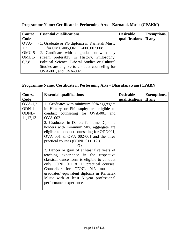| <b>Course</b> | <b>Essential qualifications</b>                | <b>Desirable</b> | <b>Exemptions,</b> |
|---------------|------------------------------------------------|------------------|--------------------|
| Code          |                                                | qualifications   | If any             |
| OVA-          | 1. Graduate or PG diploma in Karnatak Music    |                  |                    |
| 1,2           | for OMU-005, OMUL-006, 007, 008                |                  |                    |
| OMU-5         | 2. Candidate with a graduation with any        |                  |                    |
| OMUL-         | stream preferably in History, Philosophy,      |                  |                    |
| 6,7,8         | Political Science, Liberal Studies or Cultural |                  |                    |
|               | Studies are eligible to conduct counseling for |                  |                    |
|               | OVA-001, and OVA-002.                          |                  |                    |

# **Programme Name: Certificate in Performing Arts – Karnatak Music (CPAKM)**

# **Programme Name: Certificate in Performing Arts – Bharatanatyam (CPABN)**

| Course     | <b>Essential qualifications</b>             | <b>Desirable</b> | <b>Exemptions,</b> |
|------------|---------------------------------------------|------------------|--------------------|
| Code       |                                             | qualifications   | If any             |
| $OVA-1,2$  | 1. Graduates with minimum 50% aggregate     |                  |                    |
| $ODN-1$    | in History or Philosophy are eligible to    |                  |                    |
| ODNL-      | conduct counseling for OVA-001 and          |                  |                    |
| 11, 12, 13 | <b>OVA-002.</b>                             |                  |                    |
|            | 2. Graduates in Dance/ full time Diploma    |                  |                    |
|            | holders with minimum 50% aggregate are      |                  |                    |
|            | eligible to conduct counseling for ODN001,  |                  |                    |
|            | OVA 001 $&$ OVA 002-001 and the three       |                  |                    |
|            | practical courses (ODNL 011, 12,).          |                  |                    |
|            | <b>Or</b>                                   |                  |                    |
|            | 3. Dancer or guru of at least five years of |                  |                    |
|            | teaching experience in the respective       |                  |                    |
|            | classical dance form is eligible to conduct |                  |                    |
|            | only ODNL 011 $\&$ 12 practical courses.    |                  |                    |
|            | Counsellor for ODNL 013 must be             |                  |                    |
|            | graduates/ equivalent diploma in Karnatak   |                  |                    |
|            | Music with at least 5 year professional     |                  |                    |
|            | performance experience.                     |                  |                    |
|            |                                             |                  |                    |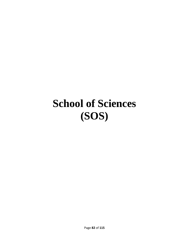# **School of Sciences (SOS)**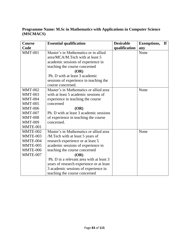## **Programme Name: M.Sc in Mathematics with Applications in Computer Science (MSCMACS)**

| <b>Course</b>  | <b>Essential qualification</b>           | <b>Desirable</b> | <b>Exemptions,</b><br>$\mathbf{H}$ |
|----------------|------------------------------------------|------------------|------------------------------------|
| Code           |                                          | qualification    | any                                |
| <b>MMT-001</b> | Master's in Mathematics or in allied     |                  | None                               |
|                | area/MCA/M.Tech with at least 5          |                  |                                    |
|                | academic sessions of experience in       |                  |                                    |
|                | teaching the course concerned            |                  |                                    |
|                | (OR)                                     |                  |                                    |
|                | Ph. D with at least 3 academic           |                  |                                    |
|                | sessions of experience in teaching the   |                  |                                    |
|                | course concerned.                        |                  |                                    |
| <b>MMT-002</b> | Master's in Mathematics or allied area   |                  | None                               |
| <b>MMT-003</b> | with at least 5 academic sessions of     |                  |                                    |
| <b>MMT-004</b> | experience in teaching the course        |                  |                                    |
| <b>MMT-005</b> | concerned                                |                  |                                    |
| <b>MMT-006</b> | (OR)                                     |                  |                                    |
| <b>MMT-007</b> | Ph. D with at least 3 academic sessions  |                  |                                    |
| <b>MMT-008</b> | of experience in teaching the course     |                  |                                    |
| <b>MMT-009</b> | concerned.                               |                  |                                    |
| MMTE-001       |                                          |                  |                                    |
| MMTE-002       | Master's in Mathematics or allied area   |                  | None                               |
| MMTE-003       | /M.Tech with at least 5 years of         |                  |                                    |
| MMTE-004       | research experience or at least 5        |                  |                                    |
| MMTE-005       | academic sessions of experience in       |                  |                                    |
| MMTE-006       | teaching the course concerned            |                  |                                    |
| MMTE-007       | (OR)                                     |                  |                                    |
|                | Ph. D in a relevant area with at least 3 |                  |                                    |
|                | years of research experience or at least |                  |                                    |
|                | 3 academic sessions of experience in     |                  |                                    |
|                | teaching the course concerned            |                  |                                    |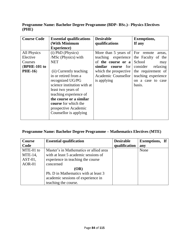**Programme Name: Bachelor Degree Programme (BDP- BSc.)– Physics Electives (PHE)**

| <b>Course Code</b> | <b>Essential qualifications</b> | <b>Desirable</b>      | <b>Exemptions,</b>   |
|--------------------|---------------------------------|-----------------------|----------------------|
|                    | (With Minimum                   | qualifications        | If any               |
|                    | <b>Experience</b> )             |                       |                      |
| All Physics        | (i) PhD (Physics)               | More than 5 years of  | For remote<br>areas, |
| Elective           | /MSc (Physics) with             | teaching experience   | the Faculty of the   |
| Courses            | <b>NET</b>                      | of the course or a    | School<br>may        |
| (BPHE-101 to       |                                 | similar<br>course for | consider<br>relaxing |
| <b>PHE-16</b> )    | (ii) Currently teaching         | which the prospective | the requirement of   |
|                    | in or retired from a            | Academic Counsellor   | teaching experience  |
|                    | recognized UG/PG                | is applying           | on a case to case    |
|                    | science institution with at     |                       | basis.               |
|                    | least two years of              |                       |                      |
|                    | teaching experience of          |                       |                      |
|                    | the course or a similar         |                       |                      |
|                    | <b>course</b> for which the     |                       |                      |
|                    | prospective Academic            |                       |                      |
|                    | Counsellor is applying          |                       |                      |
|                    |                                 |                       |                      |

## **Programme Name: Bachelor Degree Programme – Mathematics Electives (MTE)**

| Course        | <b>Essential qualification</b>         | <b>Desirable</b> | <b>Exemptions</b> , If |  |
|---------------|----------------------------------------|------------------|------------------------|--|
| Code          |                                        | qualification    | any                    |  |
| MTE-01 to     | Master's in Mathematics or allied area |                  | None                   |  |
| $MTE-14$ ,    | with at least 5 academic sessions of   |                  |                        |  |
| $AST-01$ ,    | experience in teaching the course      |                  |                        |  |
| <b>AOR-01</b> | concerned                              |                  |                        |  |
|               | (OR)                                   |                  |                        |  |
|               | Ph. D in Mathematics with at least 3   |                  |                        |  |
|               | academic sessions of experience in     |                  |                        |  |
|               | teaching the course.                   |                  |                        |  |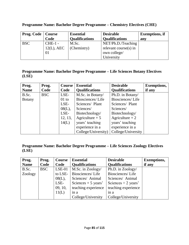| <b>Prog. Code</b> | Course        | <b>Essential</b>      | <b>Desirable</b>         | <b>Exemptions</b> , if |
|-------------------|---------------|-----------------------|--------------------------|------------------------|
|                   | Code          | <b>Qualifications</b> | <b>Qualifications</b>    | any                    |
| <b>BSC</b>        | $CHE-1$ -     | M.Sc.                 | NET/Ph.D./Teaching       |                        |
|                   | $12(L)$ , AEC | (Chemistry)           | relevant course $(s)$ in |                        |
|                   | 01            |                       | own college/             |                        |
|                   |               |                       | University               |                        |

**Programme Name: Bachelor Degree Programme – Chemistry Electives (CHE)**

### **Programme Name: Bachelor Degree Programme – Life Sciences Botany Electives (LSE)**

| Prog.         | Prog.      | Course    | <b>Essential</b>      | <b>Desirable</b>      | <b>Exemptions,</b> |
|---------------|------------|-----------|-----------------------|-----------------------|--------------------|
| <b>Name</b>   | Code       | Code      | <b>Qualifications</b> | <b>Qualifications</b> | if any             |
| B.Sc.         | <b>BSC</b> | LSE-      | M.Sc. in Botany/      | Ph.D. in Botany/      |                    |
| <b>Botany</b> |            | $01$ to   | Biosciences/Life      | Biosciences/Life      |                    |
|               |            | LSE-      | Sciences/ Plant       | Sciences/ Plant       |                    |
|               |            | $08(L)$ , | Sciences/             | Sciences/             |                    |
|               |            | LSE-      | Biotechnology/        | Biotechnology/        |                    |
|               |            | 12, 13,   | Agriculture $+5$      | Agriculture $+2$      |                    |
|               |            | 14(L)     | years' teaching       | years' teaching       |                    |
|               |            |           | experience in a       | experience in a       |                    |
|               |            |           | College/University)   | College/University    |                    |

## **Programme Name: Bachelor Degree Programme – Life Sciences Zoology Electives (LSE)**

| Prog.       | Prog.      | Course    | <b>Essential</b>      | <b>Desirable</b>      | <b>Exemptions,</b> |
|-------------|------------|-----------|-----------------------|-----------------------|--------------------|
| <b>Name</b> | Code       | Code      | <b>Qualifications</b> | <b>Qualifications</b> | if any             |
| B.Sc.       | <b>BSC</b> | $LSE-01$  | M.Sc. in Zoology/     | Ph.D. in Zoology/     |                    |
| Zoology     |            | to LSE-   | Biosciences/Life      | Biosciences/Life      |                    |
|             |            | $08(L)$ , | Sciences/ Animal      | Sciences/ Animal      |                    |
|             |            | LSE-      | Sciences $+5$ years'  | Sciences $+2$ years'  |                    |
|             |            | 09, 10,   | teaching experience   | teaching experience   |                    |
|             |            | 11(L)     | in a                  | in a                  |                    |
|             |            |           | College/University    | College/University    |                    |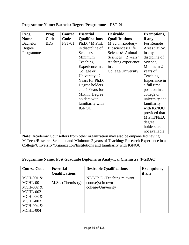| Prog.           | Prog.      | <b>Course</b> | <b>Essential</b>      | <b>Desirable</b>      | <b>Exemptions,</b> |
|-----------------|------------|---------------|-----------------------|-----------------------|--------------------|
| <b>Name</b>     | Code       | Code          | <b>Qualifications</b> | <b>Qualifications</b> | if any             |
| <b>Bachelor</b> | <b>BDP</b> | <b>FST-01</b> | Ph.D. / M.Phil.       | M.Sc. in Zoology/     | For Remote         |
| Degree          |            |               | in discipline of      | Biosciences/Life      | Areas: M.Sc.       |
| Programme       |            |               | Sciences,             | Sciences/ Animal      | in any             |
|                 |            |               | Minimum               | Sciences $+2$ years'  | discipline of      |
|                 |            |               | Teaching              | teaching experience   | Science,           |
|                 |            |               | Experience in a       | in a                  | Minimum 2          |
|                 |            |               | College or            | College/University    | years of           |
|                 |            |               | University : $2$      |                       | Teaching           |
|                 |            |               | Years for Ph.D.       |                       | Experience in      |
|                 |            |               | Degree holders        |                       | a full time        |
|                 |            |               | and 4 Years for       |                       | position in a      |
|                 |            |               | M.Phil. Degree        |                       | college or         |
|                 |            |               | holders with          |                       | university and     |
|                 |            |               | familiarity with      |                       | familiarity        |
|                 |            |               | <b>IGNOU</b>          |                       | with IGNOU         |
|                 |            |               |                       |                       | provided that      |
|                 |            |               |                       |                       | M.Phil/Ph.D.       |
|                 |            |               |                       |                       | degree             |
|                 |            |               |                       |                       | holders are        |
|                 |            |               |                       |                       | not available      |

### **Programme Name: Bachelor Degree Programme – FST-01**

**Note:** Academic Counsellors from other organization may also be empanelled having M.Tech./Research Scientist and Minimum 2 years of Teaching/ Research Experience in a College/University/Organization/Institutions and familiarity with IGNOU.

## **Programme Name: Post Graduate Diploma in Analytical Chemistry (PGDAC)**

| <b>Course Code</b> | <b>Essential</b>      | <b>Desirable Qualifications</b> | <b>Exemptions,</b> |
|--------------------|-----------------------|---------------------------------|--------------------|
|                    | <b>Qualifications</b> |                                 | if any             |
| MCH-001 &          |                       | NET/Ph.D./Teaching relevant     |                    |
| MCHL-001           | M.Sc. (Chemistry)     | $course(s)$ in own              |                    |
| MCH-002 &          |                       | college/University              |                    |
| MCHL-002           |                       |                                 |                    |
| MCH-003 &          |                       |                                 |                    |
| MCHL-003           |                       |                                 |                    |
| MCH-004 $&$        |                       |                                 |                    |
| MCHL-004           |                       |                                 |                    |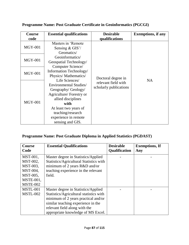| <b>Course</b><br>code | <b>Essential qualifications</b>                                                                                  | <b>Desirable</b><br>qualifications            | <b>Exemptions, if any</b> |
|-----------------------|------------------------------------------------------------------------------------------------------------------|-----------------------------------------------|---------------------------|
| <b>MGY-001</b>        | Masters in 'Remote<br>Sensing $& GIS'$<br>Geomatics/                                                             |                                               |                           |
| <b>MGY-001</b>        | Geoinformatics/<br>Geospatial Technology/<br>Computer Science/                                                   |                                               |                           |
| <b>MGY-001</b>        | Information Technology/<br>Physics/Mathematics/                                                                  | Doctoral degree in                            |                           |
|                       | Life Sciences/<br>Environmental Studies/<br>Geography/Geology/<br>Agriculture/ Forestry or<br>allied disciplines | relevant field with<br>scholarly publications | <b>NA</b>                 |
| $MGY-001$             | with<br>At least two years of<br>teaching/research<br>experience in remote<br>sensing and GIS.                   |                                               |                           |

# **Programme Name: Post Graduate Certificate in Geoinformatics (PGCGI)**

## **Programme Name: Post Graduate Diploma in Applied Statistics (PGDAST)**

| <b>Course</b><br>Code                           | <b>Essential Qualifications</b>                                                                                                                       | <b>Desirable</b><br>Qualification | <b>Exemptions, If</b><br>Any |
|-------------------------------------------------|-------------------------------------------------------------------------------------------------------------------------------------------------------|-----------------------------------|------------------------------|
| MST-001,<br>MST-002,                            | Master degree in Statistics/Applied<br>Statistics/Agricultural Statistics with                                                                        |                                   |                              |
| MST-003,<br>MST-004,                            | minimum of 2 years R&D and/or<br>teaching experience in the relevant                                                                                  |                                   |                              |
| MST-005,<br><b>MSTE-001,</b><br><b>MSTE-002</b> | field.                                                                                                                                                |                                   |                              |
| MSTL-001                                        | Master degree in Statistics/Applied                                                                                                                   |                                   |                              |
| <b>MSTL-002</b>                                 | Statistics/Agricultural statistics with<br>minimum of 2 years practical and/or<br>similar teaching experience in the<br>relevant field along with the |                                   |                              |
|                                                 | appropriate knowledge of MS Excel.                                                                                                                    |                                   |                              |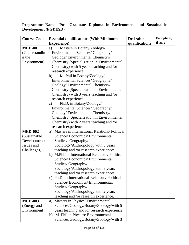## **Programme Name: Post Graduate Diploma in Environment and Sustainable Development (PGDESD)**

| <b>Course Code</b> | <b>Essential qualifications (With Minimum</b>   | <b>Desirable</b> | <b>Exemptions,</b> |
|--------------------|-------------------------------------------------|------------------|--------------------|
|                    | <b>Experience</b> )                             | qualifications   | if any             |
| <b>MED-001</b>     | Masters in Botany/Zoology/<br>a)                |                  |                    |
| (Understandin      | Environmental Sciences/ Geography/              |                  |                    |
| g the              | Geology/Environmental Chemistry/                |                  |                    |
| Environment),      | Chemistry (Specialization in Environmental      |                  |                    |
|                    | Chemistry) with 5 years teaching and /or        |                  |                    |
|                    | research experience.                            |                  |                    |
|                    | M. Phil in Botany/Zoology/<br>b)                |                  |                    |
|                    | Environmental Sciences/ Geography/              |                  |                    |
|                    | Geology/Environmental Chemistry/                |                  |                    |
|                    | Chemistry (Specialization in Environmental      |                  |                    |
|                    | Chemistry) with 3 years teaching and /or        |                  |                    |
|                    | research experience.                            |                  |                    |
|                    | Ph.D. in Botany/Zoology/<br>$\mathbf{c})$       |                  |                    |
|                    | Environmental Sciences/ Geography/              |                  |                    |
|                    | Geology/ Environmental Chemistry/               |                  |                    |
|                    | Chemistry (Specialization in Environmental      |                  |                    |
|                    | Chemistry) with 2 years teaching and /or        |                  |                    |
|                    | research experience.                            |                  |                    |
| <b>MED-002</b>     | a) Masters in International Relations/Political |                  |                    |
| (Sustainable       | Science/ Economics/ Environmental               |                  |                    |
| Development:       | Studies/ Geography/                             |                  |                    |
| Issues and         | Sociology/Anthropology with 5 years             |                  |                    |
| Challenges),       | teaching and /or research experiences.          |                  |                    |
|                    | b) M.Phil in International Relations/Political  |                  |                    |
|                    | Science/Economics/Environmental                 |                  |                    |
|                    | Studies/Geography/                              |                  |                    |
|                    | Sociology/Anthropology with 3 years             |                  |                    |
|                    | teaching and /or research experiences.          |                  |                    |
|                    | c) Ph.D. in International Relations/ Political  |                  |                    |
|                    | Science/ Economics/ Environmental               |                  |                    |
|                    | Studies/Geography/                              |                  |                    |
|                    | Sociology/Anthropology with 2 years             |                  |                    |
|                    | teaching and /or research experience.           |                  |                    |
| <b>MED-003</b>     | a) Masters in Physics/ Environmental            |                  |                    |
| (Energy and        | Sciences/Geology/Botany/Zoology/with 5          |                  |                    |
| Environment)       | years teaching and /or research experience.     |                  |                    |
|                    | b) M. Phil in Physics/ Environmental            |                  |                    |
|                    | Sciences/Geology/Botany/Zoology/with 3          |                  |                    |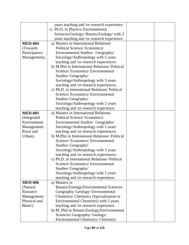|                | years teaching and /or research experience.     |  |
|----------------|-------------------------------------------------|--|
|                | c) Ph.D. in Physics/ Environmental              |  |
|                | Sciences/Geology/ Botany/Zoology/ with 2        |  |
|                | years teaching and /or research experience.     |  |
| <b>MED-004</b> | a) Masters in International Relations/          |  |
| (Towards)      | Political Science/Economics/                    |  |
| Participatory  | Environmental Studies/ Geography/               |  |
| Management),   | Sociology/Anthropology with 5 years             |  |
|                | teaching and /or research experiences.          |  |
|                | b) M.Phil in International Relations/ Political |  |
|                | Science/ Economics/ Environmental               |  |
|                | Studies/Geography/                              |  |
|                | Sociology/Anthropology with 3 years             |  |
|                | teaching and /or research experiences.          |  |
|                | c) Ph.D. in International Relations/ Political  |  |
|                | Science/Economics/Environmental                 |  |
|                | Studies/Geography/                              |  |
|                | Sociology/Anthropology with 2 years             |  |
|                | teaching and /or research experience.           |  |
| <b>MED-005</b> | a) Masters in International Relations/          |  |
| (Integrated    | Political Science/Economics/                    |  |
| Environment    | Environmental Studies/ Geography/               |  |
| Management:    | Sociology/Anthropology with 5 years             |  |
| Rural and      | teaching and /or research experiences.          |  |
| Urban),        | b) M.Phil in International Relations/ Political |  |
|                | Science/ Economics/ Environmental               |  |
|                | Studies/Geography/                              |  |
|                | Sociology/Anthropology with 3 years             |  |
|                | teaching and /or research experiences.          |  |
|                | c) Ph.D. in International Relations/ Political  |  |
|                | Science/ Economics/ Environmental               |  |
|                | Studies/Geography/                              |  |
|                | Sociology/Anthropology with 2 years             |  |
|                | teaching and /or research experience.           |  |
| <b>MED-006</b> | a) Masters in                                   |  |
| (Natural       | Botany/Zoology/Environmental Sciences/          |  |
| Resource       | Geography/ Geology/ Environmental               |  |
| Management:    | Chemistry/ Chemistry (Specialization in         |  |
| Physical and   | Environmental Chemistry) with 5 years           |  |
| Biotic)        | teaching and /or research experience.           |  |
|                | b) M. Phil in Botany/Zoology/Environmental      |  |
|                | Sciences/ Geography/ Geology/                   |  |
|                | Environmental Chemistry/ Chemistry              |  |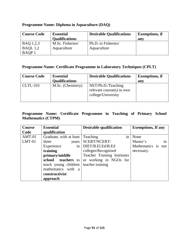## **Programme Name: Diploma in Aquaculture (DAQ)**

| <b>Course Code</b> | <b>Essential</b>      | <b>Desirable Qualifications</b> | <b>Exemptions</b> , if |
|--------------------|-----------------------|---------------------------------|------------------------|
|                    | <b>Qualifications</b> |                                 | any                    |
| BAQ 1,2,3          | M.Sc. Fisheries/      | Ph.D. in Fisheries/             |                        |
| BAQL $1,2$         | Aquaculture           | Aquaculture                     |                        |
| BAQP 1             |                       |                                 |                        |

## **Programme Name: Certificate Programme in Laboratory Techniques (CPLT)**

| <b>Course Code</b> | <b>Essential</b><br><b>Qualifications</b> | <b>Desirable Qualifications</b>                                          | <b>Exemptions</b> , if<br>any |
|--------------------|-------------------------------------------|--------------------------------------------------------------------------|-------------------------------|
| $CLTL-103$         | M.Sc. (Chemistry)                         | NET/Ph.D./Teaching<br>relevant course $(s)$ in own<br>college/University |                               |

## **Programme Name: Certificate Programme in Teaching of Primary School Mathematics (CTPM)**

| <b>Course</b> | <b>Essential</b>        | <b>Desirable qualification</b> | <b>Exemptions, If any</b> |
|---------------|-------------------------|--------------------------------|---------------------------|
| Code          | qualification           |                                |                           |
| $AMT-01$      | Graduate, with at least | in<br>Teaching                 | None                      |
| $LMT-01$      | three<br>years          | SCERT/NCERT/                   | Master's<br>1n            |
|               | in<br>Experience        | DIET/B.El.Ed/B.Ed              | Mathematics is not        |
|               | training                | colleges/Recognised            | necessary.                |
|               | primary/middle          | Teacher Training Institutes    |                           |
|               | school teachers to      | or working in NGOs for         |                           |
|               | teach young children    | teacher training               |                           |
|               | mathematics with a      |                                |                           |
|               | constructivist          |                                |                           |
|               | approach                |                                |                           |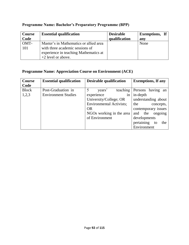| Course       | <b>Essential qualification</b>                                                                                                             | <b>Desirable</b> | <b>Exemptions</b> , If |
|--------------|--------------------------------------------------------------------------------------------------------------------------------------------|------------------|------------------------|
| Code         |                                                                                                                                            | qualification    | any                    |
| OMT-<br>-101 | Master's in Mathematics or allied area<br>with three academic sessions of<br>experience in teaching Mathematics at<br>$+2$ level or above. |                  | None                   |

# **Programme Name: Bachelor's Preparatory Programme (BPP)**

## **Programme Name: Appreciation Course on Environment (ACE)**

| <b>Course</b> | <b>Essential qualification</b> | <b>Desirable qualification</b>  | <b>Exemptions, If any</b> |
|---------------|--------------------------------|---------------------------------|---------------------------|
| Code          |                                |                                 |                           |
| <b>Block</b>  | Post-Graduation in             | 5<br>teaching<br>years'         | Persons having an         |
| 1,2,3         | <b>Environment Studies</b>     | experience<br>1n                | in-depth                  |
|               |                                | University/College; OR          | understanding about       |
|               |                                | <b>Environmental Activists;</b> | the<br>concepts,          |
|               |                                | <b>OR</b>                       | contemporary issues       |
|               |                                | NGOs working in the area        | the<br>ongoing<br>and     |
|               |                                | of Environment                  | developments              |
|               |                                |                                 | pertaining<br>the<br>to   |
|               |                                |                                 | Environment               |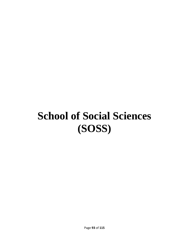# **School of Social Sciences (SOSS)**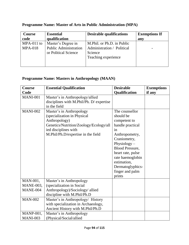| <b>Course</b>  | <b>Essential</b>             | <b>Desirable qualifications</b> | <b>Exemptions If</b> |
|----------------|------------------------------|---------------------------------|----------------------|
| code           | qualification                |                                 | any                  |
| MPA-011 to     | Master's Degree in           | M.Phil. or Ph.D. in Public      |                      |
| <b>MPA-018</b> | <b>Public Administration</b> | Administration / Political      |                      |
|                | or Political Science         | Science                         |                      |
|                |                              | Teaching experience             |                      |
|                |                              |                                 |                      |
|                |                              |                                 |                      |

# **Programme Name: Master of Arts in Public Administration (MPA)**

## **Programme Name: Masters in Anthropology (MAAN)**

| Course           | <b>Essential Qualification</b>                                                                                                                                                   | <b>Desirable</b>                                                                                                                                                                                                                                             | <b>Exemptions</b> |
|------------------|----------------------------------------------------------------------------------------------------------------------------------------------------------------------------------|--------------------------------------------------------------------------------------------------------------------------------------------------------------------------------------------------------------------------------------------------------------|-------------------|
| Code             |                                                                                                                                                                                  | Qualification                                                                                                                                                                                                                                                | if any            |
| <b>MANI-001</b>  | Master's in Anthropology/allied<br>disciplines with M.Phil/Ph. D/ expertise<br>in the field                                                                                      |                                                                                                                                                                                                                                                              |                   |
| <b>MANI-002</b>  | Master's in Anthropology<br>(specialization in Physical<br>Anthropology)<br>Genetics/Nutrition/Zoology/Ecology/all<br>ied disciplines with<br>M.Phil/Ph.D/expertise in the field | The counsellor<br>should be<br>competent to<br>handle practical<br>in<br>Anthropometry,<br>Craniometry,<br>Physiology $-$<br><b>Blood Pressure,</b><br>heart rate, pulse<br>rate haemoglobin<br>estimation,<br>Dermatoglyphics-<br>finger and palm<br>prints |                   |
| MAN-001,         | Master's in Anthropology                                                                                                                                                         |                                                                                                                                                                                                                                                              |                   |
| <b>MANE-003,</b> | (specialization in Social                                                                                                                                                        |                                                                                                                                                                                                                                                              |                   |
| MANE-004         | Anthropology)/Sociology/ allied<br>discipline with M.Phil/Ph.D                                                                                                                   |                                                                                                                                                                                                                                                              |                   |
| <b>MAN-002</b>   | Master's in Anthropology/ History                                                                                                                                                |                                                                                                                                                                                                                                                              |                   |
|                  | with specialization in Archaeology,<br>Ancient History with M.Phil/Ph.D                                                                                                          |                                                                                                                                                                                                                                                              |                   |
| <b>MANP-001,</b> | Master's in Anthropology                                                                                                                                                         |                                                                                                                                                                                                                                                              |                   |
| <b>MANI-003</b>  | (Physical/Social/allied                                                                                                                                                          |                                                                                                                                                                                                                                                              |                   |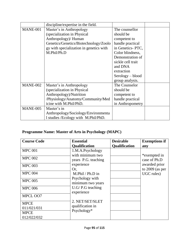|                 | discipline/expertise in the field.      |                   |  |
|-----------------|-----------------------------------------|-------------------|--|
| MANE-001        | Master's in Anthropology                | The counsellor    |  |
|                 | (specialization in Physical)            | should be         |  |
|                 | Anthropology)/ Human                    | competent to      |  |
|                 | Genetics/Genetics/Biotechnology/Zoolo   | handle practical  |  |
|                 | gy with specialization in genetics with | in Genetics-PTC,  |  |
|                 | M.Phil/Ph.D                             | Color blindness,  |  |
|                 |                                         | Demonstration of  |  |
|                 |                                         | sickle cell trait |  |
|                 |                                         | and DNA           |  |
|                 |                                         | extraction        |  |
|                 |                                         | Serology – blood  |  |
|                 |                                         | group analysis.   |  |
| MANE-002        | Master's in Anthropology                | The Counselor     |  |
|                 | (specialization in Physical             | should be         |  |
|                 | Anthropology)/Nutrition                 | competent to      |  |
|                 | /Physiology/Anatomy/Community/Med       | handle practical  |  |
|                 | icine with M.Phil/PhD.                  | in Anthropometry  |  |
| <b>MANE-005</b> | Master's in                             |                   |  |
|                 | Anthropology/Sociology/Environmenta     |                   |  |
|                 | 1 studies /Ecology with M.Phil/PhD.     |                   |  |

# **Programme Name: Master of Arts in Psychology (MAPC)**

| <b>Course Code</b>                                 | <b>Essential</b>                                                                      | <b>Desirable</b>     | <b>Exemptions if</b>            |
|----------------------------------------------------|---------------------------------------------------------------------------------------|----------------------|---------------------------------|
|                                                    | <b>Qualification</b>                                                                  | <b>Qualification</b> | any                             |
| <b>MPC 001</b>                                     | 1.M.A.Psychology                                                                      |                      |                                 |
| <b>MPC 002</b>                                     | with minimum two<br>years P.G. teaching                                               |                      | *exempted in<br>case of Ph.D    |
| <b>MPC 003</b>                                     | experience                                                                            |                      | awarded prior                   |
| <b>MPC 004</b><br><b>MPC 005</b><br><b>MPC 006</b> | Or.<br>M.Phil / Ph.D in<br>Psychology with<br>minimum two years<br>$U.G/P.G$ teaching |                      | to $2009$ (as per<br>UGC rules) |
| MPCL OO7<br><b>MPCE</b>                            | experience<br>2. NET/SET/SLET                                                         |                      |                                 |
| 011/021/031                                        | qualification in<br>Psychology*                                                       |                      |                                 |
| <b>MPCE</b>                                        |                                                                                       |                      |                                 |
| 012/022/032                                        |                                                                                       |                      |                                 |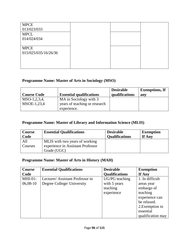| <b>MPCE</b>          |  |  |
|----------------------|--|--|
| 013/023/033          |  |  |
| <b>MPCL</b>          |  |  |
| 014/024/034          |  |  |
|                      |  |  |
| <b>MPCE</b>          |  |  |
| 015/025/035/16/26/36 |  |  |
|                      |  |  |
|                      |  |  |
|                      |  |  |

## **Programme Name: Master of Arts in Sociology (MSO)**

| <b>Course Code</b> | <b>Essential qualifications</b> | <b>Desirable</b><br>qualifications | <b>Exemptions, If</b><br>any |
|--------------------|---------------------------------|------------------------------------|------------------------------|
| $MSO-1, 2, 3, 4,$  | MA in Sociology with 3          |                                    |                              |
| MSOE-1,23,4        | years of teaching or research   |                                    |                              |
|                    | experience.                     |                                    |                              |

## **Programme Name: Master of Library and Information Science (MLIS)**

| Course         | <b>Essential Qualifications</b>                                                    | <b>Desirable</b>      | <b>Exemption</b> |
|----------------|------------------------------------------------------------------------------------|-----------------------|------------------|
| Code           |                                                                                    | <b>Qualifications</b> | If Any           |
| All<br>Courses | MLIS with two years of working<br>experience in Assistant Professor<br>Grade (UGC) |                       |                  |

## **Programme Name: Master of Arts in History (MAH)**

| <b>Course</b> | <b>Essential Qualifications</b> | <b>Desirable</b>      | <b>Exemption</b>  |
|---------------|---------------------------------|-----------------------|-------------------|
| Code          |                                 | <b>Qualifications</b> | If Any            |
| $MHI-01-$     | Lecturer/Assistant Professor in | UG/PG teaching        | 1. In difficult   |
| 06,08-10      | Degree College/ University      | with 5 years          | areas year        |
|               |                                 | teaching              | embargo of        |
|               |                                 | experience            | teaching          |
|               |                                 |                       | experience can    |
|               |                                 |                       | be relaxed.       |
|               |                                 |                       | 2. Exemption in   |
|               |                                 |                       | essential         |
|               |                                 |                       | qualification may |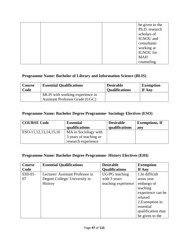|  |             | be given to the |
|--|-------------|-----------------|
|  |             | Ph.D. research  |
|  | scholars of |                 |
|  | IGNOU and   |                 |
|  | consultants |                 |
|  | working at  |                 |
|  | IGNOU for   |                 |
|  | <b>MAH</b>  |                 |
|  | counseling. |                 |

## **Programme Name: Bachelor of Library and Information Science (BLIS)**

| Course | <b>Essential Qualifications</b>                                           | <b>Desirable</b>      | <b>Exemption</b> |
|--------|---------------------------------------------------------------------------|-----------------------|------------------|
| Code   |                                                                           | <b>Oualifications</b> | If Any           |
|        | MLIS with working experience in<br><b>Assistant Professor Grade (UGC)</b> |                       |                  |

## **Programme Name: Bachelor Degree Programme- Sociology Electives (ESO)**

| <b>COURSE Code</b>         | <b>Essential</b><br>qualifications | <b>Desirable</b><br>qualifications | <b>Exemptions, If</b><br>any |
|----------------------------|------------------------------------|------------------------------------|------------------------------|
| ESO-11, 12, 13, 14, 15, 16 | MA in Sociology with               |                                    |                              |
|                            | 3 years of teaching or             |                                    |                              |
|                            | research experience                |                                    |                              |

### **Programme Name: Bachelor Degree Programme- History Electives (EHI)**

| Course  | <b>Essential Qualifications</b> | <b>Desirable</b>      | <b>Exemption</b>  |
|---------|---------------------------------|-----------------------|-------------------|
| Code    |                                 | <b>Qualifications</b> | If Any            |
| EHI-01- | Lecturer/Assistant Professor in | UG/PG teaching        | 1.In difficult    |
| 07      | Degree College/ University in   | with 3 years          | areas year        |
|         | <b>Histroy</b>                  | teaching experience   | embargo of        |
|         |                                 |                       | teaching          |
|         |                                 |                       | experience can be |
|         |                                 |                       | relaxed           |
|         |                                 |                       | 2. Exemption in   |
|         |                                 |                       | essential         |
|         |                                 |                       | qualification may |
|         |                                 |                       | be given to the   |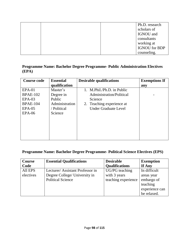|  | Ph.D. research       |
|--|----------------------|
|  | scholars of          |
|  | IGNOU and            |
|  | consultants          |
|  | working at           |
|  | <b>IGNOU</b> for BDP |
|  | counseling.          |

### **Programme Name: Bachelor Degree Programme- Public Administration Electives (EPA)**

| <b>Course code</b> | <b>Essential</b> | <b>Desirable qualifications</b> | <b>Exemptions If</b> |
|--------------------|------------------|---------------------------------|----------------------|
|                    | qualification    |                                 | any                  |
| $EPA-01$           | Master's         | 1. M.Phil./Ph.D. in Public      |                      |
| <b>BPAE-102</b>    | Degree in        | Administration/Political        |                      |
| $EPA-03$           | Public           | Science                         |                      |
| <b>BPAE-104</b>    | Administration   | 2. Teaching experience at       |                      |
| $EPA-05$           | / Political      | <b>Under Graduate Level</b>     |                      |
| $EPA-06$           | Science          |                                 |                      |
|                    |                  |                                 |                      |
|                    |                  |                                 |                      |
|                    |                  |                                 |                      |
|                    |                  |                                 |                      |
|                    |                  |                                 |                      |

## **Programme Name: Bachelor Degree Programme- Political Science Electives (EPS)**

| Course    | <b>Essential Qualifications</b> | <b>Desirable</b>      | <b>Exemption</b> |
|-----------|---------------------------------|-----------------------|------------------|
| Code      |                                 | <b>Qualifications</b> | If Any           |
| All EPS   | Lecturer/Assistant Professor in | UG/PG teaching        | In difficult     |
| electives | Degree College/ University in   | with 3 years          | areas year       |
|           | <b>Political Science</b>        | teaching experience   | embargo of       |
|           |                                 |                       | teaching         |
|           |                                 |                       | experience can   |
|           |                                 |                       | be relaxed.      |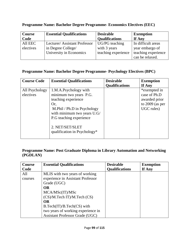| <b>Course</b>        | <b>Essential Qualifications</b>                                               | <b>Desirable</b>                                      | <b>Exemption</b>                                                                |
|----------------------|-------------------------------------------------------------------------------|-------------------------------------------------------|---------------------------------------------------------------------------------|
| Code                 |                                                                               | <b>Qualifications</b>                                 | If Any                                                                          |
| All EEC<br>electives | Lecturer/Assistant Professor<br>in Degree College/<br>University in Economics | UG/PG teaching<br>with 3 years<br>teaching experience | In difficult areas<br>year embargo of<br>teaching experience<br>can be relaxed. |

## **Programme Name: Bachelor Degree Programme- Economics Electives (EEC)**

### **Programme Name: Bachelor Degree Programme- Psychology Electives (BPC)**

| <b>Course Code</b>          | <b>Essential Qualifications</b>                                                                                                                                                                                           | <b>Desirable</b>      | <b>Exemption</b>                                                                 |
|-----------------------------|---------------------------------------------------------------------------------------------------------------------------------------------------------------------------------------------------------------------------|-----------------------|----------------------------------------------------------------------------------|
|                             |                                                                                                                                                                                                                           | <b>Qualifications</b> | If Any                                                                           |
| All Psychology<br>electives | 1.M.A.Psychology with<br>minimum two years P.G.<br>teaching experience<br>Or.<br>M.Phil / Ph.D in Psychology<br>with minimum two years U.G/<br>P.G teaching experience<br>2. NET/SET/SLET<br>qualification in Psychology* |                       | *exempted in<br>case of Ph.D<br>awarded prior<br>to $2009$ (as per<br>UGC rules) |

## **Programme Name: Post Graduate Diploma in Library Automation and Networking (PGDLAN)**

| Course  | <b>Essential Qualifications</b>        | <b>Desirable</b>      | <b>Exemption</b> |
|---------|----------------------------------------|-----------------------|------------------|
| Code    |                                        | <b>Qualifications</b> | If Any           |
| All     | MLIS with two years of working         |                       |                  |
| courses | experience in Assistant Professor      |                       |                  |
|         | Grade (UGC)                            |                       |                  |
|         | <b>OR</b>                              |                       |                  |
|         | MCA/MSc(IT)/MSc                        |                       |                  |
|         | (CS)/M.Tech IT)/M.Tech (CS)            |                       |                  |
|         | <b>OR</b>                              |                       |                  |
|         | $B.Tech(T)/B.Tech(CS)$ with            |                       |                  |
|         | two years of working experience in     |                       |                  |
|         | <b>Assistant Professor Grade (UGC)</b> |                       |                  |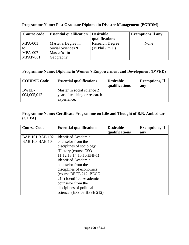| <b>Course code</b> | <b>Essential qualification</b> | <b>Desirable</b><br>qualifications | <b>Exemptions If any</b> |
|--------------------|--------------------------------|------------------------------------|--------------------------|
| <b>MPA-001</b>     | Master's Degree in             | <b>Research Degree</b>             | None                     |
| to                 | Social Sciences &              | (M.Phil./Ph.D)                     |                          |
| $MPA-007$          | Master's in                    |                                    |                          |
| $MPAP-001$         | Geography                      |                                    |                          |

## **Programme Name: Post Graduate Diploma in Disaster Management (PGDDM)**

### **Programme Name: Diploma in Women's Empowerment and Development (DWED)**

| <b>COURSE Code</b>   | <b>Essential qualifications</b>                                           | <b>Desirable</b><br>qualifications | <b>Exemptions</b> , If<br>any |
|----------------------|---------------------------------------------------------------------------|------------------------------------|-------------------------------|
| BWEE-<br>004,005,012 | Master in social science 2<br>year of teaching or research<br>experience. |                                    |                               |

## **Programme Name: Certificate Programme on Life and Thought of B.R. Ambedkar (CLTA)**

| <b>Course Code</b>     | <b>Essential qualifications</b> | <b>Desirable</b><br>qualifications | <b>Exemptions, If</b> |
|------------------------|---------------------------------|------------------------------------|-----------------------|
|                        |                                 |                                    | any                   |
| <b>BAB 101 BAB 102</b> | <b>Identified Academic</b>      |                                    |                       |
| <b>BAB 103 BAB 104</b> | counselor from the              |                                    |                       |
|                        | disciplines of sociology        |                                    |                       |
|                        | /History (course ESO)           |                                    |                       |
|                        | $11, 12, 13, 14, 15, 16, EHI-1$ |                                    |                       |
|                        | <b>Identified Academic</b>      |                                    |                       |
|                        | counselor from the              |                                    |                       |
|                        | disciplines of economics        |                                    |                       |
|                        | (course BECE 212, BECE)         |                                    |                       |
|                        | 214) Identified Academic        |                                    |                       |
|                        | counselor from the              |                                    |                       |
|                        | disciplines of political        |                                    |                       |
|                        | science (EPS $03$ , BPSE 212)   |                                    |                       |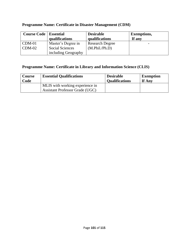| <b>Course Code</b>   <b>Essential</b> |                     | <b>Desirable</b>       | <b>Exemptions,</b> |
|---------------------------------------|---------------------|------------------------|--------------------|
|                                       | qualifications      | qualifications         | If any             |
| $\mathsf{CDM}\text{-}01$              | Master's Degree in  | <b>Research Degree</b> |                    |
| $CDM-02$                              | Social Sciences     | (M.Phi1./Ph.D)         |                    |
|                                       | including Geography |                        |                    |

# **Programme Name: Certificate in Disaster Management (CDM)**

## **Programme Name: Certificate in Library and Information Science (CLIS)**

| <b>Course</b> | <b>Essential Qualifications</b>                                           | <b>Desirable</b>      | <b>Exemption</b> |
|---------------|---------------------------------------------------------------------------|-----------------------|------------------|
| Code          |                                                                           | <b>Qualifications</b> | If Any           |
|               | MLIS with working experience in<br><b>Assistant Professor Grade (UGC)</b> |                       |                  |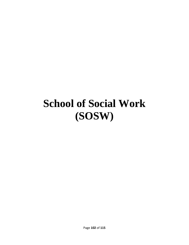# **School of Social Work (SOSW)**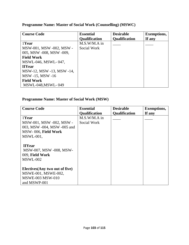# **Programme Name: Master of Social Work (Counselling) (MSWC)**

| <b>Course Code</b>       | <b>Essential</b>     | <b>Desirable</b>     | <b>Exemptions,</b> |
|--------------------------|----------------------|----------------------|--------------------|
|                          | <b>Qualification</b> | <b>Qualification</b> | If any             |
| 1Year                    | M.S.W/M.A in         |                      |                    |
| MSW-001, MSW -002, MSW - | Social Work          |                      |                    |
| 005, MSW -008, MSW -009, |                      |                      |                    |
| <b>Field Work</b>        |                      |                      |                    |
| MSWL-046, MSWL-047,      |                      |                      |                    |
| <b>IIYear</b>            |                      |                      |                    |
| MSW-12, MSW-13, MSW-14,  |                      |                      |                    |
| MSW -15, MSW -16         |                      |                      |                    |
| <b>Field Work</b>        |                      |                      |                    |
| MSWL-048, MSWL-049       |                      |                      |                    |

## **Programme Name: Master of Social Work (MSW)**

| <b>Course Code</b>                                                                                | <b>Essential</b>     | <b>Desirable</b>     | <b>Exemptions,</b> |
|---------------------------------------------------------------------------------------------------|----------------------|----------------------|--------------------|
|                                                                                                   | <b>Qualification</b> | <b>Qualification</b> | If any             |
| 1Year                                                                                             | $M.S.W/M.A$ in       |                      |                    |
| MSW-001, MSW -002, MSW -                                                                          | Social Work          |                      |                    |
| 003, MSW -004, MSW -005 and                                                                       |                      |                      |                    |
| MSW-006, Field Work                                                                               |                      |                      |                    |
| MSWL-001,                                                                                         |                      |                      |                    |
| <b>IIYear</b><br>MSW-007, MSW-008, MSW-<br>009, Field Work<br>MSWL-002                            |                      |                      |                    |
| Electives (Any two out of five)<br>MSWE-001, MSWE-002,<br><b>MSWE-003 MSW-010</b><br>and MSWP-001 |                      |                      |                    |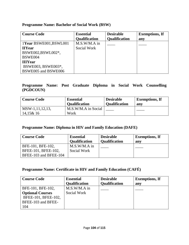## **Programme Name: Bachelor of Social Work (BSW)**

| <b>Course Code</b>     | <b>Essential</b>     | <b>Desirable</b>     | <b>Exemptions, If</b> |
|------------------------|----------------------|----------------------|-----------------------|
|                        | <b>Qualification</b> | <b>Qualification</b> | any                   |
| 1Year BSWE001, BSWL001 | $M.S.W/M.A$ in       |                      |                       |
| <b>IIYear</b>          | Social Work          |                      |                       |
| BSWE002,BSWL002*,      |                      |                      |                       |
| BSWE004                |                      |                      |                       |
| <b>IIIYear</b>         |                      |                      |                       |
| BSWE003, BSWE003*,     |                      |                      |                       |
| BSWE005 and BSWE006    |                      |                      |                       |

## **Programme Name: Post Graduate Diploma in Social Work Counselling (PGDCOUN)**

| <b>Course Code</b>                | <b>Essential</b>            | <b>Desirable</b>     | <b>Exemptions, If</b> |
|-----------------------------------|-----------------------------|----------------------|-----------------------|
|                                   | <b>Qualification</b>        | <b>Qualification</b> | any                   |
| $MSW-1, 11, 12, 13,$<br>14,15& 16 | M.S.W/M.A in Social<br>Work |                      |                       |

## **Programme Name: Diploma in HIV and Family Education (DAFE)**

| <b>Course Code</b>    | <b>Essential</b><br><b>Qualification</b> | <b>Desirable</b><br><b>Qualification</b> | <b>Exemptions, If</b><br>any |
|-----------------------|------------------------------------------|------------------------------------------|------------------------------|
| BFE-101, BFE-102,     | $M.S.W/M.A$ in                           |                                          |                              |
| BFEE-101, BFEE-102,   | Social Work                              |                                          |                              |
| BFEE-103 and BFEE-104 |                                          |                                          |                              |

## **Programme Name: Certificate in HIV and Family Education (CAFÉ)**

| <b>Course Code</b>      | <b>Essential</b>     | <b>Desirable</b>     | <b>Exemptions, If</b> |
|-------------------------|----------------------|----------------------|-----------------------|
|                         | <b>Qualification</b> | <b>Qualification</b> | anv                   |
| BFE-101, BFE-102,       | $M.S.W/M.A$ in       |                      |                       |
| <b>Optional Courses</b> | Social Work          |                      |                       |
| BFEE-101, BFEE-102,     |                      |                      |                       |
| BFEE-103 and BFEE-      |                      |                      |                       |
| 104                     |                      |                      |                       |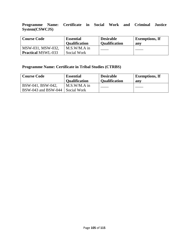**Programme Name: Certificate in Social Work and Criminal Justice System(CSWCJS)**

| <b>Course Code</b>        | <b>Essential</b><br><b>Qualification</b> | <b>Desirable</b><br><b>Oualification</b> | <b>Exemptions, If</b><br>any |
|---------------------------|------------------------------------------|------------------------------------------|------------------------------|
| MSW-031, MSW-032,         | $M.S.W/M.A$ in                           |                                          |                              |
| <b>Practical MSWL-033</b> | Social Work                              |                                          |                              |

## **Programme Name: Certificate in Tribal Studies (CTRBS)**

| <b>Course Code</b>                       | <b>Essential</b>              | <b>Desirable</b>     | <b>Exemptions, If</b> |
|------------------------------------------|-------------------------------|----------------------|-----------------------|
|                                          | <b>Qualification</b>          | <b>Qualification</b> | any                   |
| BSW-041, BSW-042,<br>BSW-043 and BSW-044 | $M.S.W/M.A$ in<br>Social Work |                      |                       |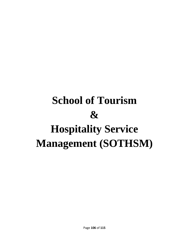# **School of Tourism & Hospitality Service Management (SOTHSM)**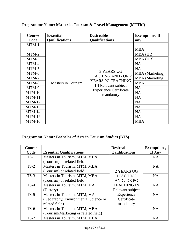| <b>Course</b> | <b>Essential</b>          | <b>Desireable</b>                                                                                                                         | <b>Exemptions, If</b>  |
|---------------|---------------------------|-------------------------------------------------------------------------------------------------------------------------------------------|------------------------|
| Code          | <b>Qaulifications</b>     | <b>Qaulifications</b>                                                                                                                     | any                    |
| $MTM-1$       |                           |                                                                                                                                           |                        |
|               |                           |                                                                                                                                           | <b>MBA</b>             |
| MTM-2         |                           |                                                                                                                                           | MBA (HR)               |
| MTM-3         |                           |                                                                                                                                           | MBA (HR)               |
| MTM-4         |                           |                                                                                                                                           | <b>NA</b>              |
| MTM-5         |                           |                                                                                                                                           | <b>NA</b>              |
| MTM-6         |                           | <b>3 YEARS UG</b><br><b>TEACHING AND / OR 2</b><br>YEARS PG TEACHING<br>IN Relevant subject<br><b>Experience Certificate</b><br>mandatory | <b>MBA</b> (Marketing) |
| MTM-7         |                           |                                                                                                                                           | MBA (Marketing)        |
| MTM-8         | <b>Masters in Tourism</b> |                                                                                                                                           | <b>MBA</b>             |
| MTM-9         |                           |                                                                                                                                           | <b>NA</b>              |
| $MTM-10$      |                           |                                                                                                                                           | <b>NA</b>              |
| $MTM-11$      |                           |                                                                                                                                           | <b>NA</b>              |
| $MTM-12$      |                           |                                                                                                                                           | <b>NA</b>              |
| $MTM-13$      |                           |                                                                                                                                           | <b>NA</b>              |
| $MTM-14$      |                           |                                                                                                                                           | <b>NA</b>              |
| $MTM-15$      |                           |                                                                                                                                           | <b>NA</b>              |
| $MTM-16$      |                           |                                                                                                                                           | <b>MBA</b>             |

# **Programme Name: Master in Tourism & Travel Management (MTTM)**

# **Programme Name: Bachelor of Arts in Tourism Studies (BTS)**

| <b>Course</b> |                                      | <b>Desireable</b>     | <b>Exemptions,</b> |
|---------------|--------------------------------------|-----------------------|--------------------|
| Code          | <b>Essential Qaulifications</b>      | <b>Qaulifications</b> | If Any             |
| $TS-1$        | Masters in Tourism, MTM, MBA         |                       | <b>NA</b>          |
|               | (Tourism) or related field           |                       |                    |
| $TS-2$        | Masters in Tourism, MTM, MBA         |                       | <b>NA</b>          |
|               | (Tourism) or related field           | 2 YEARS UG            |                    |
| $TS-3$        | Masters in Tourism, MTM, MBA         | <b>TEACHING</b>       | <b>NA</b>          |
|               | (Tourism) or related field           | AND / OR PG           |                    |
| $TS-4$        | Masters in Toursim, MTM, MA          | <b>TEACHING IN</b>    | <b>NA</b>          |
|               | (History)                            | Relevant subject      |                    |
| $TS-5$        | Masters in Toursim, MTM, MA          | Experience            | <b>NA</b>          |
|               | (Geography/Environmental Science or  | Certificate           |                    |
|               | related field)                       | mandatory             |                    |
| $TS-6$        | Masters in Toursim, MTM, MBA         |                       | <b>NA</b>          |
|               | (Tourism/Marketing or related field) |                       |                    |
| $TS-7$        | Masters in Toursim, MTM, MBA         |                       | <b>NA</b>          |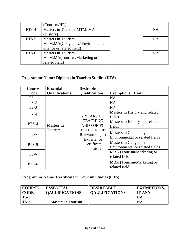|       | (Tourism/HR)                     |           |
|-------|----------------------------------|-----------|
| PTS-4 | Masters in Toursim, MTM, MA      | <b>NA</b> |
|       | (History)                        |           |
| PTS-5 | Masters in Tourism,              | <b>NA</b> |
|       | MTM, MA (Geography/Environmental |           |
|       | science or related field)        |           |
| PTS-6 | Masters in Tourism,              | <b>NA</b> |
|       | MTM, MA (Tourism/Marketing or    |           |
|       | related field)                   |           |

# **Programme Name: Diploma in Tourism Studies (DTS)**

| <b>Course</b> | <b>Essential</b>      | <b>Desirable</b>                                                                                                                 |                                                                |  |
|---------------|-----------------------|----------------------------------------------------------------------------------------------------------------------------------|----------------------------------------------------------------|--|
| Code          | <b>Qualifications</b> | <b>Qualifications</b>                                                                                                            | <b>Exemptions, If Any</b>                                      |  |
| $TS-1$        |                       |                                                                                                                                  | <b>NA</b>                                                      |  |
| $TS-2$        | Masters in<br>Tourism | 2 YEARS UG<br><b>TEACHING</b><br>AND / OR PG<br><b>TEACHING IN</b><br>Relevant subject<br>Experience<br>Certificate<br>mandatory | <b>NA</b>                                                      |  |
| $TS-3$        |                       |                                                                                                                                  | <b>NA</b>                                                      |  |
| $TS-4$        |                       |                                                                                                                                  | Masters in History and related<br>fields                       |  |
| PTS-4         |                       |                                                                                                                                  | Masters in History and related<br>fields                       |  |
| $TS-5$        |                       |                                                                                                                                  | Masters in Geography<br>Environmental or related fields        |  |
| PTS-5         |                       |                                                                                                                                  | Masters in Geography<br><b>Environmental or related fields</b> |  |
| $TS-6$        |                       |                                                                                                                                  | MBA (Tourism/Marketing or<br>related field                     |  |
| PTS-6         |                       |                                                                                                                                  | MBA (Tourism/Marketing or<br>related field                     |  |

# **Programme Name: Certificate in Tourism Studies (CTS)**

| <b>COURSE</b><br><b>CODE</b> | <b>ESSENTIAL</b><br><b>OAULIFICATIONS</b> | <b>DESIREABLE</b><br><b>OAULIFICATIONS</b> | <b>EXEMPTIONS,</b><br><b>IF ANY</b> |
|------------------------------|-------------------------------------------|--------------------------------------------|-------------------------------------|
| $TS-1$                       |                                           |                                            | NA                                  |
| $TS-2$                       | Masters in Tourism                        |                                            | NA                                  |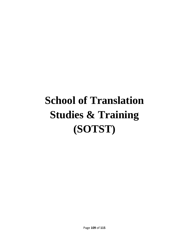# **School of Translation Studies & Training (SOTST)**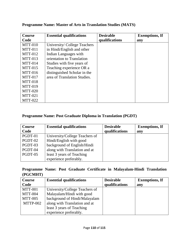| <b>Course</b>  | <b>Essential qualifications</b> | <b>Desirable</b> | <b>Exemptions, If</b> |
|----------------|---------------------------------|------------------|-----------------------|
| Code           |                                 | qualifications   | any                   |
| $MTT-010$      | University/College Teachers     |                  |                       |
| <b>MTT-011</b> | in Hindi/English and other      |                  |                       |
| $MTT-012$      | Indian Languages with           |                  |                       |
| $MTT-013$      | orientation to Translation      |                  |                       |
| $MTT-014$      | Studies with five years of      |                  |                       |
| $MTT-015$      | Teaching experience OR a        |                  |                       |
| $MTT-016$      | distinguished Scholar in the    |                  |                       |
| <b>MTT-017</b> | area of Translation Studies.    |                  |                       |
| <b>MTT-018</b> |                                 |                  |                       |
| <b>MTT-019</b> |                                 |                  |                       |
| <b>MTT-020</b> |                                 |                  |                       |
| <b>MTT-021</b> |                                 |                  |                       |
| <b>MTT-022</b> |                                 |                  |                       |

#### **Programme Name: Master of Arts in Translation Studies (MATS)**

#### **Programme Name: Post Graduate Diploma in Translation (PGDT)**

| <b>Course</b> | <b>Essential qualifications</b> | <b>Desirable</b> | <b>Exemptions, If</b> |
|---------------|---------------------------------|------------------|-----------------------|
| Code          |                                 | qualifications   | any                   |
| PGDT-01       | University/College Teachers of  |                  |                       |
| PGDT-02       | Hindi/English with good         |                  |                       |
| PGDT-03       | background of English/Hindi     |                  |                       |
| PGDT-04       | along with Translation and at   |                  |                       |
| PGDT-05       | least 3 years of Teaching       |                  |                       |
|               | experience preferably.          |                  |                       |

**Programme Name: Post Graduate Certificate in Malayalam-Hindi Translation (PGCMHT)**

| <b>Course</b>  | <b>Essential qualifications</b> | <b>Desirable</b> | <b>Exemptions, If</b> |
|----------------|---------------------------------|------------------|-----------------------|
| Code           |                                 | qualifications   | any                   |
| <b>MTT-001</b> | University/College Teachers of  |                  |                       |
| MTT-004        | Malayalam/Hindi with good       |                  |                       |
| <b>MTT-005</b> | background of Hindi/Malayalam   |                  |                       |
| MTTP-002       | along with Translation and at   |                  |                       |
|                | least 3 years of Teaching       |                  |                       |
|                | experience preferably.          |                  |                       |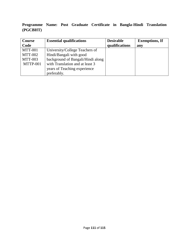## **Programme Name: Post Graduate Certificate in Bangla-Hindi Translation (PGCBHT)**

| <b>Course</b>  | <b>Essential qualifications</b>   | <b>Desirable</b> | <b>Exemptions, If</b> |
|----------------|-----------------------------------|------------------|-----------------------|
| Code           |                                   | qualifications   | any                   |
| <b>MTT-001</b> | University/College Teachers of    |                  |                       |
| <b>MTT-002</b> | Hindi/Bangali with good           |                  |                       |
| <b>MTT-003</b> | background of Bangali/Hindi along |                  |                       |
| MTTP-001       | with Translation and at least 3   |                  |                       |
|                | years of Teaching experience      |                  |                       |
|                | preferably.                       |                  |                       |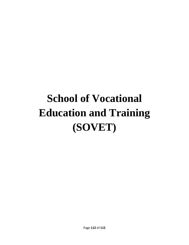## **School of Vocational Education and Training (SOVET)**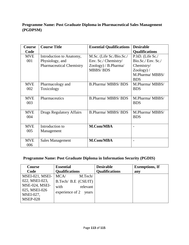## **Programme Name: Post Graduate Diploma in Pharmaceutical Sales Management (PGDPSM)**

| <b>Course</b> | <b>Course Title</b>             | <b>Essential Qualifications</b> | <b>Desirable</b>      |
|---------------|---------------------------------|---------------------------------|-----------------------|
| Code          |                                 |                                 | <b>Qualifications</b> |
| <b>MVE</b>    | Introduction to Anatomy,        | M.Sc. (Life Sc./Bio.Sc./        | P.hD. (Life Sc./      |
| 001           | Physiology, and                 | Env. Sc./ Chemistry/            | Bio.Sc./Env. Sc./     |
|               | <b>Pharmaceutical Chemistry</b> | $Zoology$ / B. Pharma/          | Chemistry/            |
|               |                                 | <b>MBBS/BDS</b>                 | $Zoology$ ) /         |
|               |                                 |                                 | M.Pharma/MBBS/        |
|               |                                 |                                 | <b>BDS</b>            |
| <b>MVE</b>    | Pharmacology and                | <b>B.Pharma/MBBS/BDS</b>        | M.Pharma/MBBS/        |
| 002           | Toxicology                      |                                 | <b>BDS</b>            |
|               |                                 |                                 |                       |
| <b>MVE</b>    | Pharmaceutics                   | <b>B.Pharma/MBBS/BDS</b>        | M.Pharma/MBBS/        |
| 003           |                                 |                                 | <b>BDS</b>            |
|               |                                 |                                 |                       |
| <b>MVE</b>    | <b>Drugs Regulatory Affairs</b> | <b>B.Pharma/MBBS/BDS</b>        | M.Pharma/MBBS/        |
| 004           |                                 |                                 | <b>BDS</b>            |
|               |                                 |                                 |                       |
| <b>MVE</b>    | Introduction to                 | <b>M.Com/MBA</b>                |                       |
| 005           | Management                      |                                 |                       |
|               |                                 |                                 |                       |
| <b>MVE</b>    | Sales Management                | M.Com/MBA                       |                       |
| 006           |                                 |                                 |                       |

#### **Programme Name: Post Graduate Diploma in Information Security (PGDIS)**

| Course                                        | <b>Essential</b>      | <b>Desirable</b>      | <b>Exemptions, If</b> |
|-----------------------------------------------|-----------------------|-----------------------|-----------------------|
| Code                                          | <b>Qualifications</b> | <b>Qualifications</b> | any                   |
| MSEI-021, MSEI-                               | MCA/<br>M.Tech/       |                       |                       |
| 022, MSEI-023,                                | B.Tech/ B.E (CSE/IT)  |                       |                       |
| MSE-024, MSEI-                                | relevant<br>with      |                       |                       |
| 025, MSEI-026<br>MSEI-027,<br><b>MSEP-028</b> | experience of 2 years |                       |                       |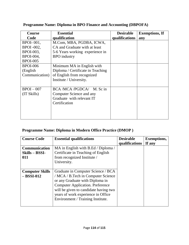| Course            | <b>Essential</b>                  | <b>Desirable</b> | <b>Exemptions, If</b> |
|-------------------|-----------------------------------|------------------|-----------------------|
| Code              | qualification                     | qualifications   | any                   |
| <b>BPOI-001,</b>  | M.Com, MBA, PGDBA, ICWA,          |                  |                       |
| <b>BPOI</b> -002, | CA and Graduate with at least     |                  |                       |
| BPOI-003,         | 5-6 Years working experience in   |                  |                       |
| BPOI-004,         | <b>BPO</b> industry               |                  |                       |
| <b>BPOI-005</b>   |                                   |                  |                       |
| <b>BPOI-006</b>   | Minimum MA in English with        |                  |                       |
| (English)         | Diploma / Certificate in Teaching |                  |                       |
| Communication)    | of English from recognized        |                  |                       |
|                   | Institute / University.           |                  |                       |
|                   |                                   |                  |                       |
| $BPOI - 007$      | BCA /MCA /PGDCA/ M. Sc in         |                  |                       |
| (TSkills)         | Computer Science and any          |                  |                       |
|                   | Graduate with relevant IT         |                  |                       |
|                   | Certification                     |                  |                       |
|                   |                                   |                  |                       |
|                   |                                   |                  |                       |
|                   |                                   |                  |                       |

## **Programme Name: Diploma in BPO Finance and Accounting (DBPOFA)**

## **Programme Name: Diploma in Modern Office Practice (DMOP )**

| <b>Course Code</b>                              | <b>Essential qualifications</b>                                                                                                                                                                                                                                            | <b>Desirable</b><br>qualifications | <b>Exemptions,</b><br>If any |
|-------------------------------------------------|----------------------------------------------------------------------------------------------------------------------------------------------------------------------------------------------------------------------------------------------------------------------------|------------------------------------|------------------------------|
| <b>Communication</b><br>$Skills - BSSI-$<br>011 | MA in English with B.Ed / Diploma /<br>Certificate in Teaching of English<br>from recognized Institute /<br>University.                                                                                                                                                    |                                    |                              |
| <b>Computer Skills</b><br>$-$ BSSI-012          | Graduate in Computer Science / BCA<br>/ MCA / B.Tech in Computer Science<br>or any Graduate with Diploma in<br><b>Computer Application. Preference</b><br>will be given to candidate having two<br>years of work experience in Office<br>Environment / Training Institute. |                                    |                              |